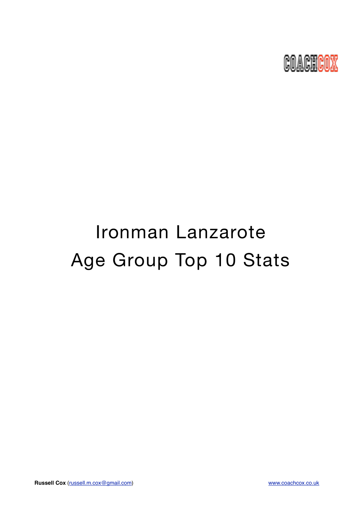

# Ironman Lanzarote Age Group Top 10 Stats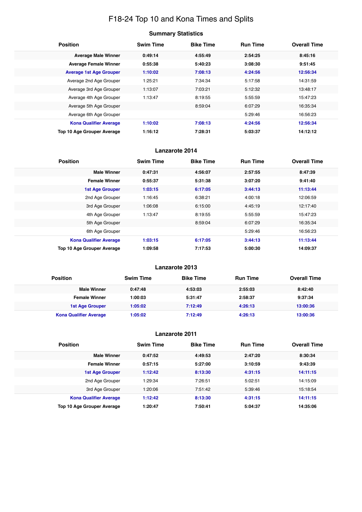# F18-24 Top 10 and Kona Times and Splits

| <b>Position</b>                   | <b>Swim Time</b> | <b>Bike Time</b> | <b>Run Time</b> | <b>Overall Time</b> |
|-----------------------------------|------------------|------------------|-----------------|---------------------|
| <b>Average Male Winner</b>        | 0:49:14          | 4:55:49          | 2:54:25         | 8:45:16             |
| <b>Average Female Winner</b>      | 0:55:38          | 5:40:23          | 3:08:30         | 9:51:45             |
| <b>Average 1st Age Grouper</b>    | 1:10:02          | 7:08:13          | 4:24:56         | 12:56:34            |
| Average 2nd Age Grouper           | 1:25:21          | 7:34:34          | 5:17:58         | 14:31:59            |
| Average 3rd Age Grouper           | 1:13:07          | 7:03:21          | 5:12:32         | 13:48:17            |
| Average 4th Age Grouper           | 1:13:47          | 8:19:55          | 5:55:59         | 15:47:23            |
| Average 5th Age Grouper           |                  | 8:59:04          | 6:07:29         | 16:35:34            |
| Average 6th Age Grouper           |                  |                  | 5:29:46         | 16:56:23            |
| <b>Kona Qualifier Average</b>     | 1:10:02          | 7:08:13          | 4:24:56         | 12:56:34            |
| <b>Top 10 Age Grouper Average</b> | 1:16:12          | 7:28:31          | 5:03:37         | 14:12:12            |

# **Lanzarote 2014**

| <b>Position</b>                   | <b>Swim Time</b> | <b>Bike Time</b> | <b>Run Time</b> | <b>Overall Time</b> |
|-----------------------------------|------------------|------------------|-----------------|---------------------|
| <b>Male Winner</b>                | 0:47:31          | 4:56:07          | 2:57:55         | 8:47:39             |
| <b>Female Winner</b>              | 0:55:37          | 5:31:38          | 3:07:20         | 9:41:40             |
| <b>1st Age Grouper</b>            | 1:03:15          | 6:17:05          | 3:44:13         | 11:13:44            |
| 2nd Age Grouper                   | 1:16:45          | 6:38:21          | 4:00:18         | 12:06:59            |
| 3rd Age Grouper                   | 1:06:08          | 6:15:00          | 4:45:19         | 12:17:40            |
| 4th Age Grouper                   | 1:13:47          | 8:19:55          | 5:55:59         | 15:47:23            |
| 5th Age Grouper                   |                  | 8:59:04          | 6:07:29         | 16:35:34            |
| 6th Age Grouper                   |                  |                  | 5:29:46         | 16:56:23            |
| <b>Kona Qualifier Average</b>     | 1:03:15          | 6:17:05          | 3:44:13         | 11:13:44            |
| <b>Top 10 Age Grouper Average</b> | 1:09:58          | 7:17:53          | 5:00:30         | 14:09:37            |

# **Lanzarote 2013**

| <b>Position</b>               | <b>Swim Time</b> | <b>Bike Time</b> | <b>Run Time</b> | <b>Overall Time</b> |
|-------------------------------|------------------|------------------|-----------------|---------------------|
| <b>Male Winner</b>            | 0:47:48          | 4:53:03          | 2:55:03         | 8:42:40             |
| <b>Female Winner</b>          | 1:00:03          | 5:31:47          | 2:58:37         | 9:37:34             |
| 1st Age Grouper               | 1:05:02          | 7:12:49          | 4:26:13         | 13:00:36            |
| <b>Kona Qualifier Average</b> | 1:05:02          | 7:12:49          | 4:26:13         | 13:00:36            |

| <b>Position</b>               | <b>Swim Time</b> | <b>Bike Time</b> | <b>Run Time</b> | <b>Overall Time</b> |
|-------------------------------|------------------|------------------|-----------------|---------------------|
| <b>Male Winner</b>            | 0:47:52          | 4:49:53          | 2:47:20         | 8:30:34             |
| <b>Female Winner</b>          | 0:57:15          | 5:27:00          | 3:10:59         | 9:43:39             |
| <b>1st Age Grouper</b>        | 1:12:42          | 8:13:30          | 4:31:15         | 14:11:15            |
| 2nd Age Grouper               | 1:29:34          | 7:26:51          | 5:02:51         | 14:15:09            |
| 3rd Age Grouper               | 1:20:06          | 7:51:42          | 5:39:46         | 15:18:54            |
| <b>Kona Qualifier Average</b> | 1:12:42          | 8:13:30          | 4:31:15         | 14:11:15            |
| Top 10 Age Grouper Average    | 1:20:47          | 7:50:41          | 5:04:37         | 14:35:06            |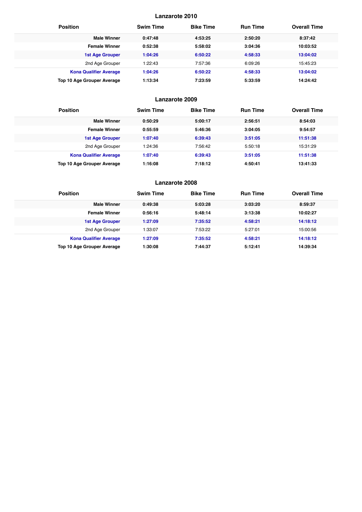| <b>Position</b>                   | <b>Swim Time</b> | <b>Bike Time</b> | <b>Run Time</b> | <b>Overall Time</b> |
|-----------------------------------|------------------|------------------|-----------------|---------------------|
| <b>Male Winner</b>                | 0:47:48          | 4:53:25          | 2:50:20         | 8:37:42             |
| <b>Female Winner</b>              | 0:52:38          | 5:58:02          | 3:04:36         | 10:03:52            |
| <b>1st Age Grouper</b>            | 1:04:26          | 6:50:22          | 4:58:33         | 13:04:02            |
| 2nd Age Grouper                   | 1:22:43          | 7:57:36          | 6:09:26         | 15:45:23            |
| <b>Kona Qualifier Average</b>     | 1:04:26          | 6:50:22          | 4:58:33         | 13:04:02            |
| <b>Top 10 Age Grouper Average</b> | 1:13:34          | 7:23:59          | 5:33:59         | 14:24:42            |

# **Lanzarote 2009**

| <b>Position</b>               | <b>Swim Time</b> | <b>Bike Time</b> | <b>Run Time</b> | <b>Overall Time</b> |
|-------------------------------|------------------|------------------|-----------------|---------------------|
| <b>Male Winner</b>            | 0:50:29          | 5:00:17          | 2:56:51         | 8:54:03             |
| <b>Female Winner</b>          | 0:55:59          | 5:46:36          | 3:04:05         | 9:54:57             |
| <b>1st Age Grouper</b>        | 1:07:40          | 6:39:43          | 3:51:05         | 11:51:38            |
| 2nd Age Grouper               | 1:24:36          | 7:56:42          | 5:50:18         | 15:31:29            |
| <b>Kona Qualifier Average</b> | 1:07:40          | 6:39:43          | 3:51:05         | 11:51:38            |
| Top 10 Age Grouper Average    | 1:16:08          | 7:18:12          | 4:50:41         | 13:41:33            |

| <b>Position</b>               | <b>Swim Time</b> | <b>Bike Time</b> | <b>Run Time</b> | <b>Overall Time</b> |
|-------------------------------|------------------|------------------|-----------------|---------------------|
| <b>Male Winner</b>            | 0:49:38          | 5:03:28          | 3:03:20         | 8:59:37             |
| <b>Female Winner</b>          | 0:56:16          | 5:48:14          | 3:13:38         | 10:02:27            |
| <b>1st Age Grouper</b>        | 1:27:09          | 7:35:52          | 4:58:21         | 14:18:12            |
| 2nd Age Grouper               | 1:33:07          | 7:53:22          | 5:27:01         | 15:00:56            |
| <b>Kona Qualifier Average</b> | 1:27:09          | 7:35:52          | 4:58:21         | 14:18:12            |
| Top 10 Age Grouper Average    | 1:30:08          | 7:44:37          | 5:12:41         | 14:39:34            |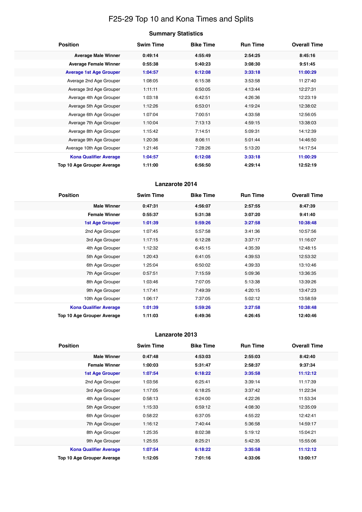# F25-29 Top 10 and Kona Times and Splits

|  | <b>Summary Statistics</b> |
|--|---------------------------|
|--|---------------------------|

| <b>Position</b>                   | <b>Swim Time</b> | <b>Bike Time</b> | <b>Run Time</b> | <b>Overall Time</b> |
|-----------------------------------|------------------|------------------|-----------------|---------------------|
| <b>Average Male Winner</b>        | 0:49:14          | 4:55:49          | 2:54:25         | 8:45:16             |
| <b>Average Female Winner</b>      | 0:55:38          | 5:40:23          | 3:08:30         | 9:51:45             |
| <b>Average 1st Age Grouper</b>    | 1:04:57          | 6:12:08          | 3:33:18         | 11:00:29            |
| Average 2nd Age Grouper           | 1:08:05          | 6:15:38          | 3:53:58         | 11:27:40            |
| Average 3rd Age Grouper           | 1:11:11          | 6:50:05          | 4:13:44         | 12:27:31            |
| Average 4th Age Grouper           | 1:03:18          | 6:42:51          | 4:26:36         | 12:23:19            |
| Average 5th Age Grouper           | 1:12:26          | 6:53:01          | 4:19:24         | 12:38:02            |
| Average 6th Age Grouper           | 1:07:04          | 7:00:51          | 4:33:58         | 12:56:05            |
| Average 7th Age Grouper           | 1:10:04          | 7:13:13          | 4:59:15         | 13:38:03            |
| Average 8th Age Grouper           | 1:15:42          | 7:14:51          | 5:09:31         | 14:12:39            |
| Average 9th Age Grouper           | 1:20:36          | 8:06:11          | 5:01:44         | 14:46:50            |
| Average 10th Age Grouper          | 1:21:46          | 7:28:26          | 5:13:20         | 14:17:54            |
| <b>Kona Qualifier Average</b>     | 1:04:57          | 6:12:08          | 3:33:18         | 11:00:29            |
| <b>Top 10 Age Grouper Average</b> | 1:11:00          | 6:56:50          | 4:29:14         | 12:52:19            |

# **Lanzarote 2014**

| <b>Position</b>               | <b>Swim Time</b> | <b>Bike Time</b> | <b>Run Time</b> | <b>Overall Time</b> |
|-------------------------------|------------------|------------------|-----------------|---------------------|
| <b>Male Winner</b>            | 0:47:31          | 4:56:07          | 2:57:55         | 8:47:39             |
| <b>Female Winner</b>          | 0:55:37          | 5:31:38          | 3:07:20         | 9:41:40             |
| 1st Age Grouper               | 1:01:39          | 5:59:26          | 3:27:58         | 10:38:48            |
| 2nd Age Grouper               | 1:07:45          | 5:57:58          | 3:41:36         | 10:57:56            |
| 3rd Age Grouper               | 1:17:15          | 6:12:28          | 3:37:17         | 11:16:07            |
| 4th Age Grouper               | 1:12:32          | 6:45:15          | 4:35:39         | 12:48:15            |
| 5th Age Grouper               | 1:20:43          | 6:41:05          | 4:39:53         | 12:53:32            |
| 6th Age Grouper               | 1:25:04          | 6:50:02          | 4:39:33         | 13:10:46            |
| 7th Age Grouper               | 0:57:51          | 7:15:59          | 5:09:36         | 13:36:35            |
| 8th Age Grouper               | 1:03:46          | 7:07:05          | 5:13:38         | 13:39:26            |
| 9th Age Grouper               | 1:17:41          | 7:49:39          | 4:20:15         | 13:47:23            |
| 10th Age Grouper              | 1:06:17          | 7:37:05          | 5:02:12         | 13:58:59            |
| <b>Kona Qualifier Average</b> | 1:01:39          | 5:59:26          | 3:27:58         | 10:38:48            |
| Top 10 Age Grouper Average    | 1:11:03          | 6:49:36          | 4:26:45         | 12:40:46            |

| <b>Position</b>                   | <b>Swim Time</b> | <b>Bike Time</b> | <b>Run Time</b> | <b>Overall Time</b> |
|-----------------------------------|------------------|------------------|-----------------|---------------------|
| <b>Male Winner</b>                | 0:47:48          | 4:53:03          | 2:55:03         | 8:42:40             |
| <b>Female Winner</b>              | 1:00:03          | 5:31:47          | 2:58:37         | 9:37:34             |
| <b>1st Age Grouper</b>            | 1:07:54          | 6:18:22          | 3:35:58         | 11:12:12            |
| 2nd Age Grouper                   | 1:03:56          | 6:25:41          | 3:39:14         | 11:17:39            |
| 3rd Age Grouper                   | 1:17:05          | 6:18:25          | 3:37:42         | 11:22:34            |
| 4th Age Grouper                   | 0:58:13          | 6:24:00          | 4:22:26         | 11:53:34            |
| 5th Age Grouper                   | 1:15:33          | 6:59:12          | 4:08:30         | 12:35:09            |
| 6th Age Grouper                   | 0:58:22          | 6:37:05          | 4:55:22         | 12:42:41            |
| 7th Age Grouper                   | 1:16:12          | 7:40:44          | 5:36:58         | 14:59:17            |
| 8th Age Grouper                   | 1:25:35          | 8:02:38          | 5:19:12         | 15:04:21            |
| 9th Age Grouper                   | 1:25:55          | 8:25:21          | 5:42:35         | 15:55:06            |
| <b>Kona Qualifier Average</b>     | 1:07:54          | 6:18:22          | 3:35:58         | 11:12:12            |
| <b>Top 10 Age Grouper Average</b> | 1:12:05          | 7:01:16          | 4:33:06         | 13:00:17            |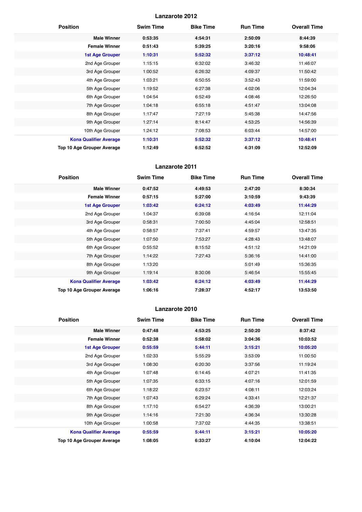| <b>Position</b>               | <b>Swim Time</b> | <b>Bike Time</b> | <b>Run Time</b> | <b>Overall Time</b> |
|-------------------------------|------------------|------------------|-----------------|---------------------|
| <b>Male Winner</b>            | 0:53:35          | 4:54:31          | 2:50:09         | 8:44:39             |
| <b>Female Winner</b>          | 0:51:43          | 5:39:25          | 3:20:16         | 9:58:06             |
| <b>1st Age Grouper</b>        | 1:10:31          | 5:52:32          | 3:37:12         | 10:48:41            |
| 2nd Age Grouper               | 1:15:15          | 6:32:02          | 3:46:32         | 11:46:07            |
| 3rd Age Grouper               | 1:00:52          | 6:26:32          | 4:09:37         | 11:50:42            |
| 4th Age Grouper               | 1:03:21          | 6:50:55          | 3:52:43         | 11:59:00            |
| 5th Age Grouper               | 1:19:52          | 6:27:38          | 4:02:06         | 12:04:34            |
| 6th Age Grouper               | 1:04:54          | 6:52:49          | 4:08:46         | 12:26:50            |
| 7th Age Grouper               | 1:04:18          | 6:55:18          | 4:51:47         | 13:04:08            |
| 8th Age Grouper               | 1:17:47          | 7:27:19          | 5:45:38         | 14:47:56            |
| 9th Age Grouper               | 1:27:14          | 8:14:47          | 4:53:25         | 14:56:39            |
| 10th Age Grouper              | 1:24:12          | 7:08:53          | 6:03:44         | 14:57:00            |
| <b>Kona Qualifier Average</b> | 1:10:31          | 5:52:32          | 3:37:12         | 10:48:41            |
| Top 10 Age Grouper Average    | 1:12:49          | 6:52:52          | 4:31:09         | 12:52:09            |

# **Lanzarote 2011**

| <b>Position</b>                   | <b>Swim Time</b> | <b>Bike Time</b> | <b>Run Time</b> | <b>Overall Time</b> |
|-----------------------------------|------------------|------------------|-----------------|---------------------|
| <b>Male Winner</b>                | 0:47:52          | 4:49:53          | 2:47:20         | 8:30:34             |
| <b>Female Winner</b>              | 0:57:15          | 5:27:00          | 3:10:59         | 9:43:39             |
| <b>1st Age Grouper</b>            | 1:03:42          | 6:24:12          | 4:03:49         | 11:44:29            |
| 2nd Age Grouper                   | 1:04:37          | 6:39:08          | 4:16:54         | 12:11:04            |
| 3rd Age Grouper                   | 0:58:31          | 7:00:50          | 4:45:04         | 12:58:51            |
| 4th Age Grouper                   | 0:58:57          | 7:37:41          | 4:59:57         | 13:47:35            |
| 5th Age Grouper                   | 1:07:50          | 7:53:27          | 4:28:43         | 13:48:07            |
| 6th Age Grouper                   | 0:55:52          | 8:15:52          | 4:51:12         | 14:21:09            |
| 7th Age Grouper                   | 1:14:22          | 7:27:43          | 5:36:16         | 14:41:00            |
| 8th Age Grouper                   | 1:13:20          |                  | 5:01:49         | 15:36:35            |
| 9th Age Grouper                   | 1:19:14          | 8:30:06          | 5:46:54         | 15:55:45            |
| <b>Kona Qualifier Average</b>     | 1:03:42          | 6:24:12          | 4:03:49         | 11:44:29            |
| <b>Top 10 Age Grouper Average</b> | 1:06:16          | 7:28:37          | 4:52:17         | 13:53:50            |

| <b>Position</b>               | <b>Swim Time</b> | <b>Bike Time</b> | <b>Run Time</b> | <b>Overall Time</b> |
|-------------------------------|------------------|------------------|-----------------|---------------------|
| <b>Male Winner</b>            | 0:47:48          | 4:53:25          | 2:50:20         | 8:37:42             |
| <b>Female Winner</b>          | 0:52:38          | 5:58:02          | 3:04:36         | 10:03:52            |
| <b>1st Age Grouper</b>        | 0:55:59          | 5:44:11          | 3:15:21         | 10:05:20            |
| 2nd Age Grouper               | 1:02:33          | 5:55:29          | 3:53:09         | 11:00:50            |
| 3rd Age Grouper               | 1:08:30          | 6:20:30          | 3:37:56         | 11:19:24            |
| 4th Age Grouper               | 1:07:48          | 6:14:45          | 4:07:21         | 11:41:35            |
| 5th Age Grouper               | 1:07:35          | 6:33:15          | 4:07:16         | 12:01:59            |
| 6th Age Grouper               | 1:18:22          | 6:23:57          | 4:08:11         | 12:03:24            |
| 7th Age Grouper               | 1:07:43          | 6:29:24          | 4:33:41         | 12:21:37            |
| 8th Age Grouper               | 1:17:10          | 6:54:27          | 4:36:39         | 13:00:21            |
| 9th Age Grouper               | 1:14:16          | 7:21:30          | 4:36:34         | 13:30:28            |
| 10th Age Grouper              | 1:00:58          | 7:37:02          | 4:44:35         | 13:38:51            |
| <b>Kona Qualifier Average</b> | 0:55:59          | 5:44:11          | 3:15:21         | 10:05:20            |
| Top 10 Age Grouper Average    | 1:08:05          | 6:33:27          | 4:10:04         | 12:04:22            |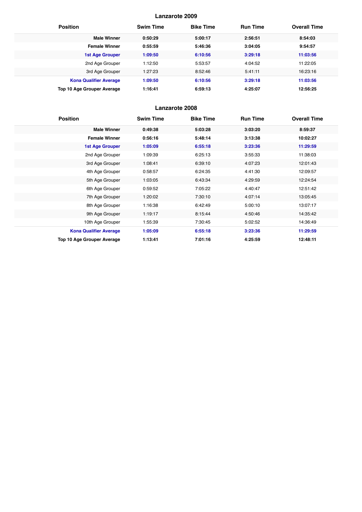| <b>Position</b>               | <b>Swim Time</b> | <b>Bike Time</b> | <b>Run Time</b> | <b>Overall Time</b> |
|-------------------------------|------------------|------------------|-----------------|---------------------|
| <b>Male Winner</b>            | 0:50:29          | 5:00:17          | 2:56:51         | 8:54:03             |
| <b>Female Winner</b>          | 0:55:59          | 5:46:36          | 3:04:05         | 9:54:57             |
| <b>1st Age Grouper</b>        | 1:09:50          | 6:10:56          | 3:29:18         | 11:03:56            |
| 2nd Age Grouper               | 1:12:50          | 5:53:57          | 4:04:52         | 11:22:05            |
| 3rd Age Grouper               | 1:27:23          | 8:52:46          | 5:41:11         | 16:23:16            |
| <b>Kona Qualifier Average</b> | 1:09:50          | 6:10:56          | 3:29:18         | 11:03:56            |
| Top 10 Age Grouper Average    | 1:16:41          | 6:59:13          | 4:25:07         | 12:56:25            |

| <b>Position</b>               | <b>Swim Time</b> | <b>Bike Time</b> | <b>Run Time</b> | <b>Overall Time</b> |
|-------------------------------|------------------|------------------|-----------------|---------------------|
| <b>Male Winner</b>            | 0:49:38          | 5:03:28          | 3:03:20         | 8:59:37             |
| <b>Female Winner</b>          | 0:56:16          | 5:48:14          | 3:13:38         | 10:02:27            |
| <b>1st Age Grouper</b>        | 1:05:09          | 6:55:18          | 3:23:36         | 11:29:59            |
| 2nd Age Grouper               | 1:09:39          | 6:25:13          | 3:55:33         | 11:38:03            |
| 3rd Age Grouper               | 1:08:41          | 6:39:10          | 4:07:23         | 12:01:43            |
| 4th Age Grouper               | 0:58:57          | 6:24:35          | 4:41:30         | 12:09:57            |
| 5th Age Grouper               | 1:03:05          | 6:43:34          | 4:29:59         | 12:24:54            |
| 6th Age Grouper               | 0:59:52          | 7:05:22          | 4:40:47         | 12:51:42            |
| 7th Age Grouper               | 1:20:02          | 7:30:10          | 4:07:14         | 13:05:45            |
| 8th Age Grouper               | 1:16:38          | 6:42:49          | 5:00:10         | 13:07:17            |
| 9th Age Grouper               | 1:19:17          | 8:15:44          | 4:50:46         | 14:35:42            |
| 10th Age Grouper              | 1:55:39          | 7:30:45          | 5:02:52         | 14:36:49            |
| <b>Kona Qualifier Average</b> | 1:05:09          | 6:55:18          | 3:23:36         | 11:29:59            |
| Top 10 Age Grouper Average    | 1:13:41          | 7:01:16          | 4:25:59         | 12:48:11            |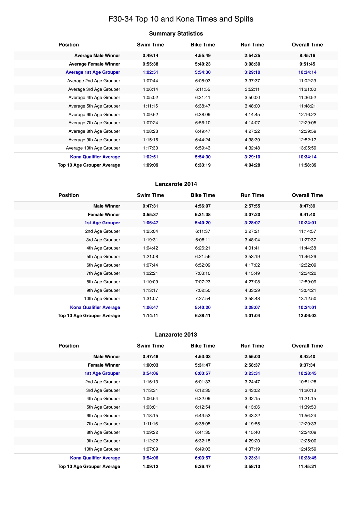# F30-34 Top 10 and Kona Times and Splits

| <b>Position</b>                   | <b>Swim Time</b> | <b>Bike Time</b> | <b>Run Time</b> | <b>Overall Time</b> |
|-----------------------------------|------------------|------------------|-----------------|---------------------|
| <b>Average Male Winner</b>        | 0:49:14          | 4:55:49          | 2:54:25         | 8:45:16             |
| <b>Average Female Winner</b>      | 0:55:38          | 5:40:23          | 3:08:30         | 9:51:45             |
| <b>Average 1st Age Grouper</b>    | 1:02:51          | 5:54:30          | 3:29:10         | 10:34:14            |
| Average 2nd Age Grouper           | 1:07:44          | 6:08:03          | 3:37:37         | 11:02:23            |
| Average 3rd Age Grouper           | 1:06:14          | 6:11:55          | 3:52:11         | 11:21:00            |
| Average 4th Age Grouper           | 1:05:02          | 6:31:41          | 3:50:00         | 11:36:52            |
| Average 5th Age Grouper           | 1:11:15          | 6:38:47          | 3:48:00         | 11:48:21            |
| Average 6th Age Grouper           | 1:09:52          | 6:38:09          | 4:14:45         | 12:16:22            |
| Average 7th Age Grouper           | 1:07:24          | 6:56:10          | 4:14:07         | 12:29:05            |
| Average 8th Age Grouper           | 1:08:23          | 6:49:47          | 4:27:22         | 12:39:59            |
| Average 9th Age Grouper           | 1:15:16          | 6:44:24          | 4:38:39         | 12:52:17            |
| Average 10th Age Grouper          | 1:17:30          | 6:59:43          | 4:32:48         | 13:05:59            |
| <b>Kona Qualifier Average</b>     | 1:02:51          | 5:54:30          | 3:29:10         | 10:34:14            |
| <b>Top 10 Age Grouper Average</b> | 1:09:09          | 6:33:19          | 4:04:28         | 11:58:39            |

# **Lanzarote 2014**

| <b>Position</b>               | <b>Swim Time</b> | <b>Bike Time</b> | <b>Run Time</b> | <b>Overall Time</b> |
|-------------------------------|------------------|------------------|-----------------|---------------------|
| <b>Male Winner</b>            | 0:47:31          | 4:56:07          | 2:57:55         | 8:47:39             |
| <b>Female Winner</b>          | 0:55:37          | 5:31:38          | 3:07:20         | 9:41:40             |
| <b>1st Age Grouper</b>        | 1:06:47          | 5:40:20          | 3:28:07         | 10:24:01            |
| 2nd Age Grouper               | 1:25:04          | 6:11:37          | 3:27:21         | 11:14:57            |
| 3rd Age Grouper               | 1:19:31          | 6:08:11          | 3:48:04         | 11:27:37            |
| 4th Age Grouper               | 1:04:42          | 6:26:21          | 4:01:41         | 11:44:38            |
| 5th Age Grouper               | 1:21:08          | 6:21:56          | 3:53:19         | 11:46:26            |
| 6th Age Grouper               | 1:07:44          | 6:52:09          | 4:17:02         | 12:32:09            |
| 7th Age Grouper               | 1:02:21          | 7:03:10          | 4:15:49         | 12:34:20            |
| 8th Age Grouper               | 1:10:09          | 7:07:23          | 4:27:08         | 12:59:09            |
| 9th Age Grouper               | 1:13:17          | 7:02:50          | 4:33:29         | 13:04:21            |
| 10th Age Grouper              | 1:31:07          | 7:27:54          | 3:58:48         | 13:12:50            |
| <b>Kona Qualifier Average</b> | 1:06:47          | 5:40:20          | 3:28:07         | 10:24:01            |
| Top 10 Age Grouper Average    | 1:14:11          | 6:38:11          | 4:01:04         | 12:06:02            |

| <b>Position</b>                   | <b>Swim Time</b> | <b>Bike Time</b> | <b>Run Time</b> | <b>Overall Time</b> |
|-----------------------------------|------------------|------------------|-----------------|---------------------|
| <b>Male Winner</b>                | 0:47:48          | 4:53:03          | 2:55:03         | 8:42:40             |
| <b>Female Winner</b>              | 1:00:03          | 5:31:47          | 2:58:37         | 9:37:34             |
| <b>1st Age Grouper</b>            | 0:54:06          | 6:03:57          | 3:23:31         | 10:28:45            |
| 2nd Age Grouper                   | 1:16:13          | 6:01:33          | 3:24:47         | 10:51:28            |
| 3rd Age Grouper                   | 1:13:31          | 6:12:35          | 3:43:02         | 11:20:13            |
| 4th Age Grouper                   | 1:06:54          | 6:32:09          | 3:32:15         | 11:21:15            |
| 5th Age Grouper                   | 1:03:01          | 6:12:54          | 4:13:06         | 11:39:50            |
| 6th Age Grouper                   | 1:18:15          | 6:43:53          | 3:43:22         | 11:56:24            |
| 7th Age Grouper                   | 1:11:16          | 6:38:05          | 4:19:55         | 12:20:33            |
| 8th Age Grouper                   | 1:09:22          | 6:41:35          | 4:15:40         | 12:24:09            |
| 9th Age Grouper                   | 1:12:22          | 6:32:15          | 4:29:20         | 12:25:00            |
| 10th Age Grouper                  | 1:07:09          | 6:49:03          | 4:37:19         | 12:45:59            |
| <b>Kona Qualifier Average</b>     | 0:54:06          | 6:03:57          | 3:23:31         | 10:28:45            |
| <b>Top 10 Age Grouper Average</b> | 1:09:12          | 6:26:47          | 3:58:13         | 11:45:21            |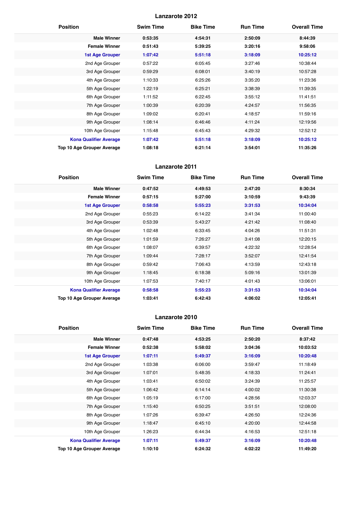| <b>Position</b>                   | <b>Swim Time</b> | <b>Bike Time</b> | <b>Run Time</b> | <b>Overall Time</b> |
|-----------------------------------|------------------|------------------|-----------------|---------------------|
| <b>Male Winner</b>                | 0:53:35          | 4:54:31          | 2:50:09         | 8:44:39             |
| <b>Female Winner</b>              | 0:51:43          | 5:39:25          | 3:20:16         | 9:58:06             |
| <b>1st Age Grouper</b>            | 1:07:42          | 5:51:18          | 3:18:09         | 10:25:12            |
| 2nd Age Grouper                   | 0:57:22          | 6:05:45          | 3:27:46         | 10:38:44            |
| 3rd Age Grouper                   | 0:59:29          | 6:08:01          | 3:40:19         | 10:57:28            |
| 4th Age Grouper                   | 1:10:33          | 6:25:26          | 3:35:20         | 11:23:36            |
| 5th Age Grouper                   | 1:22:19          | 6:25:21          | 3:38:39         | 11:39:35            |
| 6th Age Grouper                   | 1:11:52          | 6:22:45          | 3:55:12         | 11:41:51            |
| 7th Age Grouper                   | 1:00:39          | 6:20:39          | 4:24:57         | 11:56:35            |
| 8th Age Grouper                   | 1:09:02          | 6:20:41          | 4:18:57         | 11:59:16            |
| 9th Age Grouper                   | 1:08:14          | 6:46:46          | 4:11:24         | 12:19:56            |
| 10th Age Grouper                  | 1:15:48          | 6:45:43          | 4:29:32         | 12:52:12            |
| <b>Kona Qualifier Average</b>     | 1:07:42          | 5:51:18          | 3:18:09         | 10:25:12            |
| <b>Top 10 Age Grouper Average</b> | 1:08:18          | 6:21:14          | 3:54:01         | 11:35:26            |

# **Lanzarote 2011**

| <b>Position</b>               | <b>Swim Time</b> | <b>Bike Time</b> | <b>Run Time</b> | <b>Overall Time</b> |
|-------------------------------|------------------|------------------|-----------------|---------------------|
| <b>Male Winner</b>            | 0:47:52          | 4:49:53          | 2:47:20         | 8:30:34             |
| <b>Female Winner</b>          | 0:57:15          | 5:27:00          | 3:10:59         | 9:43:39             |
| <b>1st Age Grouper</b>        | 0:58:58          | 5:55:23          | 3:31:53         | 10:34:04            |
| 2nd Age Grouper               | 0:55:23          | 6:14:22          | 3:41:34         | 11:00:40            |
| 3rd Age Grouper               | 0:53:39          | 5:43:27          | 4:21:42         | 11:08:40            |
| 4th Age Grouper               | 1:02:48          | 6:33:45          | 4:04:26         | 11:51:31            |
| 5th Age Grouper               | 1:01:59          | 7:26:27          | 3:41:08         | 12:20:15            |
| 6th Age Grouper               | 1:08:07          | 6:39:57          | 4:22:32         | 12:28:54            |
| 7th Age Grouper               | 1:09:44          | 7:28:17          | 3:52:07         | 12:41:54            |
| 8th Age Grouper               | 0:59:42          | 7:06:43          | 4:13:59         | 12:43:18            |
| 9th Age Grouper               | 1:18:45          | 6:18:38          | 5:09:16         | 13:01:39            |
| 10th Age Grouper              | 1:07:53          | 7:40:17          | 4:01:43         | 13:06:01            |
| <b>Kona Qualifier Average</b> | 0:58:58          | 5:55:23          | 3:31:53         | 10:34:04            |
| Top 10 Age Grouper Average    | 1:03:41          | 6:42:43          | 4:06:02         | 12:05:41            |

| <b>Position</b>                   | <b>Swim Time</b> | <b>Bike Time</b> | <b>Run Time</b> | <b>Overall Time</b> |
|-----------------------------------|------------------|------------------|-----------------|---------------------|
| <b>Male Winner</b>                | 0:47:48          | 4:53:25          | 2:50:20         | 8:37:42             |
| <b>Female Winner</b>              | 0:52:38          | 5:58:02          | 3:04:36         | 10:03:52            |
| 1st Age Grouper                   | 1:07:11          | 5:49:37          | 3:16:09         | 10:20:48            |
| 2nd Age Grouper                   | 1:03:38          | 6:06:00          | 3:59:47         | 11:18:49            |
| 3rd Age Grouper                   | 1:07:01          | 5:48:35          | 4:18:33         | 11:24:41            |
| 4th Age Grouper                   | 1:03:41          | 6:50:02          | 3:24:39         | 11:25:57            |
| 5th Age Grouper                   | 1:06:42          | 6:14:14          | 4:00:02         | 11:30:38            |
| 6th Age Grouper                   | 1:05:19          | 6:17:00          | 4:28:56         | 12:03:37            |
| 7th Age Grouper                   | 1:15:40          | 6:50:25          | 3:51:51         | 12:08:00            |
| 8th Age Grouper                   | 1:07:26          | 6:39:47          | 4:26:50         | 12:24:36            |
| 9th Age Grouper                   | 1:18:47          | 6:45:10          | 4:20:00         | 12:44:58            |
| 10th Age Grouper                  | 1:26:23          | 6:44:34          | 4:16:53         | 12:51:18            |
| <b>Kona Qualifier Average</b>     | 1:07:11          | 5:49:37          | 3:16:09         | 10:20:48            |
| <b>Top 10 Age Grouper Average</b> | 1:10:10          | 6:24:32          | 4:02:22         | 11:49:20            |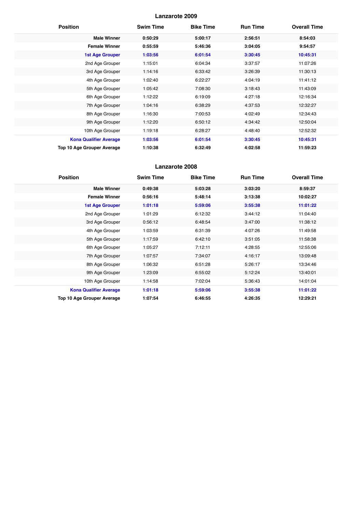| <b>Position</b>               | <b>Swim Time</b> | <b>Bike Time</b> | <b>Run Time</b> | <b>Overall Time</b> |
|-------------------------------|------------------|------------------|-----------------|---------------------|
| <b>Male Winner</b>            | 0:50:29          | 5:00:17          | 2:56:51         | 8:54:03             |
| <b>Female Winner</b>          | 0:55:59          | 5:46:36          | 3:04:05         | 9:54:57             |
| <b>1st Age Grouper</b>        | 1:03:56          | 6:01:54          | 3:30:45         | 10:45:31            |
| 2nd Age Grouper               | 1:15:01          | 6:04:34          | 3:37:57         | 11:07:26            |
| 3rd Age Grouper               | 1:14:16          | 6:33:42          | 3:26:39         | 11:30:13            |
| 4th Age Grouper               | 1:02:40          | 6:22:27          | 4:04:19         | 11:41:12            |
| 5th Age Grouper               | 1:05:42          | 7:08:30          | 3:18:43         | 11:43:09            |
| 6th Age Grouper               | 1:12:22          | 6:19:09          | 4:27:18         | 12:16:34            |
| 7th Age Grouper               | 1:04:16          | 6:38:29          | 4:37:53         | 12:32:27            |
| 8th Age Grouper               | 1:16:30          | 7:00:53          | 4:02:49         | 12:34:43            |
| 9th Age Grouper               | 1:12:20          | 6:50:12          | 4:34:42         | 12:50:04            |
| 10th Age Grouper              | 1:19:18          | 6:28:27          | 4:48:40         | 12:52:32            |
| <b>Kona Qualifier Average</b> | 1:03:56          | 6:01:54          | 3:30:45         | 10:45:31            |
| Top 10 Age Grouper Average    | 1:10:38          | 6:32:49          | 4:02:58         | 11:59:23            |

| <b>Position</b>               | <b>Swim Time</b> | <b>Bike Time</b> | <b>Run Time</b> | <b>Overall Time</b> |
|-------------------------------|------------------|------------------|-----------------|---------------------|
| <b>Male Winner</b>            | 0:49:38          | 5:03:28          | 3:03:20         | 8:59:37             |
| <b>Female Winner</b>          | 0:56:16          | 5:48:14          | 3:13:38         | 10:02:27            |
| <b>1st Age Grouper</b>        | 1:01:18          | 5:59:06          | 3:55:38         | 11:01:22            |
| 2nd Age Grouper               | 1:01:29          | 6:12:32          | 3:44:12         | 11:04:40            |
| 3rd Age Grouper               | 0:56:12          | 6:48:54          | 3:47:00         | 11:38:12            |
| 4th Age Grouper               | 1:03:59          | 6:31:39          | 4:07:26         | 11:49:58            |
| 5th Age Grouper               | 1:17:59          | 6:42:10          | 3:51:05         | 11:58:38            |
| 6th Age Grouper               | 1:05:27          | 7:12:11          | 4:28:55         | 12:55:06            |
| 7th Age Grouper               | 1:07:57          | 7:34:07          | 4:16:17         | 13:09:48            |
| 8th Age Grouper               | 1:06:32          | 6:51:28          | 5:26:17         | 13:34:46            |
| 9th Age Grouper               | 1:23:09          | 6:55:02          | 5:12:24         | 13:40:01            |
| 10th Age Grouper              | 1:14:58          | 7:02:04          | 5:36:43         | 14:01:04            |
| <b>Kona Qualifier Average</b> | 1:01:18          | 5:59:06          | 3:55:38         | 11:01:22            |
| Top 10 Age Grouper Average    | 1:07:54          | 6:46:55          | 4:26:35         | 12:29:21            |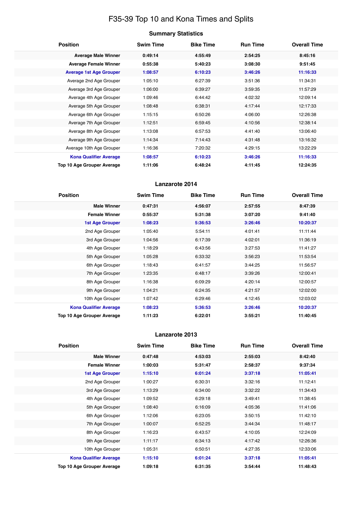# F35-39 Top 10 and Kona Times and Splits

|  | <b>Summary Statistics</b> |
|--|---------------------------|
|--|---------------------------|

| <b>Position</b>                   | <b>Swim Time</b> | <b>Bike Time</b> | <b>Run Time</b> | <b>Overall Time</b> |
|-----------------------------------|------------------|------------------|-----------------|---------------------|
| <b>Average Male Winner</b>        | 0:49:14          | 4:55:49          | 2:54:25         | 8:45:16             |
| <b>Average Female Winner</b>      | 0:55:38          | 5:40:23          | 3:08:30         | 9:51:45             |
| <b>Average 1st Age Grouper</b>    | 1:08:57          | 6:10:23          | 3:46:26         | 11:16:33            |
| Average 2nd Age Grouper           | 1:05:10          | 6:27:39          | 3:51:36         | 11:34:31            |
| Average 3rd Age Grouper           | 1:06:00          | 6:39:27          | 3:59:35         | 11:57:29            |
| Average 4th Age Grouper           | 1:09:46          | 6:44:42          | 4:02:32         | 12:09:14            |
| Average 5th Age Grouper           | 1:08:48          | 6:38:31          | 4:17:44         | 12:17:33            |
| Average 6th Age Grouper           | 1:15:15          | 6:50:26          | 4:06:00         | 12:26:38            |
| Average 7th Age Grouper           | 1:12:51          | 6:59:45          | 4:10:56         | 12:38:14            |
| Average 8th Age Grouper           | 1:13:08          | 6:57:53          | 4:41:40         | 13:06:40            |
| Average 9th Age Grouper           | 1:14:34          | 7:14:43          | 4:31:48         | 13:16:32            |
| Average 10th Age Grouper          | 1:16:36          | 7:20:32          | 4:29:15         | 13:22:29            |
| <b>Kona Qualifier Average</b>     | 1:08:57          | 6:10:23          | 3:46:26         | 11:16:33            |
| <b>Top 10 Age Grouper Average</b> | 1:11:06          | 6:48:24          | 4:11:45         | 12:24:35            |

# **Lanzarote 2014**

| <b>Position</b>               | <b>Swim Time</b> | <b>Bike Time</b> | <b>Run Time</b> | <b>Overall Time</b> |
|-------------------------------|------------------|------------------|-----------------|---------------------|
| <b>Male Winner</b>            | 0:47:31          | 4:56:07          | 2:57:55         | 8:47:39             |
| <b>Female Winner</b>          | 0:55:37          | 5:31:38          | 3:07:20         | 9:41:40             |
| 1st Age Grouper               | 1:08:23          | 5:36:53          | 3:26:46         | 10:20:37            |
| 2nd Age Grouper               | 1:05:40          | 5:54:11          | 4:01:41         | 11:11:44            |
| 3rd Age Grouper               | 1:04:56          | 6:17:39          | 4:02:01         | 11:36:19            |
| 4th Age Grouper               | 1:18:29          | 6:43:56          | 3:27:53         | 11:41:27            |
| 5th Age Grouper               | 1:05:28          | 6:33:32          | 3:56:23         | 11:53:54            |
| 6th Age Grouper               | 1:18:43          | 6:41:57          | 3:44:25         | 11:56:57            |
| 7th Age Grouper               | 1:23:35          | 6:48:17          | 3:39:26         | 12:00:41            |
| 8th Age Grouper               | 1:16:38          | 6:09:29          | 4:20:14         | 12:00:57            |
| 9th Age Grouper               | 1:04:21          | 6:24:35          | 4:21:57         | 12:02:00            |
| 10th Age Grouper              | 1:07:42          | 6:29:46          | 4:12:45         | 12:03:02            |
| <b>Kona Qualifier Average</b> | 1:08:23          | 5:36:53          | 3:26:46         | 10:20:37            |
| Top 10 Age Grouper Average    | 1:11:23          | 6:22:01          | 3:55:21         | 11:40:45            |

| <b>Position</b>               | <b>Swim Time</b> | <b>Bike Time</b> | <b>Run Time</b> | <b>Overall Time</b> |
|-------------------------------|------------------|------------------|-----------------|---------------------|
| <b>Male Winner</b>            | 0:47:48          | 4:53:03          | 2:55:03         | 8:42:40             |
| <b>Female Winner</b>          | 1:00:03          | 5:31:47          | 2:58:37         | 9:37:34             |
| <b>1st Age Grouper</b>        | 1:15:10          | 6:01:24          | 3:37:18         | 11:05:41            |
| 2nd Age Grouper               | 1:00:27          | 6:30:31          | 3:32:16         | 11:12:41            |
| 3rd Age Grouper               | 1:13:29          | 6:34:00          | 3:32:22         | 11:34:43            |
| 4th Age Grouper               | 1:09:52          | 6:29:18          | 3:49:41         | 11:38:45            |
| 5th Age Grouper               | 1:08:40          | 6:16:09          | 4:05:36         | 11:41:06            |
| 6th Age Grouper               | 1:12:06          | 6:23:05          | 3:50:15         | 11:42:10            |
| 7th Age Grouper               | 1:00:07          | 6:52:25          | 3:44:34         | 11:48:17            |
| 8th Age Grouper               | 1:16:23          | 6:43:57          | 4:10:05         | 12:24:09            |
| 9th Age Grouper               | 1:11:17          | 6:34:13          | 4:17:42         | 12:26:36            |
| 10th Age Grouper              | 1:05:31          | 6:50:51          | 4:27:35         | 12:33:06            |
| <b>Kona Qualifier Average</b> | 1:15:10          | 6:01:24          | 3:37:18         | 11:05:41            |
| Top 10 Age Grouper Average    | 1:09:18          | 6:31:35          | 3:54:44         | 11:48:43            |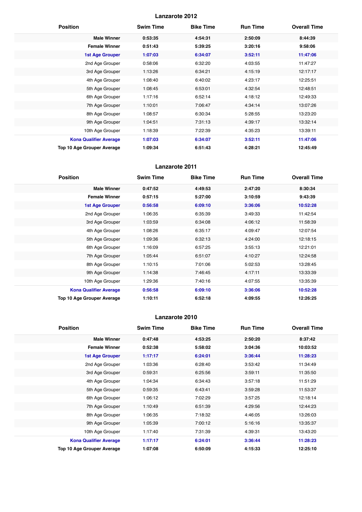| <b>Position</b>               | <b>Swim Time</b> | <b>Bike Time</b> | <b>Run Time</b> | <b>Overall Time</b> |
|-------------------------------|------------------|------------------|-----------------|---------------------|
| <b>Male Winner</b>            | 0:53:35          | 4:54:31          | 2:50:09         | 8:44:39             |
| <b>Female Winner</b>          | 0:51:43          | 5:39:25          | 3:20:16         | 9:58:06             |
| <b>1st Age Grouper</b>        | 1:07:03          | 6:34:07          | 3:52:11         | 11:47:06            |
| 2nd Age Grouper               | 0:58:06          | 6:32:20          | 4:03:55         | 11:47:27            |
| 3rd Age Grouper               | 1:13:26          | 6:34:21          | 4:15:19         | 12:17:17            |
| 4th Age Grouper               | 1:08:40          | 6:40:02          | 4:23:17         | 12:25:51            |
| 5th Age Grouper               | 1:08:45          | 6:53:01          | 4:32:54         | 12:48:51            |
| 6th Age Grouper               | 1:17:16          | 6:52:14          | 4:18:12         | 12:49:33            |
| 7th Age Grouper               | 1:10:01          | 7:06:47          | 4:34:14         | 13:07:26            |
| 8th Age Grouper               | 1:08:57          | 6:30:34          | 5:28:55         | 13:23:20            |
| 9th Age Grouper               | 1:04:51          | 7:31:13          | 4:39:17         | 13:32:14            |
| 10th Age Grouper              | 1:18:39          | 7:22:39          | 4:35:23         | 13:39:11            |
| <b>Kona Qualifier Average</b> | 1:07:03          | 6:34:07          | 3:52:11         | 11:47:06            |
| Top 10 Age Grouper Average    | 1:09:34          | 6:51:43          | 4:28:21         | 12:45:49            |

# **Lanzarote 2011**

| <b>Position</b>                   | <b>Swim Time</b> | <b>Bike Time</b> | <b>Run Time</b> | <b>Overall Time</b> |
|-----------------------------------|------------------|------------------|-----------------|---------------------|
| <b>Male Winner</b>                | 0:47:52          | 4:49:53          | 2:47:20         | 8:30:34             |
| <b>Female Winner</b>              | 0:57:15          | 5:27:00          | 3:10:59         | 9:43:39             |
| <b>1st Age Grouper</b>            | 0:56:58          | 6:09:10          | 3:36:06         | 10:52:28            |
| 2nd Age Grouper                   | 1:06:35          | 6:35:39          | 3:49:33         | 11:42:54            |
| 3rd Age Grouper                   | 1:03:59          | 6:34:08          | 4:06:12         | 11:58:39            |
| 4th Age Grouper                   | 1:08:26          | 6:35:17          | 4:09:47         | 12:07:54            |
| 5th Age Grouper                   | 1:09:36          | 6:32:13          | 4:24:00         | 12:18:15            |
| 6th Age Grouper                   | 1:16:09          | 6:57:25          | 3:55:13         | 12:21:01            |
| 7th Age Grouper                   | 1:05:44          | 6:51:07          | 4:10:27         | 12:24:58            |
| 8th Age Grouper                   | 1:10:15          | 7:01:06          | 5:02:53         | 13:28:45            |
| 9th Age Grouper                   | 1:14:38          | 7:46:45          | 4:17:11         | 13:33:39            |
| 10th Age Grouper                  | 1:29:36          | 7:40:16          | 4:07:55         | 13:35:39            |
| <b>Kona Qualifier Average</b>     | 0:56:58          | 6:09:10          | 3:36:06         | 10:52:28            |
| <b>Top 10 Age Grouper Average</b> | 1:10:11          | 6:52:18          | 4:09:55         | 12:26:25            |

| <b>Position</b>               | <b>Swim Time</b> | <b>Bike Time</b> | <b>Run Time</b> | <b>Overall Time</b> |
|-------------------------------|------------------|------------------|-----------------|---------------------|
| <b>Male Winner</b>            | 0:47:48          | 4:53:25          | 2:50:20         | 8:37:42             |
| <b>Female Winner</b>          | 0:52:38          | 5:58:02          | 3:04:36         | 10:03:52            |
| 1st Age Grouper               | 1:17:17          | 6:24:01          | 3:36:44         | 11:28:23            |
| 2nd Age Grouper               | 1:03:36          | 6:28:40          | 3:53:42         | 11:34:49            |
| 3rd Age Grouper               | 0:59:31          | 6:25:56          | 3:59:11         | 11:35:50            |
| 4th Age Grouper               | 1:04:34          | 6:34:43          | 3:57:18         | 11:51:29            |
| 5th Age Grouper               | 0:59:35          | 6:43:41          | 3:59:28         | 11:53:37            |
| 6th Age Grouper               | 1:06:12          | 7:02:29          | 3:57:25         | 12:18:14            |
| 7th Age Grouper               | 1:10:49          | 6:51:39          | 4:29:56         | 12:44:23            |
| 8th Age Grouper               | 1:06:35          | 7:18:32          | 4:46:05         | 13:26:03            |
| 9th Age Grouper               | 1:05:39          | 7:00:12          | 5:16:16         | 13:35:37            |
| 10th Age Grouper              | 1:17:40          | 7:31:39          | 4:39:31         | 13:43:20            |
| <b>Kona Qualifier Average</b> | 1:17:17          | 6:24:01          | 3:36:44         | 11:28:23            |
| Top 10 Age Grouper Average    | 1:07:08          | 6:50:09          | 4:15:33         | 12:25:10            |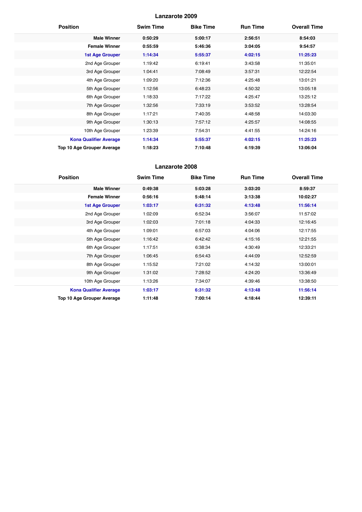| <b>Position</b>               | <b>Swim Time</b> | <b>Bike Time</b> | <b>Run Time</b> | <b>Overall Time</b> |
|-------------------------------|------------------|------------------|-----------------|---------------------|
| <b>Male Winner</b>            | 0:50:29          | 5:00:17          | 2:56:51         | 8:54:03             |
| <b>Female Winner</b>          | 0:55:59          | 5:46:36          | 3:04:05         | 9:54:57             |
| <b>1st Age Grouper</b>        | 1:14:34          | 5:55:37          | 4:02:15         | 11:25:23            |
| 2nd Age Grouper               | 1:19:42          | 6:19:41          | 3:43:58         | 11:35:01            |
| 3rd Age Grouper               | 1:04:41          | 7:08:49          | 3:57:31         | 12:22:54            |
| 4th Age Grouper               | 1:09:20          | 7:12:36          | 4:25:48         | 13:01:21            |
| 5th Age Grouper               | 1:12:56          | 6:48:23          | 4:50:32         | 13:05:18            |
| 6th Age Grouper               | 1:18:33          | 7:17:22          | 4:25:47         | 13:25:12            |
| 7th Age Grouper               | 1:32:56          | 7:33:19          | 3:53:52         | 13:28:54            |
| 8th Age Grouper               | 1:17:21          | 7:40:35          | 4:48:58         | 14:03:30            |
| 9th Age Grouper               | 1:30:13          | 7:57:12          | 4:25:57         | 14:08:55            |
| 10th Age Grouper              | 1:23:39          | 7:54:31          | 4:41:55         | 14:24:16            |
| <b>Kona Qualifier Average</b> | 1:14:34          | 5:55:37          | 4:02:15         | 11:25:23            |
| Top 10 Age Grouper Average    | 1:18:23          | 7:10:48          | 4:19:39         | 13:06:04            |

| <b>Position</b>               | <b>Swim Time</b> | <b>Bike Time</b> | <b>Run Time</b> | <b>Overall Time</b> |
|-------------------------------|------------------|------------------|-----------------|---------------------|
| <b>Male Winner</b>            | 0:49:38          | 5:03:28          | 3:03:20         | 8:59:37             |
| <b>Female Winner</b>          | 0:56:16          | 5:48:14          | 3:13:38         | 10:02:27            |
| <b>1st Age Grouper</b>        | 1:03:17          | 6:31:32          | 4:13:48         | 11:56:14            |
| 2nd Age Grouper               | 1:02:09          | 6:52:34          | 3:56:07         | 11:57:02            |
| 3rd Age Grouper               | 1:02:03          | 7:01:18          | 4:04:33         | 12:16:45            |
| 4th Age Grouper               | 1:09:01          | 6:57:03          | 4:04:06         | 12:17:55            |
| 5th Age Grouper               | 1:16:42          | 6:42:42          | 4:15:16         | 12:21:55            |
| 6th Age Grouper               | 1:17:51          | 6:38:34          | 4:30:49         | 12:33:21            |
| 7th Age Grouper               | 1:06:45          | 6:54:43          | 4:44:09         | 12:52:59            |
| 8th Age Grouper               | 1:15:52          | 7:21:02          | 4:14:32         | 13:00:01            |
| 9th Age Grouper               | 1:31:02          | 7:28:52          | 4:24:20         | 13:36:49            |
| 10th Age Grouper              | 1:13:26          | 7:34:07          | 4:39:46         | 13:38:50            |
| <b>Kona Qualifier Average</b> | 1:03:17          | 6:31:32          | 4:13:48         | 11:56:14            |
| Top 10 Age Grouper Average    | 1:11:48          | 7:00:14          | 4:18:44         | 12:39:11            |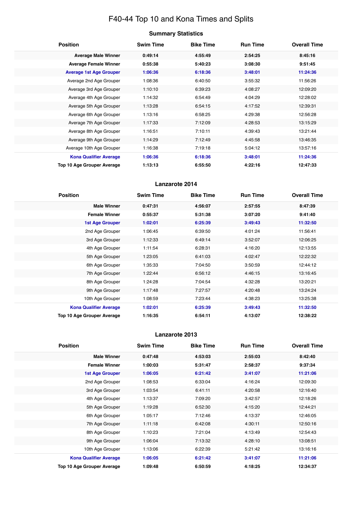# F40-44 Top 10 and Kona Times and Splits

| <b>Summary Statistics</b> |  |
|---------------------------|--|
|---------------------------|--|

| <b>Position</b>                   | <b>Swim Time</b> | <b>Bike Time</b> | <b>Run Time</b> | <b>Overall Time</b> |
|-----------------------------------|------------------|------------------|-----------------|---------------------|
| <b>Average Male Winner</b>        | 0:49:14          | 4:55:49          | 2:54:25         | 8:45:16             |
| <b>Average Female Winner</b>      | 0:55:38          | 5:40:23          | 3:08:30         | 9:51:45             |
| <b>Average 1st Age Grouper</b>    | 1:06:36          | 6:18:36          | 3:48:01         | 11:24:36            |
| Average 2nd Age Grouper           | 1:08:36          | 6:40:50          | 3:55:32         | 11:56:26            |
| Average 3rd Age Grouper           | 1:10:10          | 6:39:23          | 4:08:27         | 12:09:20            |
| Average 4th Age Grouper           | 1:14:32          | 6:54:49          | 4:04:29         | 12:28:02            |
| Average 5th Age Grouper           | 1:13:28          | 6:54:15          | 4:17:52         | 12:39:31            |
| Average 6th Age Grouper           | 1:13:16          | 6:58:25          | 4:29:38         | 12:56:28            |
| Average 7th Age Grouper           | 1:17:33          | 7:12:09          | 4:28:53         | 13:15:29            |
| Average 8th Age Grouper           | 1:16:51          | 7:10:11          | 4:39:43         | 13:21:44            |
| Average 9th Age Grouper           | 1:14:29          | 7:12:49          | 4:45:58         | 13:46:35            |
| Average 10th Age Grouper          | 1:16:38          | 7:19:18          | 5:04:12         | 13:57:16            |
| <b>Kona Qualifier Average</b>     | 1:06:36          | 6:18:36          | 3:48:01         | 11:24:36            |
| <b>Top 10 Age Grouper Average</b> | 1:13:13          | 6:55:50          | 4:22:16         | 12:47:33            |

# **Lanzarote 2014**

| <b>Position</b>               | <b>Swim Time</b> | <b>Bike Time</b> | <b>Run Time</b> | <b>Overall Time</b> |
|-------------------------------|------------------|------------------|-----------------|---------------------|
| <b>Male Winner</b>            | 0:47:31          | 4:56:07          | 2:57:55         | 8:47:39             |
| <b>Female Winner</b>          | 0:55:37          | 5:31:38          | 3:07:20         | 9:41:40             |
| <b>1st Age Grouper</b>        | 1:02:01          | 6:25:39          | 3:49:43         | 11:32:50            |
| 2nd Age Grouper               | 1:06:45          | 6:39:50          | 4:01:24         | 11:56:41            |
| 3rd Age Grouper               | 1:12:33          | 6:49:14          | 3:52:07         | 12:06:25            |
| 4th Age Grouper               | 1:11:54          | 6:28:31          | 4:16:20         | 12:13:55            |
| 5th Age Grouper               | 1:23:05          | 6:41:03          | 4:02:47         | 12:22:32            |
| 6th Age Grouper               | 1:35:33          | 7:04:50          | 3:50:59         | 12:44:12            |
| 7th Age Grouper               | 1:22:44          | 6:56:12          | 4:46:15         | 13:16:45            |
| 8th Age Grouper               | 1:24:28          | 7:04:54          | 4:32:28         | 13:20:21            |
| 9th Age Grouper               | 1:17:48          | 7:27:57          | 4:20:48         | 13:24:24            |
| 10th Age Grouper              | 1:08:59          | 7:23:44          | 4:38:23         | 13:25:38            |
| <b>Kona Qualifier Average</b> | 1:02:01          | 6:25:39          | 3:49:43         | 11:32:50            |
| Top 10 Age Grouper Average    | 1:16:35          | 6:54:11          | 4:13:07         | 12:38:22            |

| <b>Position</b>                   | <b>Swim Time</b> | <b>Bike Time</b> | <b>Run Time</b> | <b>Overall Time</b> |
|-----------------------------------|------------------|------------------|-----------------|---------------------|
| <b>Male Winner</b>                | 0:47:48          | 4:53:03          | 2:55:03         | 8:42:40             |
| <b>Female Winner</b>              | 1:00:03          | 5:31:47          | 2:58:37         | 9:37:34             |
| <b>1st Age Grouper</b>            | 1:06:05          | 6:21:42          | 3:41:07         | 11:21:06            |
| 2nd Age Grouper                   | 1:08:53          | 6:33:04          | 4:16:24         | 12:09:30            |
| 3rd Age Grouper                   | 1:03:54          | 6:41:11          | 4:20:58         | 12:16:40            |
| 4th Age Grouper                   | 1:13:37          | 7:09:20          | 3:42:57         | 12:18:26            |
| 5th Age Grouper                   | 1:19:28          | 6:52:30          | 4:15:20         | 12:44:21            |
| 6th Age Grouper                   | 1:05:17          | 7:12:46          | 4:13:37         | 12:46:05            |
| 7th Age Grouper                   | 1:11:18          | 6:42:08          | 4:30:11         | 12:50:16            |
| 8th Age Grouper                   | 1:10:23          | 7:21:04          | 4:13:49         | 12:54:43            |
| 9th Age Grouper                   | 1:06:04          | 7:13:32          | 4:28:10         | 13:08:51            |
| 10th Age Grouper                  | 1:13:06          | 6:22:39          | 5:21:42         | 13:16:16            |
| <b>Kona Qualifier Average</b>     | 1:06:05          | 6:21:42          | 3:41:07         | 11:21:06            |
| <b>Top 10 Age Grouper Average</b> | 1:09:48          | 6:50:59          | 4:18:25         | 12:34:37            |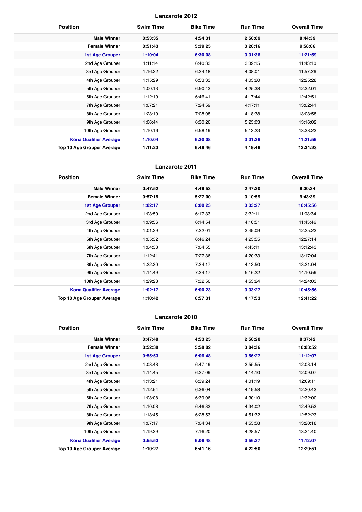| <b>Position</b>               | <b>Swim Time</b> | <b>Bike Time</b> | <b>Run Time</b> | <b>Overall Time</b> |
|-------------------------------|------------------|------------------|-----------------|---------------------|
| <b>Male Winner</b>            | 0:53:35          | 4:54:31          | 2:50:09         | 8:44:39             |
| <b>Female Winner</b>          | 0:51:43          | 5:39:25          | 3:20:16         | 9:58:06             |
| <b>1st Age Grouper</b>        | 1:10:04          | 6:30:08          | 3:31:36         | 11:21:59            |
| 2nd Age Grouper               | 1:11:14          | 6:40:33          | 3:39:15         | 11:43:10            |
| 3rd Age Grouper               | 1:16:22          | 6:24:18          | 4:08:01         | 11:57:26            |
| 4th Age Grouper               | 1:15:29          | 6:53:33          | 4:03:20         | 12:25:28            |
| 5th Age Grouper               | 1:00:13          | 6:50:43          | 4:25:38         | 12:32:01            |
| 6th Age Grouper               | 1:12:19          | 6:46:41          | 4:17:44         | 12:42:51            |
| 7th Age Grouper               | 1:07:21          | 7:24:59          | 4:17:11         | 13:02:41            |
| 8th Age Grouper               | 1:23:19          | 7:08:08          | 4:18:38         | 13:03:58            |
| 9th Age Grouper               | 1:06:44          | 6:30:26          | 5:23:03         | 13:16:02            |
| 10th Age Grouper              | 1:10:16          | 6:58:19          | 5:13:23         | 13:38:23            |
| <b>Kona Qualifier Average</b> | 1:10:04          | 6:30:08          | 3:31:36         | 11:21:59            |
| Top 10 Age Grouper Average    | 1:11:20          | 6:48:46          | 4:19:46         | 12:34:23            |

# **Lanzarote 2011**

| <b>Position</b>                   | <b>Swim Time</b> | <b>Bike Time</b> | <b>Run Time</b> | <b>Overall Time</b> |
|-----------------------------------|------------------|------------------|-----------------|---------------------|
| <b>Male Winner</b>                | 0:47:52          | 4:49:53          | 2:47:20         | 8:30:34             |
| <b>Female Winner</b>              | 0:57:15          | 5:27:00          | 3:10:59         | 9:43:39             |
| <b>1st Age Grouper</b>            | 1:02:17          | 6:00:23          | 3:33:27         | 10:45:56            |
| 2nd Age Grouper                   | 1:03:50          | 6:17:33          | 3:32:11         | 11:03:34            |
| 3rd Age Grouper                   | 1:09:56          | 6:14:54          | 4:10:51         | 11:45:46            |
| 4th Age Grouper                   | 1:01:29          | 7:22:01          | 3:49:09         | 12:25:23            |
| 5th Age Grouper                   | 1:05:32          | 6:46:24          | 4:23:55         | 12:27:14            |
| 6th Age Grouper                   | 1:04:38          | 7:04:55          | 4:45:11         | 13:12:43            |
| 7th Age Grouper                   | 1:12:41          | 7:27:36          | 4:20:33         | 13:17:04            |
| 8th Age Grouper                   | 1:22:30          | 7:24:17          | 4:13:50         | 13:21:04            |
| 9th Age Grouper                   | 1:14:49          | 7:24:17          | 5:16:22         | 14:10:59            |
| 10th Age Grouper                  | 1:29:23          | 7:32:50          | 4:53:24         | 14:24:03            |
| <b>Kona Qualifier Average</b>     | 1:02:17          | 6:00:23          | 3:33:27         | 10:45:56            |
| <b>Top 10 Age Grouper Average</b> | 1:10:42          | 6:57:31          | 4:17:53         | 12:41:22            |

| <b>Position</b>               | <b>Swim Time</b> | <b>Bike Time</b> | <b>Run Time</b> | <b>Overall Time</b> |
|-------------------------------|------------------|------------------|-----------------|---------------------|
| <b>Male Winner</b>            | 0:47:48          | 4:53:25          | 2:50:20         | 8:37:42             |
| <b>Female Winner</b>          | 0:52:38          | 5:58:02          | 3:04:36         | 10:03:52            |
| 1st Age Grouper               | 0:55:53          | 6:06:48          | 3:56:27         | 11:12:07            |
| 2nd Age Grouper               | 1:08:48          | 6:47:49          | 3:55:55         | 12:08:14            |
| 3rd Age Grouper               | 1:14:45          | 6:27:09          | 4:14:10         | 12:09:07            |
| 4th Age Grouper               | 1:13:21          | 6:39:24          | 4:01:19         | 12:09:11            |
| 5th Age Grouper               | 1:12:54          | 6:36:04          | 4:19:58         | 12:20:43            |
| 6th Age Grouper               | 1:08:08          | 6:39:06          | 4:30:10         | 12:32:00            |
| 7th Age Grouper               | 1:10:08          | 6:46:33          | 4:34:02         | 12:49:53            |
| 8th Age Grouper               | 1:13:45          | 6:28:53          | 4:51:32         | 12:52:23            |
| 9th Age Grouper               | 1:07:17          | 7:04:34          | 4:55:58         | 13:20:18            |
| 10th Age Grouper              | 1:19:39          | 7:16:20          | 4:28:57         | 13:24:40            |
| <b>Kona Qualifier Average</b> | 0:55:53          | 6:06:48          | 3:56:27         | 11:12:07            |
| Top 10 Age Grouper Average    | 1:10:27          | 6:41:16          | 4:22:50         | 12:29:51            |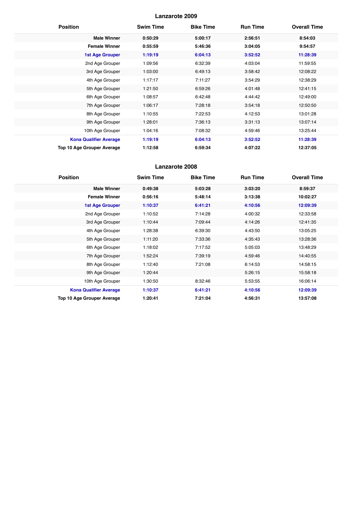| <b>Position</b>               | <b>Swim Time</b> | <b>Bike Time</b> | <b>Run Time</b> | <b>Overall Time</b> |
|-------------------------------|------------------|------------------|-----------------|---------------------|
| <b>Male Winner</b>            | 0:50:29          | 5:00:17          | 2:56:51         | 8:54:03             |
| <b>Female Winner</b>          | 0:55:59          | 5:46:36          | 3:04:05         | 9:54:57             |
| <b>1st Age Grouper</b>        | 1:19:19          | 6:04:13          | 3:52:52         | 11:28:39            |
| 2nd Age Grouper               | 1:09:56          | 6:32:39          | 4:03:04         | 11:59:55            |
| 3rd Age Grouper               | 1:03:00          | 6:49:13          | 3:58:42         | 12:08:22            |
| 4th Age Grouper               | 1:17:17          | 7:11:27          | 3:54:29         | 12:38:29            |
| 5th Age Grouper               | 1:21:50          | 6:59:26          | 4:01:48         | 12:41:15            |
| 6th Age Grouper               | 1:08:57          | 6:42:48          | 4:44:42         | 12:49:00            |
| 7th Age Grouper               | 1:06:17          | 7:28:18          | 3:54:18         | 12:50:50            |
| 8th Age Grouper               | 1:10:55          | 7:22:53          | 4:12:53         | 13:01:28            |
| 9th Age Grouper               | 1:28:01          | 7:36:13          | 3:31:13         | 13:07:14            |
| 10th Age Grouper              | 1:04:16          | 7:08:32          | 4:59:46         | 13:25:44            |
| <b>Kona Qualifier Average</b> | 1:19:19          | 6:04:13          | 3:52:52         | 11:28:39            |
| Top 10 Age Grouper Average    | 1:12:58          | 6:59:34          | 4:07:22         | 12:37:05            |

| <b>Position</b>                   | <b>Swim Time</b> | <b>Bike Time</b> | <b>Run Time</b> | <b>Overall Time</b> |
|-----------------------------------|------------------|------------------|-----------------|---------------------|
| <b>Male Winner</b>                | 0:49:38          | 5:03:28          | 3:03:20         | 8:59:37             |
| <b>Female Winner</b>              | 0:56:16          | 5:48:14          | 3:13:38         | 10:02:27            |
| <b>1st Age Grouper</b>            | 1:10:37          | 6:41:21          | 4:10:56         | 12:09:39            |
| 2nd Age Grouper                   | 1:10:52          | 7:14:28          | 4:00:32         | 12:33:58            |
| 3rd Age Grouper                   | 1:10:44          | 7:09:44          | 4:14:26         | 12:41:35            |
| 4th Age Grouper                   | 1:28:38          | 6:39:30          | 4:43:50         | 13:05:25            |
| 5th Age Grouper                   | 1:11:20          | 7:33:36          | 4:35:43         | 13:28:36            |
| 6th Age Grouper                   | 1:18:02          | 7:17:52          | 5:05:03         | 13:48:29            |
| 7th Age Grouper                   | 1:52:24          | 7:39:19          | 4:59:46         | 14:40:55            |
| 8th Age Grouper                   | 1:12:40          | 7:21:08          | 6:14:53         | 14:58:15            |
| 9th Age Grouper                   | 1:20:44          |                  | 5:26:15         | 15:58:18            |
| 10th Age Grouper                  | 1:30:50          | 8:32:46          | 5:53:55         | 16:06:14            |
| <b>Kona Qualifier Average</b>     | 1:10:37          | 6:41:21          | 4:10:56         | 12:09:39            |
| <b>Top 10 Age Grouper Average</b> | 1:20:41          | 7:21:04          | 4:56:31         | 13:57:08            |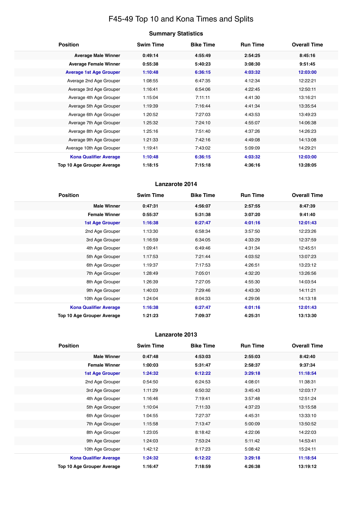# F45-49 Top 10 and Kona Times and Splits

|  | <b>Summary Statistics</b> |
|--|---------------------------|
|--|---------------------------|

| <b>Position</b>                   | <b>Swim Time</b> | <b>Bike Time</b> | <b>Run Time</b> | <b>Overall Time</b> |
|-----------------------------------|------------------|------------------|-----------------|---------------------|
| <b>Average Male Winner</b>        | 0:49:14          | 4:55:49          | 2:54:25         | 8:45:16             |
| <b>Average Female Winner</b>      | 0:55:38          | 5:40:23          | 3:08:30         | 9:51:45             |
| <b>Average 1st Age Grouper</b>    | 1:10:48          | 6:36:15          | 4:03:32         | 12:03:00            |
| Average 2nd Age Grouper           | 1:08:55          | 6:47:35          | 4:12:34         | 12:22:21            |
| Average 3rd Age Grouper           | 1:16:41          | 6:54:06          | 4:22:45         | 12:50:11            |
| Average 4th Age Grouper           | 1:15:04          | 7:11:11          | 4:41:30         | 13:16:21            |
| Average 5th Age Grouper           | 1:19:39          | 7:16:44          | 4:41:34         | 13:35:54            |
| Average 6th Age Grouper           | 1:20:52          | 7:27:03          | 4:43:53         | 13:49:23            |
| Average 7th Age Grouper           | 1:25:32          | 7:24:10          | 4:55:07         | 14:06:38            |
| Average 8th Age Grouper           | 1:25:16          | 7:51:40          | 4:37:26         | 14:26:23            |
| Average 9th Age Grouper           | 1:21:33          | 7:42:16          | 4:49:08         | 14:13:08            |
| Average 10th Age Grouper          | 1:19:41          | 7:43:02          | 5:09:09         | 14:29:21            |
| <b>Kona Qualifier Average</b>     | 1:10:48          | 6:36:15          | 4:03:32         | 12:03:00            |
| <b>Top 10 Age Grouper Average</b> | 1:18:15          | 7:15:18          | 4:36:16         | 13:28:05            |

# **Lanzarote 2014**

| <b>Position</b>               | <b>Swim Time</b> | <b>Bike Time</b> | <b>Run Time</b> | <b>Overall Time</b> |
|-------------------------------|------------------|------------------|-----------------|---------------------|
| <b>Male Winner</b>            | 0:47:31          | 4:56:07          | 2:57:55         | 8:47:39             |
| <b>Female Winner</b>          | 0:55:37          | 5:31:38          | 3:07:20         | 9:41:40             |
| <b>1st Age Grouper</b>        | 1:16:38          | 6:27:47          | 4:01:16         | 12:01:43            |
| 2nd Age Grouper               | 1:13:30          | 6:58:34          | 3:57:50         | 12:23:26            |
| 3rd Age Grouper               | 1:16:59          | 6:34:05          | 4:33:29         | 12:37:59            |
| 4th Age Grouper               | 1:09:41          | 6:49:46          | 4:31:34         | 12:45:51            |
| 5th Age Grouper               | 1:17:53          | 7:21:44          | 4:03:52         | 13:07:23            |
| 6th Age Grouper               | 1:19:37          | 7:17:53          | 4:26:51         | 13:23:12            |
| 7th Age Grouper               | 1:28:49          | 7:05:01          | 4:32:20         | 13:26:56            |
| 8th Age Grouper               | 1:26:39          | 7:27:05          | 4:55:30         | 14:03:54            |
| 9th Age Grouper               | 1:40:03          | 7:29:46          | 4:43:30         | 14:11:21            |
| 10th Age Grouper              | 1:24:04          | 8:04:33          | 4:29:06         | 14:13:18            |
| <b>Kona Qualifier Average</b> | 1:16:38          | 6:27:47          | 4:01:16         | 12:01:43            |
| Top 10 Age Grouper Average    | 1:21:23          | 7:09:37          | 4:25:31         | 13:13:30            |

| <b>Position</b>               | <b>Swim Time</b> | <b>Bike Time</b> | <b>Run Time</b> | <b>Overall Time</b> |
|-------------------------------|------------------|------------------|-----------------|---------------------|
| <b>Male Winner</b>            | 0:47:48          | 4:53:03          | 2:55:03         | 8:42:40             |
| <b>Female Winner</b>          | 1:00:03          | 5:31:47          | 2:58:37         | 9:37:34             |
| <b>1st Age Grouper</b>        | 1:24:32          | 6:12:22          | 3:29:18         | 11:18:54            |
| 2nd Age Grouper               | 0:54:50          | 6:24:53          | 4:08:01         | 11:38:31            |
| 3rd Age Grouper               | 1:11:29          | 6:50:32          | 3:45:43         | 12:03:17            |
| 4th Age Grouper               | 1:16:46          | 7:19:41          | 3:57:48         | 12:51:24            |
| 5th Age Grouper               | 1:10:04          | 7:11:33          | 4:37:23         | 13:15:58            |
| 6th Age Grouper               | 1:04:55          | 7:27:37          | 4:45:31         | 13:33:10            |
| 7th Age Grouper               | 1:15:58          | 7:13:47          | 5:00:09         | 13:50:52            |
| 8th Age Grouper               | 1:23:05          | 8:18:42          | 4:22:06         | 14:22:03            |
| 9th Age Grouper               | 1:24:03          | 7:53:24          | 5:11:42         | 14:53:41            |
| 10th Age Grouper              | 1:42:12          | 8:17:23          | 5:08:42         | 15:24:11            |
| <b>Kona Qualifier Average</b> | 1:24:32          | 6:12:22          | 3:29:18         | 11:18:54            |
| Top 10 Age Grouper Average    | 1:16:47          | 7:18:59          | 4:26:38         | 13:19:12            |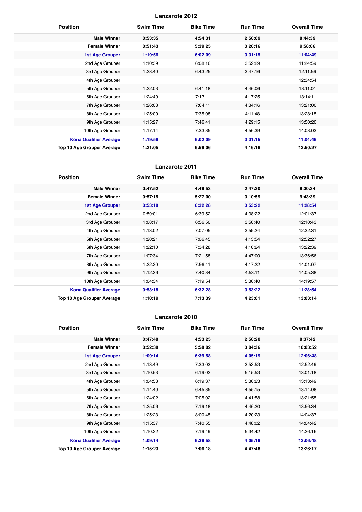| <b>Position</b>               | <b>Swim Time</b> | <b>Bike Time</b> | <b>Run Time</b> | <b>Overall Time</b> |
|-------------------------------|------------------|------------------|-----------------|---------------------|
| <b>Male Winner</b>            | 0:53:35          | 4:54:31          | 2:50:09         | 8:44:39             |
| <b>Female Winner</b>          | 0:51:43          | 5:39:25          | 3:20:16         | 9:58:06             |
| <b>1st Age Grouper</b>        | 1:19:56          | 6:02:09          | 3:31:15         | 11:04:49            |
| 2nd Age Grouper               | 1:10:39          | 6:08:16          | 3:52:29         | 11:24:59            |
| 3rd Age Grouper               | 1:28:40          | 6:43:25          | 3:47:16         | 12:11:59            |
| 4th Age Grouper               |                  |                  |                 | 12:34:54            |
| 5th Age Grouper               | 1:22:03          | 6:41:18          | 4:46:06         | 13:11:01            |
| 6th Age Grouper               | 1:24:49          | 7:17:11          | 4:17:25         | 13:14:11            |
| 7th Age Grouper               | 1:26:03          | 7:04:11          | 4:34:16         | 13:21:00            |
| 8th Age Grouper               | 1:25:00          | 7:35:08          | 4:11:48         | 13:28:15            |
| 9th Age Grouper               | 1:15:27          | 7:46:41          | 4:29:15         | 13:50:20            |
| 10th Age Grouper              | 1:17:14          | 7:33:35          | 4:56:39         | 14:03:03            |
| <b>Kona Qualifier Average</b> | 1:19:56          | 6:02:09          | 3:31:15         | 11:04:49            |
| Top 10 Age Grouper Average    | 1:21:05          | 6:59:06          | 4:16:16         | 12:50:27            |

# **Lanzarote 2011**

| <b>Position</b>               | <b>Swim Time</b> | <b>Bike Time</b> | <b>Run Time</b> | <b>Overall Time</b> |
|-------------------------------|------------------|------------------|-----------------|---------------------|
| <b>Male Winner</b>            | 0:47:52          | 4:49:53          | 2:47:20         | 8:30:34             |
| <b>Female Winner</b>          | 0:57:15          | 5:27:00          | 3:10:59         | 9:43:39             |
| 1st Age Grouper               | 0:53:18          | 6:32:28          | 3:53:22         | 11:28:54            |
| 2nd Age Grouper               | 0:59:01          | 6:39:52          | 4:08:22         | 12:01:37            |
| 3rd Age Grouper               | 1:08:17          | 6:56:50          | 3:50:40         | 12:10:43            |
| 4th Age Grouper               | 1:13:02          | 7:07:05          | 3:59:24         | 12:32:31            |
| 5th Age Grouper               | 1:20:21          | 7:06:45          | 4:13:54         | 12:52:27            |
| 6th Age Grouper               | 1:22:10          | 7:34:28          | 4:10:24         | 13:22:39            |
| 7th Age Grouper               | 1:07:34          | 7:21:58          | 4:47:00         | 13:36:56            |
| 8th Age Grouper               | 1:22:20          | 7:56:41          | 4:17:22         | 14:01:07            |
| 9th Age Grouper               | 1:12:36          | 7:40:34          | 4:53:11         | 14:05:38            |
| 10th Age Grouper              | 1:04:34          | 7:19:54          | 5:36:40         | 14:19:57            |
| <b>Kona Qualifier Average</b> | 0:53:18          | 6:32:28          | 3:53:22         | 11:28:54            |
| Top 10 Age Grouper Average    | 1:10:19          | 7:13:39          | 4:23:01         | 13:03:14            |

| <b>Position</b>               | <b>Swim Time</b> | <b>Bike Time</b> | <b>Run Time</b> | <b>Overall Time</b> |
|-------------------------------|------------------|------------------|-----------------|---------------------|
| <b>Male Winner</b>            | 0:47:48          | 4:53:25          | 2:50:20         | 8:37:42             |
| <b>Female Winner</b>          | 0:52:38          | 5:58:02          | 3:04:36         | 10:03:52            |
| 1st Age Grouper               | 1:09:14          | 6:39:58          | 4:05:19         | 12:06:48            |
| 2nd Age Grouper               | 1:13:49          | 7:33:03          | 3:53:53         | 12:52:49            |
| 3rd Age Grouper               | 1:10:53          | 6:19:02          | 5:15:53         | 13:01:18            |
| 4th Age Grouper               | 1:04:53          | 6:19:37          | 5:36:23         | 13:13:49            |
| 5th Age Grouper               | 1:14:40          | 6:45:35          | 4:55:15         | 13:14:08            |
| 6th Age Grouper               | 1:24:02          | 7:05:02          | 4:41:58         | 13:21:55            |
| 7th Age Grouper               | 1:25:06          | 7:19:18          | 4:46:20         | 13:56:34            |
| 8th Age Grouper               | 1:25:23          | 8:00:45          | 4:20:23         | 14:04:37            |
| 9th Age Grouper               | 1:15:37          | 7:40:55          | 4:48:02         | 14:04:42            |
| 10th Age Grouper              | 1:10:22          | 7:19:49          | 5:34:42         | 14:26:16            |
| <b>Kona Qualifier Average</b> | 1:09:14          | 6:39:58          | 4:05:19         | 12:06:48            |
| Top 10 Age Grouper Average    | 1:15:23          | 7:06:18          | 4:47:48         | 13:26:17            |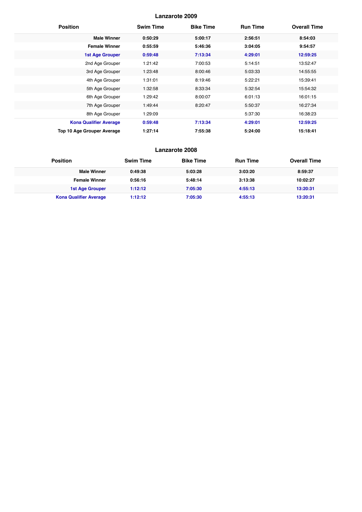| <b>Position</b>                   | <b>Swim Time</b> | <b>Bike Time</b> | <b>Run Time</b> | <b>Overall Time</b> |
|-----------------------------------|------------------|------------------|-----------------|---------------------|
| <b>Male Winner</b>                | 0:50:29          | 5:00:17          | 2:56:51         | 8:54:03             |
| <b>Female Winner</b>              | 0:55:59          | 5:46:36          | 3:04:05         | 9:54:57             |
| <b>1st Age Grouper</b>            | 0:59:48          | 7:13:34          | 4:29:01         | 12:59:25            |
| 2nd Age Grouper                   | 1:21:42          | 7:00:53          | 5:14:51         | 13:52:47            |
| 3rd Age Grouper                   | 1:23:48          | 8:00:46          | 5:03:33         | 14:55:55            |
| 4th Age Grouper                   | 1:31:01          | 8:19:46          | 5:22:21         | 15:39:41            |
| 5th Age Grouper                   | 1:32:58          | 8:33:34          | 5:32:54         | 15:54:32            |
| 6th Age Grouper                   | 1:29:42          | 8:00:07          | 6:01:13         | 16:01:15            |
| 7th Age Grouper                   | 1:49:44          | 8:20:47          | 5:50:37         | 16:27:34            |
| 8th Age Grouper                   | 1:29:09          |                  | 5:37:30         | 16:38:23            |
| <b>Kona Qualifier Average</b>     | 0:59:48          | 7:13:34          | 4:29:01         | 12:59:25            |
| <b>Top 10 Age Grouper Average</b> | 1:27:14          | 7:55:38          | 5:24:00         | 15:18:41            |

| <b>Position</b>               | <b>Swim Time</b> | <b>Bike Time</b> | <b>Run Time</b> | <b>Overall Time</b> |
|-------------------------------|------------------|------------------|-----------------|---------------------|
| <b>Male Winner</b>            | 0:49:38          | 5:03:28          | 3:03:20         | 8:59:37             |
| <b>Female Winner</b>          | 0:56:16          | 5:48:14          | 3:13:38         | 10:02:27            |
| <b>1st Age Grouper</b>        | 1:12:12          | 7:05:30          | 4:55:13         | 13:20:31            |
| <b>Kona Qualifier Average</b> | 1:12:12          | 7:05:30          | 4:55:13         | 13:20:31            |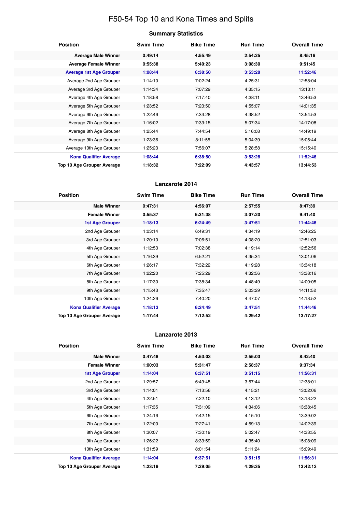# F50-54 Top 10 and Kona Times and Splits

# **Summary Statistics**

| <b>Position</b>                   | <b>Swim Time</b> | <b>Bike Time</b> | <b>Run Time</b> | <b>Overall Time</b> |
|-----------------------------------|------------------|------------------|-----------------|---------------------|
| <b>Average Male Winner</b>        | 0:49:14          | 4:55:49          | 2:54:25         | 8:45:16             |
| <b>Average Female Winner</b>      | 0:55:38          | 5:40:23          | 3:08:30         | 9:51:45             |
| <b>Average 1st Age Grouper</b>    | 1:08:44          | 6:38:50          | 3:53:28         | 11:52:46            |
| Average 2nd Age Grouper           | 1:14:10          | 7:02:24          | 4:25:31         | 12:58:04            |
| Average 3rd Age Grouper           | 1:14:34          | 7:07:29          | 4:35:15         | 13:13:11            |
| Average 4th Age Grouper           | 1:18:58          | 7:17:40          | 4:38:11         | 13:46:53            |
| Average 5th Age Grouper           | 1:23:52          | 7:23:50          | 4:55:07         | 14:01:35            |
| Average 6th Age Grouper           | 1:22:46          | 7:33:28          | 4:38:52         | 13:54:53            |
| Average 7th Age Grouper           | 1:16:02          | 7:33:15          | 5:07:34         | 14:17:08            |
| Average 8th Age Grouper           | 1:25:44          | 7:44:54          | 5:16:08         | 14:49:19            |
| Average 9th Age Grouper           | 1:23:36          | 8:11:55          | 5:04:39         | 15:05:44            |
| Average 10th Age Grouper          | 1:25:23          | 7:56:07          | 5:28:58         | 15:15:40            |
| <b>Kona Qualifier Average</b>     | 1:08:44          | 6:38:50          | 3:53:28         | 11:52:46            |
| <b>Top 10 Age Grouper Average</b> | 1:18:32          | 7:22:09          | 4:43:57         | 13:44:53            |

# **Lanzarote 2014**

| <b>Position</b>               | <b>Swim Time</b> | <b>Bike Time</b> | <b>Run Time</b> | <b>Overall Time</b> |
|-------------------------------|------------------|------------------|-----------------|---------------------|
| <b>Male Winner</b>            | 0:47:31          | 4:56:07          | 2:57:55         | 8:47:39             |
| <b>Female Winner</b>          | 0:55:37          | 5:31:38          | 3:07:20         | 9:41:40             |
| 1st Age Grouper               | 1:18:13          | 6:24:49          | 3:47:51         | 11:44:46            |
| 2nd Age Grouper               | 1:03:14          | 6:49:31          | 4:34:19         | 12:46:25            |
| 3rd Age Grouper               | 1:20:10          | 7:06:51          | 4:08:20         | 12:51:03            |
| 4th Age Grouper               | 1:12:53          | 7:02:38          | 4:19:14         | 12:52:56            |
| 5th Age Grouper               | 1:16:39          | 6:52:21          | 4:35:34         | 13:01:06            |
| 6th Age Grouper               | 1:26:17          | 7:32:22          | 4:19:28         | 13:34:18            |
| 7th Age Grouper               | 1:22:20          | 7:25:29          | 4:32:56         | 13:38:16            |
| 8th Age Grouper               | 1:17:30          | 7:38:34          | 4:48:49         | 14:00:05            |
| 9th Age Grouper               | 1:15:43          | 7:35:47          | 5:03:29         | 14:11:52            |
| 10th Age Grouper              | 1:24:26          | 7:40:20          | 4:47:07         | 14:13:52            |
| <b>Kona Qualifier Average</b> | 1:18:13          | 6:24:49          | 3:47:51         | 11:44:46            |
| Top 10 Age Grouper Average    | 1:17:44          | 7:12:52          | 4:29:42         | 13:17:27            |

| <b>Position</b>               | <b>Swim Time</b> | <b>Bike Time</b> | <b>Run Time</b> | <b>Overall Time</b> |
|-------------------------------|------------------|------------------|-----------------|---------------------|
| <b>Male Winner</b>            | 0:47:48          | 4:53:03          | 2:55:03         | 8:42:40             |
| <b>Female Winner</b>          | 1:00:03          | 5:31:47          | 2:58:37         | 9:37:34             |
| <b>1st Age Grouper</b>        | 1:14:04          | 6:37:51          | 3:51:15         | 11:56:31            |
| 2nd Age Grouper               | 1:29:57          | 6:49:45          | 3:57:44         | 12:38:01            |
| 3rd Age Grouper               | 1:14:01          | 7:13:56          | 4:15:21         | 13:02:06            |
| 4th Age Grouper               | 1:22:51          | 7:22:10          | 4:13:12         | 13:13:22            |
| 5th Age Grouper               | 1:17:35          | 7:31:09          | 4:34:06         | 13:38:45            |
| 6th Age Grouper               | 1:24:16          | 7:42:15          | 4:15:10         | 13:39:02            |
| 7th Age Grouper               | 1:22:00          | 7:27:41          | 4:59:13         | 14:02:39            |
| 8th Age Grouper               | 1:30:07          | 7:30:19          | 5:02:47         | 14:33:55            |
| 9th Age Grouper               | 1:26:22          | 8:33:59          | 4:35:40         | 15:08:09            |
| 10th Age Grouper              | 1:31:59          | 8:01:54          | 5:11:24         | 15:09:49            |
| <b>Kona Qualifier Average</b> | 1:14:04          | 6:37:51          | 3:51:15         | 11:56:31            |
| Top 10 Age Grouper Average    | 1:23:19          | 7:29:05          | 4:29:35         | 13:42:13            |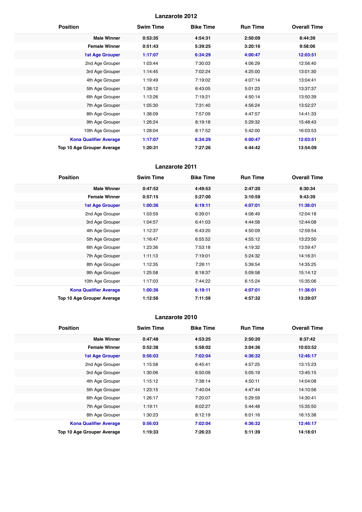| <b>Position</b>                   | <b>Swim Time</b> | <b>Bike Time</b> | <b>Run Time</b> | <b>Overall Time</b> |
|-----------------------------------|------------------|------------------|-----------------|---------------------|
| <b>Male Winner</b>                | 0:53:35          | 4:54:31          | 2:50:09         | 8:44:39             |
| <b>Female Winner</b>              | 0:51:43          | 5:39:25          | 3:20:16         | 9:58:06             |
| <b>1st Age Grouper</b>            | 1:17:07          | 6:34:29          | 4:00:47         | 12:03:51            |
| 2nd Age Grouper                   | 1:03:44          | 7:30:03          | 4:06:29         | 12:56:40            |
| 3rd Age Grouper                   | 1:14:45          | 7:02:24          | 4:25:00         | 13:01:30            |
| 4th Age Grouper                   | 1:19:49          | 7:19:02          | 4:07:14         | 13:04:41            |
| 5th Age Grouper                   | 1:38:12          | 6:43:05          | 5:01:23         | 13:37:37            |
| 6th Age Grouper                   | 1:13:26          | 7:19:21          | 4:50:14         | 13:50:39            |
| 7th Age Grouper                   | 1:05:30          | 7:31:40          | 4:56:24         | 13:52:27            |
| 8th Age Grouper                   | 1:38:09          | 7:57:09          | 4:47:57         | 14:41:33            |
| 9th Age Grouper                   | 1:26:24          | 8:19:18          | 5:29:32         | 15:48:43            |
| 10th Age Grouper                  | 1:28:04          | 8:17:52          | 5:42:00         | 16:03:53            |
| <b>Kona Qualifier Average</b>     | 1:17:07          | 6:34:29          | 4:00:47         | 12:03:51            |
| <b>Top 10 Age Grouper Average</b> | 1:20:31          | 7:27:26          | 4:44:42         | 13:54:09            |

# **Lanzarote 2011**

| <b>Position</b>               | <b>Swim Time</b> | <b>Bike Time</b> | <b>Run Time</b> | <b>Overall Time</b> |
|-------------------------------|------------------|------------------|-----------------|---------------------|
| <b>Male Winner</b>            | 0:47:52          | 4:49:53          | 2:47:20         | 8:30:34             |
| <b>Female Winner</b>          | 0:57:15          | 5:27:00          | 3:10:59         | 9:43:39             |
| <b>1st Age Grouper</b>        | 1:00:36          | 6:19:11          | 4:07:01         | 11:38:01            |
| 2nd Age Grouper               | 1:03:59          | 6:39:01          | 4:08:49         | 12:04:18            |
| 3rd Age Grouper               | 1:04:57          | 6:41:03          | 4:44:58         | 12:44:08            |
| 4th Age Grouper               | 1:12:37          | 6:43:20          | 4:50:09         | 12:59:54            |
| 5th Age Grouper               | 1:16:47          | 6:55:52          | 4:55:12         | 13:23:50            |
| 6th Age Grouper               | 1:23:36          | 7:53:18          | 4:19:32         | 13:59:47            |
| 7th Age Grouper               | 1:11:13          | 7:19:01          | 5:24:32         | 14:16:31            |
| 8th Age Grouper               | 1:12:35          | 7:26:11          | 5:39:54         | 14:35:25            |
| 9th Age Grouper               | 1:25:58          | 8:18:37          | 5:09:58         | 15:14:12            |
| 10th Age Grouper              | 1:17:03          | 7:44:22          | 6:15:24         | 15:35:06            |
| <b>Kona Qualifier Average</b> | 1:00:36          | 6:19:11          | 4:07:01         | 11:38:01            |
| Top 10 Age Grouper Average    | 1:12:56          | 7:11:59          | 4:57:32         | 13:39:07            |

| <b>Position</b>               | <b>Swim Time</b> | <b>Bike Time</b> | <b>Run Time</b> | <b>Overall Time</b> |
|-------------------------------|------------------|------------------|-----------------|---------------------|
| <b>Male Winner</b>            | 0:47:48          | 4:53:25          | 2:50:20         | 8:37:42             |
| <b>Female Winner</b>          | 0:52:38          | 5:58:02          | 3:04:36         | 10:03:52            |
| <b>1st Age Grouper</b>        | 0:56:03          | 7:02:04          | 4:36:32         | 12:46:17            |
| 2nd Age Grouper               | 1:15:58          | 6:45:41          | 4:57:25         | 13:15:23            |
| 3rd Age Grouper               | 1:30:06          | 6:50:09          | 5:05:19         | 13:45:15            |
| 4th Age Grouper               | 1:15:12          | 7:38:14          | 4:50:11         | 14:04:08            |
| 5th Age Grouper               | 1:23:15          | 7:40:04          | 4:47:44         | 14:10:56            |
| 6th Age Grouper               | 1:26:17          | 7:20:07          | 5:29:59         | 14:30:41            |
| 7th Age Grouper               | 1:19:11          | 8:02:27          | 5:44:48         | 15:35:50            |
| 8th Age Grouper               | 1:30:23          | 8:12:19          | 6:01:16         | 16:15:38            |
| <b>Kona Qualifier Average</b> | 0:56:03          | 7:02:04          | 4:36:32         | 12:46:17            |
| Top 10 Age Grouper Average    | 1:19:33          | 7:26:23          | 5:11:39         | 14:18:01            |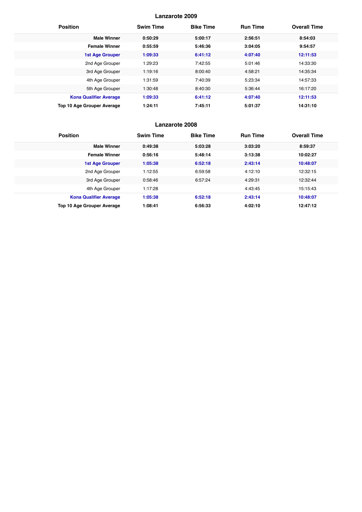| <b>Position</b>                   | <b>Swim Time</b> | <b>Bike Time</b> | <b>Run Time</b> | <b>Overall Time</b> |
|-----------------------------------|------------------|------------------|-----------------|---------------------|
| <b>Male Winner</b>                | 0:50:29          | 5:00:17          | 2:56:51         | 8:54:03             |
| <b>Female Winner</b>              | 0:55:59          | 5:46:36          | 3:04:05         | 9:54:57             |
| <b>1st Age Grouper</b>            | 1:09:33          | 6:41:12          | 4:07:40         | 12:11:53            |
| 2nd Age Grouper                   | 1:29:23          | 7:42:55          | 5:01:46         | 14:33:30            |
| 3rd Age Grouper                   | 1:19:16          | 8:00:40          | 4:58:21         | 14:35:34            |
| 4th Age Grouper                   | 1:31:59          | 7:40:39          | 5:23:34         | 14:57:33            |
| 5th Age Grouper                   | 1:30:48          | 8:40:30          | 5:36:44         | 16:17:20            |
| <b>Kona Qualifier Average</b>     | 1:09:33          | 6:41:12          | 4:07:40         | 12:11:53            |
| <b>Top 10 Age Grouper Average</b> | 1:24:11          | 7:45:11          | 5:01:37         | 14:31:10            |

| <b>Position</b>               | <b>Swim Time</b> | <b>Bike Time</b> | <b>Run Time</b> | <b>Overall Time</b> |
|-------------------------------|------------------|------------------|-----------------|---------------------|
| <b>Male Winner</b>            | 0:49:38          | 5:03:28          | 3:03:20         | 8:59:37             |
| <b>Female Winner</b>          | 0:56:16          | 5:48:14          | 3:13:38         | 10:02:27            |
| <b>1st Age Grouper</b>        | 1:05:38          | 6:52:18          | 2:43:14         | 10:48:07            |
| 2nd Age Grouper               | 1:12:55          | 6:59:58          | 4:12:10         | 12:32:15            |
| 3rd Age Grouper               | 0:58:46          | 6:57:24          | 4:29:31         | 12:32:44            |
| 4th Age Grouper               | 1:17:28          |                  | 4:43:45         | 15:15:43            |
| <b>Kona Qualifier Average</b> | 1:05:38          | 6:52:18          | 2:43:14         | 10:48:07            |
| Top 10 Age Grouper Average    | 1:08:41          | 6:56:33          | 4:02:10         | 12:47:12            |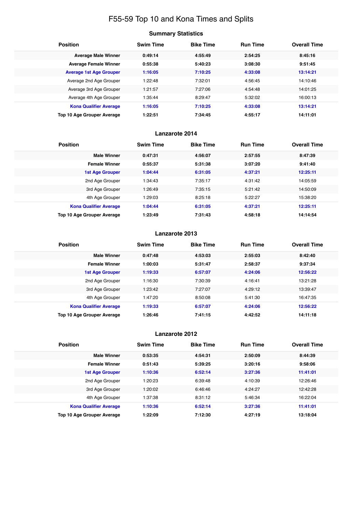# F55-59 Top 10 and Kona Times and Splits

# **Summary Statistics**

| <b>Position</b>                   | <b>Swim Time</b> | <b>Bike Time</b> | <b>Run Time</b> | <b>Overall Time</b> |
|-----------------------------------|------------------|------------------|-----------------|---------------------|
| <b>Average Male Winner</b>        | 0:49:14          | 4:55:49          | 2:54:25         | 8:45:16             |
| <b>Average Female Winner</b>      | 0:55:38          | 5:40:23          | 3:08:30         | 9:51:45             |
| <b>Average 1st Age Grouper</b>    | 1:16:05          | 7:10:25          | 4:33:08         | 13:14:21            |
| Average 2nd Age Grouper           | 1:22:48          | 7:32:01          | 4:56:45         | 14:10:46            |
| Average 3rd Age Grouper           | 1:21:57          | 7:27:06          | 4:54:48         | 14:01:25            |
| Average 4th Age Grouper           | 1:35:44          | 8:29:47          | 5:32:02         | 16:00:13            |
| <b>Kona Qualifier Average</b>     | 1:16:05          | 7:10:25          | 4:33:08         | 13:14:21            |
| <b>Top 10 Age Grouper Average</b> | 1:22:51          | 7:34:45          | 4:55:17         | 14:11:01            |

# **Lanzarote 2014**

| <b>Position</b>               | <b>Swim Time</b> | <b>Bike Time</b> | <b>Run Time</b> | <b>Overall Time</b> |
|-------------------------------|------------------|------------------|-----------------|---------------------|
| <b>Male Winner</b>            | 0:47:31          | 4:56:07          | 2:57:55         | 8:47:39             |
| <b>Female Winner</b>          | 0:55:37          | 5:31:38          | 3:07:20         | 9:41:40             |
| <b>1st Age Grouper</b>        | 1:04:44          | 6:31:05          | 4:37:21         | 12:25:11            |
| 2nd Age Grouper               | 1:34:43          | 7:35:17          | 4:31:42         | 14:05:59            |
| 3rd Age Grouper               | 1:26:49          | 7:35:15          | 5:21:42         | 14:50:09            |
| 4th Age Grouper               | 1:29:03          | 8:25:18          | 5:22:27         | 15:38:20            |
| <b>Kona Qualifier Average</b> | 1:04:44          | 6:31:05          | 4:37:21         | 12:25:11            |
| Top 10 Age Grouper Average    | 1:23:49          | 7:31:43          | 4:58:18         | 14:14:54            |

# **Lanzarote 2013**

| <b>Position</b>               | <b>Swim Time</b> | <b>Bike Time</b> | <b>Run Time</b> | <b>Overall Time</b> |
|-------------------------------|------------------|------------------|-----------------|---------------------|
| <b>Male Winner</b>            | 0:47:48          | 4:53:03          | 2:55:03         | 8:42:40             |
| <b>Female Winner</b>          | 1:00:03          | 5:31:47          | 2:58:37         | 9:37:34             |
| <b>1st Age Grouper</b>        | 1:19:33          | 6:57:07          | 4:24:06         | 12:56:22            |
| 2nd Age Grouper               | 1:16:30          | 7:30:39          | 4:16:41         | 13:21:28            |
| 3rd Age Grouper               | 1:23:42          | 7:27:07          | 4:29:12         | 13:39:47            |
| 4th Age Grouper               | 1:47:20          | 8:50:08          | 5:41:30         | 16:47:35            |
| <b>Kona Qualifier Average</b> | 1:19:33          | 6:57:07          | 4:24:06         | 12:56:22            |
| Top 10 Age Grouper Average    | 1:26:46          | 7:41:15          | 4:42:52         | 14:11:18            |

| <b>Position</b>                   | <b>Swim Time</b> | <b>Bike Time</b> | <b>Run Time</b> | <b>Overall Time</b> |
|-----------------------------------|------------------|------------------|-----------------|---------------------|
| <b>Male Winner</b>                | 0:53:35          | 4:54:31          | 2:50:09         | 8:44:39             |
| <b>Female Winner</b>              | 0:51:43          | 5:39:25          | 3:20:16         | 9:58:06             |
| <b>1st Age Grouper</b>            | 1:10:36          | 6:52:14          | 3:27:36         | 11:41:01            |
| 2nd Age Grouper                   | 1:20:23          | 6:39:48          | 4:10:39         | 12:26:46            |
| 3rd Age Grouper                   | 1:20:02          | 6:46:46          | 4:24:27         | 12:42:28            |
| 4th Age Grouper                   | 1:37:38          | 8:31:12          | 5:46:34         | 16:22:04            |
| <b>Kona Qualifier Average</b>     | 1:10:36          | 6:52:14          | 3:27:36         | 11:41:01            |
| <b>Top 10 Age Grouper Average</b> | 1:22:09          | 7:12:30          | 4:27:19         | 13:18:04            |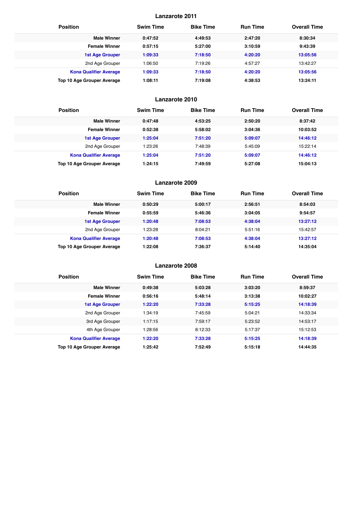| <b>Position</b>                   | <b>Swim Time</b> | <b>Bike Time</b> | <b>Run Time</b> | <b>Overall Time</b> |
|-----------------------------------|------------------|------------------|-----------------|---------------------|
| <b>Male Winner</b>                | 0:47:52          | 4:49:53          | 2:47:20         | 8:30:34             |
| <b>Female Winner</b>              | 0:57:15          | 5:27:00          | 3:10:59         | 9:43:39             |
| <b>1st Age Grouper</b>            | 1:09:33          | 7:18:50          | 4:20:20         | 13:05:56            |
| 2nd Age Grouper                   | 1:06:50          | 7:19:26          | 4:57:27         | 13:42:27            |
| <b>Kona Qualifier Average</b>     | 1:09:33          | 7:18:50          | 4:20:20         | 13:05:56            |
| <b>Top 10 Age Grouper Average</b> | 1:08:11          | 7:19:08          | 4:38:53         | 13:24:11            |

# **Lanzarote 2010**

| <b>Position</b>                   | <b>Swim Time</b> | <b>Bike Time</b> | <b>Run Time</b> | <b>Overall Time</b> |
|-----------------------------------|------------------|------------------|-----------------|---------------------|
| <b>Male Winner</b>                | 0:47:48          | 4:53:25          | 2:50:20         | 8:37:42             |
| <b>Female Winner</b>              | 0:52:38          | 5:58:02          | 3:04:36         | 10:03:52            |
| <b>1st Age Grouper</b>            | 1:25:04          | 7:51:20          | 5:09:07         | 14:46:12            |
| 2nd Age Grouper                   | 1:23:26          | 7:48:39          | 5:45:09         | 15:22:14            |
| <b>Kona Qualifier Average</b>     | 1:25:04          | 7:51:20          | 5:09:07         | 14:46:12            |
| <b>Top 10 Age Grouper Average</b> | 1:24:15          | 7:49:59          | 5:27:08         | 15:04:13            |

#### **Lanzarote 2009**

| <b>Position</b>               | <b>Swim Time</b> | <b>Bike Time</b> | <b>Run Time</b> | <b>Overall Time</b> |
|-------------------------------|------------------|------------------|-----------------|---------------------|
| <b>Male Winner</b>            | 0:50:29          | 5:00:17          | 2:56:51         | 8:54:03             |
| <b>Female Winner</b>          | 0:55:59          | 5:46:36          | 3:04:05         | 9:54:57             |
| <b>1st Age Grouper</b>        | 1:20:48          | 7:08:53          | 4:38:04         | 13:27:12            |
| 2nd Age Grouper               | 1:23:28          | 8:04:21          | 5:51:16         | 15:42:57            |
| <b>Kona Qualifier Average</b> | 1:20:48          | 7:08:53          | 4:38:04         | 13:27:12            |
| Top 10 Age Grouper Average    | 1:22:08          | 7:36:37          | 5:14:40         | 14:35:04            |

| <b>Position</b>               | <b>Swim Time</b> | <b>Bike Time</b> | <b>Run Time</b> | <b>Overall Time</b> |
|-------------------------------|------------------|------------------|-----------------|---------------------|
| <b>Male Winner</b>            | 0:49:38          | 5:03:28          | 3:03:20         | 8:59:37             |
| <b>Female Winner</b>          | 0:56:16          | 5:48:14          | 3:13:38         | 10:02:27            |
| <b>1st Age Grouper</b>        | 1:22:20          | 7:33:28          | 5:15:25         | 14:18:39            |
| 2nd Age Grouper               | 1:34:19          | 7:45:59          | 5:04:21         | 14:33:34            |
| 3rd Age Grouper               | 1:17:15          | 7:59:17          | 5:23:52         | 14:53:17            |
| 4th Age Grouper               | 1:28:56          | 8:12:33          | 5:17:37         | 15:12:53            |
| <b>Kona Qualifier Average</b> | 1:22:20          | 7:33:28          | 5:15:25         | 14:18:39            |
| Top 10 Age Grouper Average    | 1:25:42          | 7:52:49          | 5:15:18         | 14:44:35            |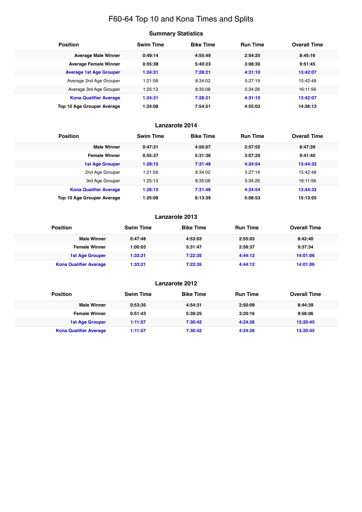# F60-64 Top 10 and Kona Times and Splits

# **Summary Statistics**

| <b>Position</b>                   | <b>Swim Time</b> | <b>Bike Time</b> | <b>Run Time</b> | <b>Overall Time</b> |
|-----------------------------------|------------------|------------------|-----------------|---------------------|
| <b>Average Male Winner</b>        | 0:49:14          | 4:55:49          | 2:54:25         | 8:45:16             |
| <b>Average Female Winner</b>      | 0:55:38          | 5:40:23          | 3:08:30         | 9:51:45             |
| <b>Average 1st Age Grouper</b>    | 1:24:31          | 7:28:21          | 4:31:10         | 13:42:07            |
| Average 2nd Age Grouper           | 1:21:58          | 8:34:02          | 5:27:19         | 15:42:48            |
| Average 3rd Age Grouper           | 1:25:13          | 8:35:08          | 5:34:26         | 16:11:56            |
| <b>Kona Qualifier Average</b>     | 1:24:31          | 7:28:21          | 4:31:10         | 13:42:07            |
| <b>Top 10 Age Grouper Average</b> | 1:24:08          | 7:54:51          | 4:55:03         | 14:36:13            |

# **Lanzarote 2014**

| <b>Position</b>               | <b>Swim Time</b> | <b>Bike Time</b> | <b>Run Time</b> | <b>Overall Time</b> |
|-------------------------------|------------------|------------------|-----------------|---------------------|
| <b>Male Winner</b>            | 0:47:31          | 4:56:07          | 2:57:55         | 8:47:39             |
| <b>Female Winner</b>          | 0:55:37          | 5:31:38          | 3:07:20         | 9:41:40             |
| <b>1st Age Grouper</b>        | 1:28:15          | 7:31:48          | 4:24:54         | 13:44:32            |
| 2nd Age Grouper               | 1:21:58          | 8:34:02          | 5:27:19         | 15:42:48            |
| 3rd Age Grouper               | 1:25:13          | 8:35:08          | 5:34:26         | 16:11:56            |
| <b>Kona Qualifier Average</b> | 1:28:15          | 7:31:48          | 4:24:54         | 13:44:32            |
| Top 10 Age Grouper Average    | 1:25:08          | 8:13:39          | 5:08:53         | 15:13:05            |

# **Lanzarote 2013**

| <b>Position</b>               | <b>Swim Time</b> | <b>Bike Time</b> | <b>Run Time</b> | <b>Overall Time</b> |
|-------------------------------|------------------|------------------|-----------------|---------------------|
| <b>Male Winner</b>            | 0:47:48          | 4:53:03          | 2:55:03         | 8:42:40             |
| <b>Female Winner</b>          | 1:00:03          | 5:31:47          | 2:58:37         | 9:37:34             |
| 1st Age Grouper               | 1:33:21          | 7:22:35          | 4:44:12         | 14:01:06            |
| <b>Kona Qualifier Average</b> | 1:33:21          | 7:22:35          | 4:44:12         | 14:01:06            |

| <b>Position</b>               | <b>Swim Time</b> | <b>Bike Time</b> | <b>Run Time</b> | <b>Overall Time</b> |
|-------------------------------|------------------|------------------|-----------------|---------------------|
| <b>Male Winner</b>            | 0:53:35          | 4:54:31          | 2:50:09         | 8:44:39             |
| <b>Female Winner</b>          | 0:51:43          | 5:39:25          | 3:20:16         | 9:58:06             |
| 1st Age Grouper               | 1:11:57          | 7:30:42          | 4:24:26         | 13:20:45            |
| <b>Kona Qualifier Average</b> | 1:11:57          | 7:30:42          | 4:24:26         | 13:20:45            |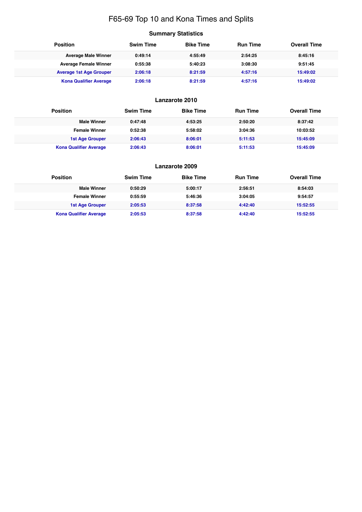# F65-69 Top 10 and Kona Times and Splits

# **Summary Statistics**

| <b>Position</b>                | <b>Swim Time</b> | <b>Bike Time</b> | <b>Run Time</b> | <b>Overall Time</b> |
|--------------------------------|------------------|------------------|-----------------|---------------------|
| <b>Average Male Winner</b>     | 0:49:14          | 4:55:49          | 2:54:25         | 8:45:16             |
| <b>Average Female Winner</b>   | 0:55:38          | 5:40:23          | 3:08:30         | 9:51:45             |
| <b>Average 1st Age Grouper</b> | 2:06:18          | 8:21:59          | 4:57:16         | 15:49:02            |
| <b>Kona Qualifier Average</b>  | 2:06:18          | 8:21:59          | 4:57:16         | 15:49:02            |

| <b>Position</b>               | <b>Swim Time</b> | <b>Bike Time</b> | <b>Run Time</b> | <b>Overall Time</b> |
|-------------------------------|------------------|------------------|-----------------|---------------------|
| <b>Male Winner</b>            | 0:47:48          | 4:53:25          | 2:50:20         | 8:37:42             |
| <b>Female Winner</b>          | 0:52:38          | 5:58:02          | 3:04:36         | 10:03:52            |
| 1st Age Grouper               | 2:06:43          | 8:06:01          | 5:11:53         | 15:45:09            |
| <b>Kona Qualifier Average</b> | 2:06:43          | 8:06:01          | 5:11:53         | 15:45:09            |

| Lanzarote 2009                |                  |                  |                 |                     |  |  |
|-------------------------------|------------------|------------------|-----------------|---------------------|--|--|
| <b>Position</b>               | <b>Swim Time</b> | <b>Bike Time</b> | <b>Run Time</b> | <b>Overall Time</b> |  |  |
| <b>Male Winner</b>            | 0:50:29          | 5:00:17          | 2:56:51         | 8:54:03             |  |  |
| <b>Female Winner</b>          | 0:55:59          | 5:46:36          | 3:04:05         | 9:54:57             |  |  |
| <b>1st Age Grouper</b>        | 2:05:53          | 8:37:58          | 4:42:40         | 15:52:55            |  |  |
| <b>Kona Qualifier Average</b> | 2:05:53          | 8:37:58          | 4:42:40         | 15:52:55            |  |  |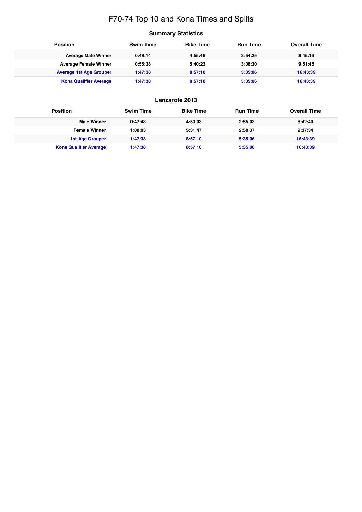# F70-74 Top 10 and Kona Times and Splits

# **Summary Statistics**

| <b>Position</b>                | <b>Swim Time</b> | <b>Bike Time</b> | <b>Run Time</b> | <b>Overall Time</b> |
|--------------------------------|------------------|------------------|-----------------|---------------------|
| <b>Average Male Winner</b>     | 0:49:14          | 4:55:49          | 2:54:25         | 8:45:16             |
| <b>Average Female Winner</b>   | 0:55:38          | 5:40:23          | 3:08:30         | 9:51:45             |
| <b>Average 1st Age Grouper</b> | 1:47:38          | 8:57:10          | 5:35:06         | 16:43:39            |
| <b>Kona Qualifier Average</b>  | 1:47:38          | 8:57:10          | 5:35:06         | 16:43:39            |

| <b>Position</b>               | <b>Swim Time</b> | <b>Bike Time</b> | <b>Run Time</b> | <b>Overall Time</b> |
|-------------------------------|------------------|------------------|-----------------|---------------------|
| <b>Male Winner</b>            | 0:47:48          | 4:53:03          | 2:55:03         | 8:42:40             |
| <b>Female Winner</b>          | 1:00:03          | 5:31:47          | 2:58:37         | 9:37:34             |
| 1st Age Grouper               | 1:47:38          | 8:57:10          | 5:35:06         | 16:43:39            |
| <b>Kona Qualifier Average</b> | 1:47:38          | 8:57:10          | 5:35:06         | 16:43:39            |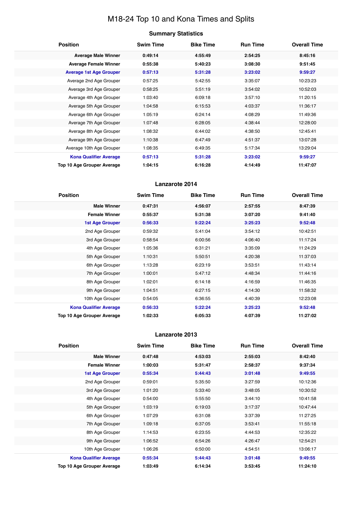# M18-24 Top 10 and Kona Times and Splits

# **Summary Statistics**

| <b>Position</b>                   | <b>Swim Time</b> | <b>Bike Time</b> | <b>Run Time</b> | <b>Overall Time</b> |
|-----------------------------------|------------------|------------------|-----------------|---------------------|
| <b>Average Male Winner</b>        | 0:49:14          | 4:55:49          | 2:54:25         | 8:45:16             |
| <b>Average Female Winner</b>      | 0:55:38          | 5:40:23          | 3:08:30         | 9:51:45             |
| <b>Average 1st Age Grouper</b>    | 0:57:13          | 5:31:28          | 3:23:02         | 9:59:27             |
| Average 2nd Age Grouper           | 0:57:25          | 5:42:55          | 3:35:07         | 10:23:23            |
| Average 3rd Age Grouper           | 0:58:25          | 5:51:19          | 3:54:02         | 10:52:03            |
| Average 4th Age Grouper           | 1:03:40          | 6:09:18          | 3:57:10         | 11:20:15            |
| Average 5th Age Grouper           | 1:04:58          | 6:15:53          | 4:03:37         | 11:36:17            |
| Average 6th Age Grouper           | 1:05:19          | 6:24:14          | 4:08:29         | 11:49:36            |
| Average 7th Age Grouper           | 1:07:48          | 6:28:05          | 4:38:44         | 12:28:00            |
| Average 8th Age Grouper           | 1:08:32          | 6:44:02          | 4:38:50         | 12:45:41            |
| Average 9th Age Grouper           | 1:10:38          | 6:47:49          | 4:51:37         | 13:07:28            |
| Average 10th Age Grouper          | 1:08:35          | 6:49:35          | 5:17:34         | 13:29:04            |
| <b>Kona Qualifier Average</b>     | 0:57:13          | 5:31:28          | 3:23:02         | 9:59:27             |
| <b>Top 10 Age Grouper Average</b> | 1:04:15          | 6:16:28          | 4:14:49         | 11:47:07            |

# **Lanzarote 2014**

| <b>Position</b>               | <b>Swim Time</b> | <b>Bike Time</b> | <b>Run Time</b> | <b>Overall Time</b> |
|-------------------------------|------------------|------------------|-----------------|---------------------|
| <b>Male Winner</b>            | 0:47:31          | 4:56:07          | 2:57:55         | 8:47:39             |
| <b>Female Winner</b>          | 0:55:37          | 5:31:38          | 3:07:20         | 9:41:40             |
| <b>1st Age Grouper</b>        | 0:56:33          | 5:22:24          | 3:25:23         | 9:52:48             |
| 2nd Age Grouper               | 0:59:32          | 5:41:04          | 3:54:12         | 10:42:51            |
| 3rd Age Grouper               | 0:58:54          | 6:00:56          | 4:06:40         | 11:17:24            |
| 4th Age Grouper               | 1:05:36          | 6:31:21          | 3:35:09         | 11:24:29            |
| 5th Age Grouper               | 1:10:31          | 5:50:51          | 4:20:38         | 11:37:03            |
| 6th Age Grouper               | 1:13:28          | 6:23:19          | 3:53:51         | 11:43:14            |
| 7th Age Grouper               | 1:00:01          | 5:47:12          | 4:48:34         | 11:44:16            |
| 8th Age Grouper               | 1:02:01          | 6:14:18          | 4:16:59         | 11:46:35            |
| 9th Age Grouper               | 1:04:51          | 6:27:15          | 4:14:30         | 11:58:32            |
| 10th Age Grouper              | 0:54:05          | 6:36:55          | 4:40:39         | 12:23:08            |
| <b>Kona Qualifier Average</b> | 0:56:33          | 5:22:24          | 3:25:23         | 9:52:48             |
| Top 10 Age Grouper Average    | 1:02:33          | 6:05:33          | 4:07:39         | 11:27:02            |

| <b>Position</b>               | <b>Swim Time</b> | <b>Bike Time</b> | <b>Run Time</b> | <b>Overall Time</b> |
|-------------------------------|------------------|------------------|-----------------|---------------------|
| <b>Male Winner</b>            | 0:47:48          | 4:53:03          | 2:55:03         | 8:42:40             |
| <b>Female Winner</b>          | 1:00:03          | 5:31:47          | 2:58:37         | 9:37:34             |
| <b>1st Age Grouper</b>        | 0:55:34          | 5:44:43          | 3:01:48         | 9:49:55             |
| 2nd Age Grouper               | 0:59:01          | 5:35:50          | 3:27:59         | 10:12:36            |
| 3rd Age Grouper               | 1:01:20          | 5:33:40          | 3:48:05         | 10:30:52            |
| 4th Age Grouper               | 0:54:00          | 5:55:50          | 3:44:10         | 10:41:58            |
| 5th Age Grouper               | 1:03:19          | 6:19:03          | 3:17:37         | 10:47:44            |
| 6th Age Grouper               | 1:07:29          | 6:31:08          | 3:37:39         | 11:27:25            |
| 7th Age Grouper               | 1:09:18          | 6:37:05          | 3:53:41         | 11:55:18            |
| 8th Age Grouper               | 1:14:53          | 6:23:55          | 4:44:53         | 12:35:22            |
| 9th Age Grouper               | 1:06:52          | 6:54:26          | 4:26:47         | 12:54:21            |
| 10th Age Grouper              | 1:06:26          | 6:50:00          | 4:54:51         | 13:06:17            |
| <b>Kona Qualifier Average</b> | 0:55:34          | 5:44:43          | 3:01:48         | 9:49:55             |
| Top 10 Age Grouper Average    | 1:03:49          | 6:14:34          | 3:53:45         | 11:24:10            |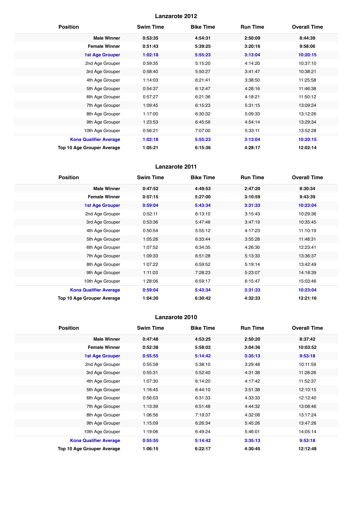| <b>Position</b>                   | <b>Swim Time</b> | <b>Bike Time</b> | <b>Run Time</b> | <b>Overall Time</b> |
|-----------------------------------|------------------|------------------|-----------------|---------------------|
| <b>Male Winner</b>                | 0:53:35          | 4:54:31          | 2:50:09         | 8:44:39             |
| <b>Female Winner</b>              | 0:51:43          | 5:39:25          | 3:20:16         | 9:58:06             |
| <b>1st Age Grouper</b>            | 1:02:18          | 5:55:23          | 3:13:04         | 10:20:15            |
| 2nd Age Grouper                   | 0:59:35          | 5:15:20          | 4:14:20         | 10:37:10            |
| 3rd Age Grouper                   | 0:58:40          | 5:50:27          | 3:41:47         | 10:38:21            |
| 4th Age Grouper                   | 1:14:03          | 6:21:41          | 3:38:50         | 11:25:58            |
| 5th Age Grouper                   | 0:54:37          | 6:12:47          | 4:28:16         | 11:46:38            |
| 6th Age Grouper                   | 0:57:27          | 6:21:36          | 4:18:21         | 11:50:12            |
| 7th Age Grouper                   | 1:09:45          | 6:15:23          | 5:31:15         | 13:09:24            |
| 8th Age Grouper                   | 1:17:00          | 6:30:32          | 5:09:33         | 13:12:26            |
| 9th Age Grouper                   | 1:23:53          | 6:45:56          | 4:54:14         | 13:29:34            |
| 10th Age Grouper                  | 0:56:21          | 7:07:00          | 5:33:11         | 13:52:28            |
| <b>Kona Qualifier Average</b>     | 1:02:18          | 5:55:23          | 3:13:04         | 10:20:15            |
| <b>Top 10 Age Grouper Average</b> | 1:05:21          | 6:15:36          | 4:28:17         | 12:02:14            |

# **Lanzarote 2011**

| <b>Position</b>                   | <b>Swim Time</b> | <b>Bike Time</b> | <b>Run Time</b> | <b>Overall Time</b> |
|-----------------------------------|------------------|------------------|-----------------|---------------------|
| <b>Male Winner</b>                | 0:47:52          | 4:49:53          | 2:47:20         | 8:30:34             |
| <b>Female Winner</b>              | 0:57:15          | 5:27:00          | 3:10:59         | 9:43:39             |
| <b>1st Age Grouper</b>            | 0:59:04          | 5:43:34          | 3:31:33         | 10:23:04            |
| 2nd Age Grouper                   | 0:52:11          | 6:13:10          | 3:15:43         | 10:29:36            |
| 3rd Age Grouper                   | 0:53:36          | 5:47:46          | 3:47:19         | 10:35:45            |
| 4th Age Grouper                   | 0:50:54          | 5:55:12          | 4:17:23         | 11:10:19            |
| 5th Age Grouper                   | 1:05:26          | 6:33:44          | 3:55:28         | 11:48:31            |
| 6th Age Grouper                   | 1:07:52          | 6:34:35          | 4:26:30         | 12:23:41            |
| 7th Age Grouper                   | 1:09:33          | 6:51:28          | 5:13:33         | 13:36:37            |
| 8th Age Grouper                   | 1:07:22          | 6:59:52          | 5:19:14         | 13:42:49            |
| 9th Age Grouper                   | 1:11:03          | 7:28:23          | 5:23:07         | 14:18:39            |
| 10th Age Grouper                  | 1:28:06          | 6:59:17          | 6:15:47         | 15:03:46            |
| <b>Kona Qualifier Average</b>     | 0:59:04          | 5:43:34          | 3:31:33         | 10:23:04            |
| <b>Top 10 Age Grouper Average</b> | 1:04:30          | 6:30:42          | 4:32:33         | 12:21:16            |

| <b>Position</b>                   | <b>Swim Time</b> | <b>Bike Time</b> | <b>Run Time</b> | <b>Overall Time</b> |
|-----------------------------------|------------------|------------------|-----------------|---------------------|
| <b>Male Winner</b>                | 0:47:48          | 4:53:25          | 2:50:20         | 8:37:42             |
| <b>Female Winner</b>              | 0:52:38          | 5:58:02          | 3:04:36         | 10:03:52            |
| 1st Age Grouper                   | 0:55:55          | 5:14:42          | 3:35:13         | 9:53:18             |
| 2nd Age Grouper                   | 0:55:58          | 5:38:10          | 3:29:48         | 10:11:59            |
| 3rd Age Grouper                   | 0:55:31          | 5:52:40          | 4:31:38         | 11:28:26            |
| 4th Age Grouper                   | 1:07:30          | 6:14:20          | 4:17:42         | 11:52:37            |
| 5th Age Grouper                   | 1:16:45          | 6:44:10          | 3:51:38         | 12:10:15            |
| 6th Age Grouper                   | 0:56:03          | 6:31:33          | 4:33:33         | 12:12:40            |
| 7th Age Grouper                   | 1:13:39          | 6:51:48          | 4:44:32         | 13:08:46            |
| 8th Age Grouper                   | 1:06:56          | 7:19:37          | 4:32:08         | 13:17:24            |
| 9th Age Grouper                   | 1:15:09          | 6:26:34          | 5:45:26         | 13:47:26            |
| 10th Age Grouper                  | 1:19:06          | 6:49:24          | 5:46:01         | 14:05:14            |
| <b>Kona Qualifier Average</b>     | 0:55:55          | 5:14:42          | 3:35:13         | 9:53:18             |
| <b>Top 10 Age Grouper Average</b> | 1:06:15          | 6:22:17          | 4:30:45         | 12:12:48            |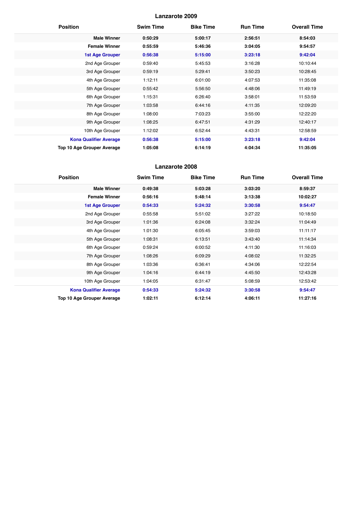| <b>Position</b>               | <b>Swim Time</b> | <b>Bike Time</b> | <b>Run Time</b> | <b>Overall Time</b> |
|-------------------------------|------------------|------------------|-----------------|---------------------|
| <b>Male Winner</b>            | 0:50:29          | 5:00:17          | 2:56:51         | 8:54:03             |
| <b>Female Winner</b>          | 0:55:59          | 5:46:36          | 3:04:05         | 9:54:57             |
| <b>1st Age Grouper</b>        | 0:56:38          | 5:15:00          | 3:23:18         | 9:42:04             |
| 2nd Age Grouper               | 0:59:40          | 5:45:53          | 3:16:28         | 10:10:44            |
| 3rd Age Grouper               | 0:59:19          | 5:29:41          | 3:50:23         | 10:28:45            |
| 4th Age Grouper               | 1:12:11          | 6:01:00          | 4:07:53         | 11:35:08            |
| 5th Age Grouper               | 0:55:42          | 5:56:50          | 4:48:06         | 11:49:19            |
| 6th Age Grouper               | 1:15:31          | 6:26:40          | 3:58:01         | 11:53:59            |
| 7th Age Grouper               | 1:03:58          | 6:44:16          | 4:11:35         | 12:09:20            |
| 8th Age Grouper               | 1:08:00          | 7:03:23          | 3:55:00         | 12:22:20            |
| 9th Age Grouper               | 1:08:25          | 6:47:51          | 4:31:29         | 12:40:17            |
| 10th Age Grouper              | 1:12:02          | 6:52:44          | 4:43:31         | 12:58:59            |
| <b>Kona Qualifier Average</b> | 0:56:38          | 5:15:00          | 3:23:18         | 9:42:04             |
| Top 10 Age Grouper Average    | 1:05:08          | 6:14:19          | 4:04:34         | 11:35:05            |

| <b>Position</b>               | <b>Swim Time</b> | <b>Bike Time</b> | <b>Run Time</b> | <b>Overall Time</b> |
|-------------------------------|------------------|------------------|-----------------|---------------------|
| <b>Male Winner</b>            | 0:49:38          | 5:03:28          | 3:03:20         | 8:59:37             |
| <b>Female Winner</b>          | 0:56:16          | 5:48:14          | 3:13:38         | 10:02:27            |
| <b>1st Age Grouper</b>        | 0:54:33          | 5:24:32          | 3:30:58         | 9:54:47             |
| 2nd Age Grouper               | 0:55:58          | 5:51:02          | 3:27:22         | 10:18:50            |
| 3rd Age Grouper               | 1:01:36          | 6:24:08          | 3:32:24         | 11:04:49            |
| 4th Age Grouper               | 1:01:30          | 6:05:45          | 3:59:03         | 11:11:17            |
| 5th Age Grouper               | 1:08:31          | 6:13:51          | 3:43:40         | 11:14:34            |
| 6th Age Grouper               | 0:59:24          | 6:00:52          | 4:11:30         | 11:16:03            |
| 7th Age Grouper               | 1:08:26          | 6:09:29          | 4:08:02         | 11:32:25            |
| 8th Age Grouper               | 1:03:36          | 6:36:41          | 4:34:06         | 12:22:54            |
| 9th Age Grouper               | 1:04:16          | 6:44:19          | 4:45:50         | 12:43:28            |
| 10th Age Grouper              | 1:04:05          | 6:31:47          | 5:08:59         | 12:53:42            |
| <b>Kona Qualifier Average</b> | 0:54:33          | 5:24:32          | 3:30:58         | 9:54:47             |
| Top 10 Age Grouper Average    | 1:02:11          | 6:12:14          | 4:06:11         | 11:27:16            |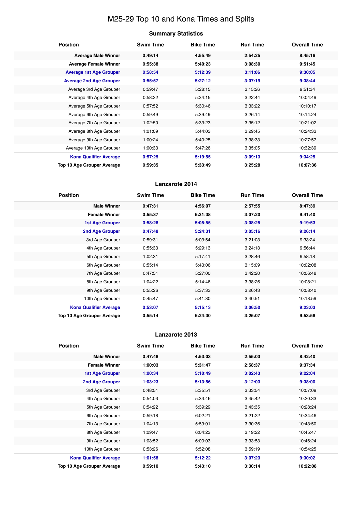# M25-29 Top 10 and Kona Times and Splits

# **Summary Statistics**

| <b>Position</b>                   | <b>Swim Time</b> | <b>Bike Time</b> | <b>Run Time</b> | <b>Overall Time</b> |
|-----------------------------------|------------------|------------------|-----------------|---------------------|
| <b>Average Male Winner</b>        | 0:49:14          | 4:55:49          | 2:54:25         | 8:45:16             |
| <b>Average Female Winner</b>      | 0:55:38          | 5:40:23          | 3:08:30         | 9:51:45             |
| <b>Average 1st Age Grouper</b>    | 0:58:54          | 5:12:39          | 3:11:06         | 9:30:05             |
| <b>Average 2nd Age Grouper</b>    | 0:55:57          | 5:27:12          | 3:07:19         | 9:38:44             |
| Average 3rd Age Grouper           | 0:59:47          | 5:28:15          | 3:15:26         | 9:51:34             |
| Average 4th Age Grouper           | 0:58:32          | 5:34:15          | 3:22:44         | 10:04:49            |
| Average 5th Age Grouper           | 0:57:52          | 5:30:46          | 3:33:22         | 10:10:17            |
| Average 6th Age Grouper           | 0:59:49          | 5:39:49          | 3:26:14         | 10:14:24            |
| Average 7th Age Grouper           | 1:02:50          | 5:33:23          | 3:35:12         | 10:21:02            |
| Average 8th Age Grouper           | 1:01:09          | 5:44:03          | 3:29:45         | 10:24:33            |
| Average 9th Age Grouper           | 1:00:24          | 5:40:25          | 3:38:33         | 10:27:57            |
| Average 10th Age Grouper          | 1:00:33          | 5:47:26          | 3:35:05         | 10:32:39            |
| <b>Kona Qualifier Average</b>     | 0:57:25          | 5:19:55          | 3:09:13         | 9:34:25             |
| <b>Top 10 Age Grouper Average</b> | 0:59:35          | 5:33:49          | 3:25:28         | 10:07:36            |

# **Lanzarote 2014**

| <b>Position</b>               | <b>Swim Time</b> | <b>Bike Time</b> | <b>Run Time</b> | <b>Overall Time</b> |
|-------------------------------|------------------|------------------|-----------------|---------------------|
| <b>Male Winner</b>            | 0:47:31          | 4:56:07          | 2:57:55         | 8:47:39             |
| <b>Female Winner</b>          | 0:55:37          | 5:31:38          | 3:07:20         | 9:41:40             |
| 1st Age Grouper               | 0:58:26          | 5:05:55          | 3:08:25         | 9:19:53             |
| 2nd Age Grouper               | 0:47:48          | 5:24:31          | 3:05:16         | 9:26:14             |
| 3rd Age Grouper               | 0:59:31          | 5:03:54          | 3:21:03         | 9:33:24             |
| 4th Age Grouper               | 0:55:33          | 5:29:13          | 3:24:13         | 9:56:44             |
| 5th Age Grouper               | 1:02:31          | 5:17:41          | 3:28:46         | 9:58:18             |
| 6th Age Grouper               | 0:55:14          | 5:43:06          | 3:15:09         | 10:02:08            |
| 7th Age Grouper               | 0:47:51          | 5:27:00          | 3:42:20         | 10:06:48            |
| 8th Age Grouper               | 1:04:22          | 5:14:46          | 3:38:26         | 10:08:21            |
| 9th Age Grouper               | 0:55:26          | 5:37:33          | 3:26:43         | 10:08:40            |
| 10th Age Grouper              | 0:45:47          | 5:41:30          | 3:40:51         | 10:18:59            |
| <b>Kona Qualifier Average</b> | 0:53:07          | 5:15:13          | 3:06:50         | 9:23:03             |
| Top 10 Age Grouper Average    | 0:55:14          | 5:24:30          | 3:25:07         | 9:53:56             |

| <b>Position</b>               | <b>Swim Time</b> | <b>Bike Time</b> | <b>Run Time</b> | <b>Overall Time</b> |
|-------------------------------|------------------|------------------|-----------------|---------------------|
| <b>Male Winner</b>            | 0:47:48          | 4:53:03          | 2:55:03         | 8:42:40             |
| <b>Female Winner</b>          | 1:00:03          | 5:31:47          | 2:58:37         | 9:37:34             |
| <b>1st Age Grouper</b>        | 1:00:34          | 5:10:49          | 3:02:43         | 9:22:04             |
| <b>2nd Age Grouper</b>        | 1:03:23          | 5:13:56          | 3:12:03         | 9:38:00             |
| 3rd Age Grouper               | 0:48:51          | 5:35:51          | 3:33:54         | 10:07:09            |
| 4th Age Grouper               | 0:54:03          | 5:33:46          | 3:45:42         | 10:20:33            |
| 5th Age Grouper               | 0:54:22          | 5:39:29          | 3:43:35         | 10:28:24            |
| 6th Age Grouper               | 0:59:18          | 6:02:21          | 3:21:22         | 10:34:46            |
| 7th Age Grouper               | 1:04:13          | 5:59:01          | 3:30:36         | 10:43:50            |
| 8th Age Grouper               | 1:09:47          | 6:04:23          | 3:19:22         | 10:45:47            |
| 9th Age Grouper               | 1:03:52          | 6:00:03          | 3:33:53         | 10:46:24            |
| 10th Age Grouper              | 0:53:26          | 5:52:08          | 3:59:19         | 10:54:25            |
| <b>Kona Qualifier Average</b> | 1:01:58          | 5:12:22          | 3:07:23         | 9:30:02             |
| Top 10 Age Grouper Average    | 0:59:10          | 5:43:10          | 3:30:14         | 10:22:08            |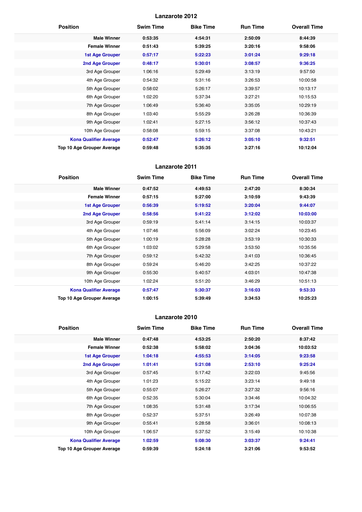| <b>Position</b>                   | <b>Swim Time</b> | <b>Bike Time</b> | <b>Run Time</b> | <b>Overall Time</b> |
|-----------------------------------|------------------|------------------|-----------------|---------------------|
| <b>Male Winner</b>                | 0:53:35          | 4:54:31          | 2:50:09         | 8:44:39             |
| <b>Female Winner</b>              | 0:51:43          | 5:39:25          | 3:20:16         | 9:58:06             |
| <b>1st Age Grouper</b>            | 0:57:17          | 5:22:23          | 3:01:24         | 9:29:18             |
| 2nd Age Grouper                   | 0:48:17          | 5:30:01          | 3:08:57         | 9:36:25             |
| 3rd Age Grouper                   | 1:06:16          | 5:29:49          | 3:13:19         | 9:57:50             |
| 4th Age Grouper                   | 0:54:32          | 5:31:16          | 3:26:53         | 10:00:58            |
| 5th Age Grouper                   | 0:58:02          | 5:26:17          | 3:39:57         | 10:13:17            |
| 6th Age Grouper                   | 1:02:20          | 5:37:34          | 3:27:21         | 10:15:53            |
| 7th Age Grouper                   | 1:06:49          | 5:36:40          | 3:35:05         | 10:29:19            |
| 8th Age Grouper                   | 1:03:40          | 5:55:29          | 3:26:28         | 10:36:39            |
| 9th Age Grouper                   | 1:02:41          | 5:27:15          | 3:56:12         | 10:37:43            |
| 10th Age Grouper                  | 0:58:08          | 5:59:15          | 3:37:08         | 10:43:21            |
| <b>Kona Qualifier Average</b>     | 0:52:47          | 5:26:12          | 3:05:10         | 9:32:51             |
| <b>Top 10 Age Grouper Average</b> | 0:59:48          | 5:35:35          | 3:27:16         | 10:12:04            |

# **Lanzarote 2011**

| <b>Position</b>                   | <b>Swim Time</b> | <b>Bike Time</b> | <b>Run Time</b> | <b>Overall Time</b> |
|-----------------------------------|------------------|------------------|-----------------|---------------------|
| <b>Male Winner</b>                | 0:47:52          | 4:49:53          | 2:47:20         | 8:30:34             |
| <b>Female Winner</b>              | 0:57:15          | 5:27:00          | 3:10:59         | 9:43:39             |
| <b>1st Age Grouper</b>            | 0:56:39          | 5:19:52          | 3:20:04         | 9:44:07             |
| 2nd Age Grouper                   | 0:58:56          | 5:41:22          | 3:12:02         | 10:03:00            |
| 3rd Age Grouper                   | 0:59:19          | 5:41:14          | 3:14:15         | 10:03:37            |
| 4th Age Grouper                   | 1:07:46          | 5:56:09          | 3:02:24         | 10:23:45            |
| 5th Age Grouper                   | 1:00:19          | 5:28:28          | 3:53:19         | 10:30:33            |
| 6th Age Grouper                   | 1:03:02          | 5:29:58          | 3:53:50         | 10:35:56            |
| 7th Age Grouper                   | 0:59:12          | 5:42:32          | 3:41:03         | 10:36:45            |
| 8th Age Grouper                   | 0:59:24          | 5:46:20          | 3:42:25         | 10:37:22            |
| 9th Age Grouper                   | 0:55:30          | 5:40:57          | 4:03:01         | 10:47:38            |
| 10th Age Grouper                  | 1:02:24          | 5:51:20          | 3:46:29         | 10:51:13            |
| <b>Kona Qualifier Average</b>     | 0:57:47          | 5:30:37          | 3:16:03         | 9:53:33             |
| <b>Top 10 Age Grouper Average</b> | 1:00:15          | 5:39:49          | 3:34:53         | 10:25:23            |

| <b>Position</b>               | <b>Swim Time</b> | <b>Bike Time</b> | <b>Run Time</b> | <b>Overall Time</b> |
|-------------------------------|------------------|------------------|-----------------|---------------------|
| <b>Male Winner</b>            | 0:47:48          | 4:53:25          | 2:50:20         | 8:37:42             |
| <b>Female Winner</b>          | 0:52:38          | 5:58:02          | 3:04:36         | 10:03:52            |
| <b>1st Age Grouper</b>        | 1:04:18          | 4:55:53          | 3:14:05         | 9:23:58             |
| <b>2nd Age Grouper</b>        | 1:01:41          | 5:21:08          | 2:53:10         | 9:25:24             |
| 3rd Age Grouper               | 0:57:45          | 5:17:42          | 3:22:03         | 9:45:56             |
| 4th Age Grouper               | 1:01:23          | 5:15:22          | 3:23:14         | 9:49:18             |
| 5th Age Grouper               | 0:55:07          | 5:26:27          | 3:27:32         | 9:56:16             |
| 6th Age Grouper               | 0:52:35          | 5:30:04          | 3:34:46         | 10:04:32            |
| 7th Age Grouper               | 1:08:35          | 5:31:48          | 3:17:34         | 10:06:55            |
| 8th Age Grouper               | 0:52:37          | 5:37:51          | 3:26:49         | 10:07:38            |
| 9th Age Grouper               | 0:55:41          | 5:28:58          | 3:36:01         | 10:08:13            |
| 10th Age Grouper              | 1:06:57          | 5:37:52          | 3:15:49         | 10:10:38            |
| <b>Kona Qualifier Average</b> | 1:02:59          | 5:08:30          | 3:03:37         | 9:24:41             |
| Top 10 Age Grouper Average    | 0:59:39          | 5:24:18          | 3:21:06         | 9:53:52             |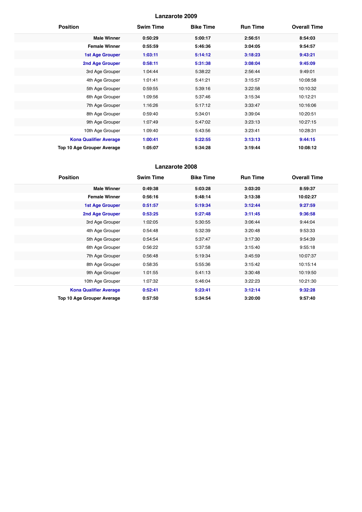| <b>Position</b>               | <b>Swim Time</b> | <b>Bike Time</b> | <b>Run Time</b> | <b>Overall Time</b> |
|-------------------------------|------------------|------------------|-----------------|---------------------|
| <b>Male Winner</b>            | 0:50:29          | 5:00:17          | 2:56:51         | 8:54:03             |
| <b>Female Winner</b>          | 0:55:59          | 5:46:36          | 3:04:05         | 9:54:57             |
| <b>1st Age Grouper</b>        | 1:03:11          | 5:14:12          | 3:18:23         | 9:43:21             |
| <b>2nd Age Grouper</b>        | 0:58:11          | 5:31:38          | 3:08:04         | 9:45:09             |
| 3rd Age Grouper               | 1:04:44          | 5:38:22          | 2:56:44         | 9:49:01             |
| 4th Age Grouper               | 1:01:41          | 5:41:21          | 3:15:57         | 10:08:58            |
| 5th Age Grouper               | 0:59:55          | 5:39:16          | 3:22:58         | 10:10:32            |
| 6th Age Grouper               | 1:09:56          | 5:37:46          | 3:15:34         | 10:12:21            |
| 7th Age Grouper               | 1:16:26          | 5:17:12          | 3:33:47         | 10:16:06            |
| 8th Age Grouper               | 0:59:40          | 5:34:01          | 3:39:04         | 10:20:51            |
| 9th Age Grouper               | 1:07:49          | 5:47:02          | 3:23:13         | 10:27:15            |
| 10th Age Grouper              | 1:09:40          | 5:43:56          | 3:23:41         | 10:28:31            |
| <b>Kona Qualifier Average</b> | 1:00:41          | 5:22:55          | 3:13:13         | 9:44:15             |
| Top 10 Age Grouper Average    | 1:05:07          | 5:34:28          | 3:19:44         | 10:08:12            |

| <b>Position</b>               | <b>Swim Time</b> | <b>Bike Time</b> | <b>Run Time</b> | <b>Overall Time</b> |
|-------------------------------|------------------|------------------|-----------------|---------------------|
| <b>Male Winner</b>            | 0:49:38          | 5:03:28          | 3:03:20         | 8:59:37             |
| <b>Female Winner</b>          | 0:56:16          | 5:48:14          | 3:13:38         | 10:02:27            |
| <b>1st Age Grouper</b>        | 0:51:57          | 5:19:34          | 3:12:44         | 9:27:59             |
| <b>2nd Age Grouper</b>        | 0:53:25          | 5:27:48          | 3:11:45         | 9:36:58             |
| 3rd Age Grouper               | 1:02:05          | 5:30:55          | 3:06:44         | 9:44:04             |
| 4th Age Grouper               | 0:54:48          | 5:32:39          | 3:20:48         | 9:53:33             |
| 5th Age Grouper               | 0:54:54          | 5:37:47          | 3:17:30         | 9:54:39             |
| 6th Age Grouper               | 0:56:22          | 5:37:58          | 3:15:40         | 9:55:18             |
| 7th Age Grouper               | 0:56:48          | 5:19:34          | 3:45:59         | 10:07:37            |
| 8th Age Grouper               | 0:58:35          | 5:55:36          | 3:15:42         | 10:15:14            |
| 9th Age Grouper               | 1:01:55          | 5:41:13          | 3:30:48         | 10:19:50            |
| 10th Age Grouper              | 1:07:32          | 5:46:04          | 3:22:23         | 10:21:30            |
| <b>Kona Qualifier Average</b> | 0:52:41          | 5:23:41          | 3:12:14         | 9:32:28             |
| Top 10 Age Grouper Average    | 0:57:50          | 5:34:54          | 3:20:00         | 9:57:40             |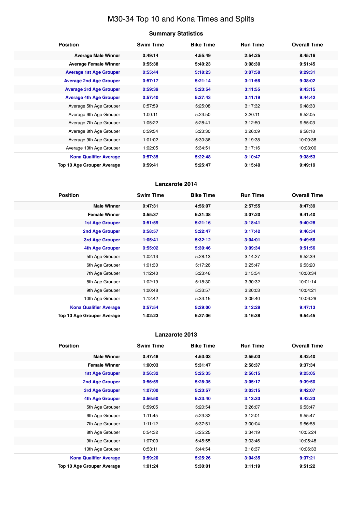# M30-34 Top 10 and Kona Times and Splits

# **Summary Statistics**

| <b>Position</b>                   | <b>Swim Time</b> | <b>Bike Time</b> | <b>Run Time</b> | <b>Overall Time</b> |
|-----------------------------------|------------------|------------------|-----------------|---------------------|
| <b>Average Male Winner</b>        | 0:49:14          | 4:55:49          | 2:54:25         | 8:45:16             |
| <b>Average Female Winner</b>      | 0:55:38          | 5:40:23          | 3:08:30         | 9:51:45             |
| <b>Average 1st Age Grouper</b>    | 0:55:44          | 5:18:23          | 3:07:58         | 9:29:31             |
| <b>Average 2nd Age Grouper</b>    | 0:57:17          | 5:21:14          | 3:11:56         | 9:38:02             |
| <b>Average 3rd Age Grouper</b>    | 0:59:39          | 5:23:54          | 3:11:55         | 9:43:15             |
| <b>Average 4th Age Grouper</b>    | 0:57:40          | 5:27:43          | 3:11:19         | 9:44:42             |
| Average 5th Age Grouper           | 0:57:59          | 5:25:08          | 3:17:32         | 9:48:33             |
| Average 6th Age Grouper           | 1:00:11          | 5:23:50          | 3:20:11         | 9:52:05             |
| Average 7th Age Grouper           | 1:05:22          | 5:28:41          | 3:12:50         | 9:55:03             |
| Average 8th Age Grouper           | 0:59:54          | 5:23:30          | 3:26:09         | 9:58:18             |
| Average 9th Age Grouper           | 1:01:02          | 5:30:36          | 3:19:38         | 10:00:38            |
| Average 10th Age Grouper          | 1:02:05          | 5:34:51          | 3:17:16         | 10:03:00            |
| <b>Kona Qualifier Average</b>     | 0:57:35          | 5:22:48          | 3:10:47         | 9:38:53             |
| <b>Top 10 Age Grouper Average</b> | 0:59:41          | 5:25:47          | 3:15:40         | 9:49:19             |

# **Lanzarote 2014**

| <b>Position</b>               | <b>Swim Time</b> | <b>Bike Time</b> | <b>Run Time</b> | <b>Overall Time</b> |
|-------------------------------|------------------|------------------|-----------------|---------------------|
| <b>Male Winner</b>            | 0:47:31          | 4:56:07          | 2:57:55         | 8:47:39             |
| <b>Female Winner</b>          | 0:55:37          | 5:31:38          | 3:07:20         | 9:41:40             |
| <b>1st Age Grouper</b>        | 0:51:59          | 5:21:16          | 3:18:41         | 9:40:28             |
| 2nd Age Grouper               | 0:58:57          | 5:22:47          | 3:17:42         | 9:46:34             |
| 3rd Age Grouper               | 1:05:41          | 5:32:12          | 3:04:01         | 9:49:56             |
| <b>4th Age Grouper</b>        | 0:55:02          | 5:39:46          | 3:09:34         | 9:51:56             |
| 5th Age Grouper               | 1:02:13          | 5:28:13          | 3:14:27         | 9:52:39             |
| 6th Age Grouper               | 1:01:30          | 5:17:26          | 3:25:47         | 9:53:20             |
| 7th Age Grouper               | 1:12:40          | 5:23:46          | 3:15:54         | 10:00:34            |
| 8th Age Grouper               | 1:02:19          | 5:18:30          | 3:30:32         | 10:01:14            |
| 9th Age Grouper               | 1:00:48          | 5:33:57          | 3:20:03         | 10:04:21            |
| 10th Age Grouper              | 1:12:42          | 5:33:15          | 3:09:40         | 10:06:29            |
| <b>Kona Qualifier Average</b> | 0:57:54          | 5:29:00          | 3:12:29         | 9:47:13             |
| Top 10 Age Grouper Average    | 1:02:23          | 5:27:06          | 3:16:38         | 9:54:45             |

| <b>Position</b>                   | <b>Swim Time</b> | <b>Bike Time</b> | <b>Run Time</b> | <b>Overall Time</b> |
|-----------------------------------|------------------|------------------|-----------------|---------------------|
| <b>Male Winner</b>                | 0:47:48          | 4:53:03          | 2:55:03         | 8:42:40             |
| <b>Female Winner</b>              | 1:00:03          | 5:31:47          | 2:58:37         | 9:37:34             |
| <b>1st Age Grouper</b>            | 0:56:32          | 5:25:35          | 2:56:15         | 9:25:05             |
| <b>2nd Age Grouper</b>            | 0:56:59          | 5:28:35          | 3:05:17         | 9:39:50             |
| 3rd Age Grouper                   | 1:07:00          | 5:23:57          | 3:03:15         | 9:42:07             |
| <b>4th Age Grouper</b>            | 0:56:50          | 5:23:40          | 3:13:33         | 9:42:23             |
| 5th Age Grouper                   | 0:59:05          | 5:20:54          | 3:26:07         | 9:53:47             |
| 6th Age Grouper                   | 1:11:45          | 5:23:32          | 3:12:01         | 9:55:47             |
| 7th Age Grouper                   | 1:11:12          | 5:37:51          | 3:00:04         | 9:56:58             |
| 8th Age Grouper                   | 0:54:32          | 5:25:25          | 3:34:19         | 10:05:24            |
| 9th Age Grouper                   | 1:07:00          | 5:45:55          | 3:03:46         | 10:05:48            |
| 10th Age Grouper                  | 0:53:11          | 5:44:54          | 3:18:37         | 10:06:33            |
| <b>Kona Qualifier Average</b>     | 0:59:20          | 5:25:26          | 3:04:35         | 9:37:21             |
| <b>Top 10 Age Grouper Average</b> | 1:01:24          | 5:30:01          | 3:11:19         | 9:51:22             |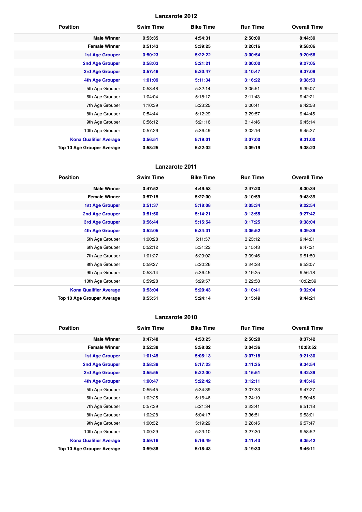| <b>Position</b>               | <b>Swim Time</b> | <b>Bike Time</b> | <b>Run Time</b> | <b>Overall Time</b> |
|-------------------------------|------------------|------------------|-----------------|---------------------|
| <b>Male Winner</b>            | 0:53:35          | 4:54:31          | 2:50:09         | 8:44:39             |
| <b>Female Winner</b>          | 0:51:43          | 5:39:25          | 3:20:16         | 9:58:06             |
| <b>1st Age Grouper</b>        | 0:50:23          | 5:22:22          | 3:00:54         | 9:20:56             |
| 2nd Age Grouper               | 0:58:03          | 5:21:21          | 3:00:00         | 9:27:05             |
| <b>3rd Age Grouper</b>        | 0:57:49          | 5:20:47          | 3:10:47         | 9:37:08             |
| <b>4th Age Grouper</b>        | 1:01:09          | 5:11:34          | 3:16:22         | 9:38:53             |
| 5th Age Grouper               | 0:53:48          | 5:32:14          | 3:05:51         | 9:39:07             |
| 6th Age Grouper               | 1:04:04          | 5:18:12          | 3:11:43         | 9:42:21             |
| 7th Age Grouper               | 1:10:39          | 5:23:25          | 3:00:41         | 9:42:58             |
| 8th Age Grouper               | 0:54:44          | 5:12:29          | 3:29:57         | 9:44:45             |
| 9th Age Grouper               | 0:56:12          | 5:21:16          | 3:14:46         | 9:45:14             |
| 10th Age Grouper              | 0:57:26          | 5:36:49          | 3:02:16         | 9:45:27             |
| <b>Kona Qualifier Average</b> | 0:56:51          | 5:19:01          | 3:07:00         | 9:31:00             |
| Top 10 Age Grouper Average    | 0:58:25          | 5:22:02          | 3:09:19         | 9:38:23             |

# **Lanzarote 2011**

| <b>Position</b>               | <b>Swim Time</b> | <b>Bike Time</b> | <b>Run Time</b> | <b>Overall Time</b> |
|-------------------------------|------------------|------------------|-----------------|---------------------|
| <b>Male Winner</b>            | 0:47:52          | 4:49:53          | 2:47:20         | 8:30:34             |
| <b>Female Winner</b>          | 0:57:15          | 5:27:00          | 3:10:59         | 9:43:39             |
| <b>1st Age Grouper</b>        | 0:51:37          | 5:18:08          | 3:05:34         | 9:22:54             |
| 2nd Age Grouper               | 0:51:50          | 5:14:21          | 3:13:55         | 9:27:42             |
| 3rd Age Grouper               | 0:56:44          | 5:15:54          | 3:17:25         | 9:38:04             |
| <b>4th Age Grouper</b>        | 0:52:05          | 5:34:31          | 3:05:52         | 9:39:39             |
| 5th Age Grouper               | 1:00:28          | 5:11:57          | 3:23:12         | 9:44:01             |
| 6th Age Grouper               | 0:52:12          | 5:31:22          | 3:15:43         | 9:47:21             |
| 7th Age Grouper               | 1:01:27          | 5:29:02          | 3:09:46         | 9:51:50             |
| 8th Age Grouper               | 0:59:27          | 5:20:26          | 3:24:28         | 9:53:07             |
| 9th Age Grouper               | 0:53:14          | 5:36:45          | 3:19:25         | 9:56:18             |
| 10th Age Grouper              | 0:59:28          | 5:29:57          | 3:22:58         | 10:02:39            |
| <b>Kona Qualifier Average</b> | 0:53:04          | 5:20:43          | 3:10:41         | 9:32:04             |
| Top 10 Age Grouper Average    | 0:55:51          | 5:24:14          | 3:15:49         | 9:44:21             |

| <b>Position</b>               | <b>Swim Time</b> | <b>Bike Time</b> | <b>Run Time</b> | <b>Overall Time</b> |
|-------------------------------|------------------|------------------|-----------------|---------------------|
| <b>Male Winner</b>            | 0:47:48          | 4:53:25          | 2:50:20         | 8:37:42             |
| <b>Female Winner</b>          | 0:52:38          | 5:58:02          | 3:04:36         | 10:03:52            |
| <b>1st Age Grouper</b>        | 1:01:45          | 5:05:13          | 3:07:18         | 9:21:30             |
| <b>2nd Age Grouper</b>        | 0:58:39          | 5:17:23          | 3:11:35         | 9:34:54             |
| 3rd Age Grouper               | 0:55:55          | 5:22:00          | 3:15:51         | 9:42:39             |
| 4th Age Grouper               | 1:00:47          | 5:22:42          | 3:12:11         | 9:43:46             |
| 5th Age Grouper               | 0:55:45          | 5:34:39          | 3:07:33         | 9:47:27             |
| 6th Age Grouper               | 1:02:25          | 5:16:46          | 3:24:19         | 9:50:45             |
| 7th Age Grouper               | 0:57:39          | 5:21:34          | 3:23:41         | 9:51:18             |
| 8th Age Grouper               | 1:02:28          | 5:04:17          | 3:36:51         | 9:53:01             |
| 9th Age Grouper               | 1:00:32          | 5:19:29          | 3:28:45         | 9:57:47             |
| 10th Age Grouper              | 1:00:29          | 5:23:10          | 3:27:30         | 9:58:52             |
| <b>Kona Qualifier Average</b> | 0:59:16          | 5:16:49          | 3:11:43         | 9:35:42             |
| Top 10 Age Grouper Average    | 0:59:38          | 5:18:43          | 3:19:33         | 9:46:11             |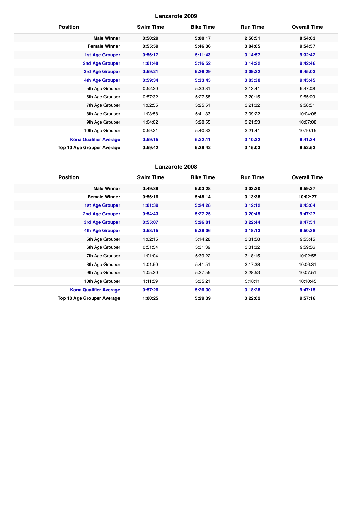| <b>Position</b>                   | <b>Swim Time</b> | <b>Bike Time</b> | <b>Run Time</b> | <b>Overall Time</b> |
|-----------------------------------|------------------|------------------|-----------------|---------------------|
| <b>Male Winner</b>                | 0:50:29          | 5:00:17          | 2:56:51         | 8:54:03             |
| <b>Female Winner</b>              | 0:55:59          | 5:46:36          | 3:04:05         | 9:54:57             |
| <b>1st Age Grouper</b>            | 0:56:17          | 5:11:43          | 3:14:57         | 9:32:42             |
| 2nd Age Grouper                   | 1:01:48          | 5:16:52          | 3:14:22         | 9:42:46             |
| 3rd Age Grouper                   | 0:59:21          | 5:26:29          | 3:09:22         | 9:45:03             |
| <b>4th Age Grouper</b>            | 0:59:34          | 5:33:43          | 3:03:30         | 9:45:45             |
| 5th Age Grouper                   | 0:52:20          | 5:33:31          | 3:13:41         | 9:47:08             |
| 6th Age Grouper                   | 0:57:32          | 5:27:58          | 3:20:15         | 9:55:09             |
| 7th Age Grouper                   | 1:02:55          | 5:25:51          | 3:21:32         | 9:58:51             |
| 8th Age Grouper                   | 1:03:58          | 5:41:33          | 3:09:22         | 10:04:08            |
| 9th Age Grouper                   | 1:04:02          | 5:28:55          | 3:21:53         | 10:07:08            |
| 10th Age Grouper                  | 0:59:21          | 5:40:33          | 3:21:41         | 10:10:15            |
| <b>Kona Qualifier Average</b>     | 0:59:15          | 5:22:11          | 3:10:32         | 9:41:34             |
| <b>Top 10 Age Grouper Average</b> | 0:59:42          | 5:28:42          | 3:15:03         | 9:52:53             |

| <b>Position</b>               | <b>Swim Time</b> | <b>Bike Time</b> | <b>Run Time</b> | <b>Overall Time</b> |
|-------------------------------|------------------|------------------|-----------------|---------------------|
| <b>Male Winner</b>            | 0:49:38          | 5:03:28          | 3:03:20         | 8:59:37             |
| <b>Female Winner</b>          | 0:56:16          | 5:48:14          | 3:13:38         | 10:02:27            |
| <b>1st Age Grouper</b>        | 1:01:39          | 5:24:28          | 3:12:12         | 9:43:04             |
| 2nd Age Grouper               | 0:54:43          | 5:27:25          | 3:20:45         | 9:47:27             |
| 3rd Age Grouper               | 0:55:07          | 5:26:01          | 3:22:44         | 9:47:51             |
| <b>4th Age Grouper</b>        | 0:58:15          | 5:28:06          | 3:18:13         | 9:50:38             |
| 5th Age Grouper               | 1:02:15          | 5:14:28          | 3:31:58         | 9:55:45             |
| 6th Age Grouper               | 0:51:54          | 5:31:39          | 3:31:32         | 9:59:56             |
| 7th Age Grouper               | 1:01:04          | 5:39:22          | 3:18:15         | 10:02:55            |
| 8th Age Grouper               | 1:01:50          | 5:41:51          | 3:17:38         | 10:06:31            |
| 9th Age Grouper               | 1:05:30          | 5:27:55          | 3:28:53         | 10:07:51            |
| 10th Age Grouper              | 1:11:59          | 5:35:21          | 3:18:11         | 10:10:45            |
| <b>Kona Qualifier Average</b> | 0:57:26          | 5:26:30          | 3:18:28         | 9:47:15             |
| Top 10 Age Grouper Average    | 1:00:25          | 5:29:39          | 3:22:02         | 9:57:16             |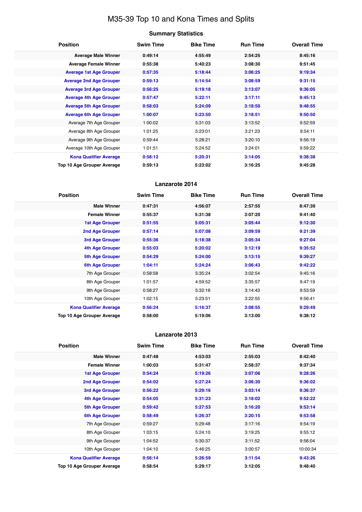# M35-39 Top 10 and Kona Times and Splits

| <b>Summary Statistics</b> |  |
|---------------------------|--|
|---------------------------|--|

| <b>Position</b>                | <b>Swim Time</b> | <b>Bike Time</b> | <b>Run Time</b> | <b>Overall Time</b> |
|--------------------------------|------------------|------------------|-----------------|---------------------|
| <b>Average Male Winner</b>     | 0:49:14          | 4:55:49          | 2:54:25         | 8:45:16             |
| <b>Average Female Winner</b>   | 0:55:38          | 5:40:23          | 3:08:30         | 9:51:45             |
| <b>Average 1st Age Grouper</b> | 0:57:35          | 5:18:44          | 3:06:25         | 9:19:34             |
| <b>Average 2nd Age Grouper</b> | 0:59:13          | 5:14:54          | 3:08:59         | 9:31:15             |
| <b>Average 3rd Age Grouper</b> | 0:56:25          | 5:19:18          | 3:13:07         | 9:36:05             |
| <b>Average 4th Age Grouper</b> | 0:57:47          | 5:22:11          | 3:17:11         | 9:45:13             |
| <b>Average 5th Age Grouper</b> | 0:58:03          | 5:24:09          | 3:18:50         | 9:48:55             |
| <b>Average 6th Age Grouper</b> | 1:00:07          | 5:23:50          | 3:18:51         | 9:50:50             |
| Average 7th Age Grouper        | 1:00:02          | 5:31:03          | 3:13:52         | 9:52:59             |
| Average 8th Age Grouper        | 1:01:25          | 5:23:01          | 3:21:23         | 9:54:11             |
| Average 9th Age Grouper        | 0:59:44          | 5:28:21          | 3:20:10         | 9:56:19             |
| Average 10th Age Grouper       | 1:01:51          | 5:24:52          | 3:24:01         | 9:59:22             |
| <b>Kona Qualifier Average</b>  | 0:58:12          | 5:20:31          | 3:14:05         | 9:38:38             |
| Top 10 Age Grouper Average     | 0:59:13          | 5:23:02          | 3:16:25         | 9:45:28             |

# **Lanzarote 2014**

| <b>Position</b>               | <b>Swim Time</b> | <b>Bike Time</b> | <b>Run Time</b> | <b>Overall Time</b> |
|-------------------------------|------------------|------------------|-----------------|---------------------|
| <b>Male Winner</b>            | 0:47:31          | 4:56:07          | 2:57:55         | 8:47:39             |
| <b>Female Winner</b>          | 0:55:37          | 5:31:38          | 3:07:20         | 9:41:40             |
| <b>1st Age Grouper</b>        | 0:51:55          | 5:05:31          | 3:05:44         | 9:12:30             |
| <b>2nd Age Grouper</b>        | 0:57:14          | 5:07:08          | 3:09:59         | 9:21:39             |
| 3rd Age Grouper               | 0:55:36          | 5:18:38          | 3:05:34         | 9:27:04             |
| 4th Age Grouper               | 0:55:03          | 5:20:02          | 3:12:19         | 9:35:52             |
| 5th Age Grouper               | 0:54:29          | 5:24:00          | 3:13:15         | 9:39:27             |
| 6th Age Grouper               | 1:04:11          | 5:24:24          | 3:06:43         | 9:42:22             |
| 7th Age Grouper               | 0:58:58          | 5:35:24          | 3:02:54         | 9:45:16             |
| 8th Age Grouper               | 1:01:57          | 4:59:52          | 3:35:57         | 9:47:19             |
| 9th Age Grouper               | 0:58:27          | 5:32:16          | 3:14:43         | 9:53:59             |
| 10th Age Grouper              | 1:02:15          | 5:23:51          | 3:22:55         | 9:56:41             |
| <b>Kona Qualifier Average</b> | 0:56:24          | 5:16:37          | 3:08:55         | 9:29:49             |
| Top 10 Age Grouper Average    | 0:58:00          | 5:19:06          | 3:13:00         | 9:38:12             |

| <b>Position</b>                   | <b>Swim Time</b> | <b>Bike Time</b> | <b>Run Time</b> | <b>Overall Time</b> |
|-----------------------------------|------------------|------------------|-----------------|---------------------|
| <b>Male Winner</b>                | 0:47:48          | 4:53:03          | 2:55:03         | 8:42:40             |
| <b>Female Winner</b>              | 1:00:03          | 5:31:47          | 2:58:37         | 9:37:34             |
| <b>1st Age Grouper</b>            | 0:54:24          | 5:19:26          | 3:07:06         | 9:28:26             |
| 2nd Age Grouper                   | 0:54:02          | 5:27:24          | 3:06:30         | 9:36:02             |
| 3rd Age Grouper                   | 0:56:22          | 5:29:16          | 3:03:14         | 9:36:37             |
| <b>4th Age Grouper</b>            | 0:54:05          | 5:31:23          | 3:18:02         | 9:52:22             |
| <b>5th Age Grouper</b>            | 0:59:42          | 5:27:53          | 3:16:20         | 9:53:14             |
| 6th Age Grouper                   | 0:58:49          | 5:26:37          | 3:20:15         | 9:53:58             |
| 7th Age Grouper                   | 0:59:27          | 5:29:48          | 3:17:16         | 9:54:19             |
| 8th Age Grouper                   | 1:03:15          | 5:24:10          | 3:19:25         | 9:55:12             |
| 9th Age Grouper                   | 1:04:52          | 5:30:37          | 3:11:52         | 9:56:04             |
| 10th Age Grouper                  | 1:04:10          | 5:46:25          | 3:00:57         | 10:00:34            |
| <b>Kona Qualifier Average</b>     | 0:56:14          | 5:26:59          | 3:11:54         | 9:43:26             |
| <b>Top 10 Age Grouper Average</b> | 0:58:54          | 5:29:17          | 3:12:05         | 9:48:40             |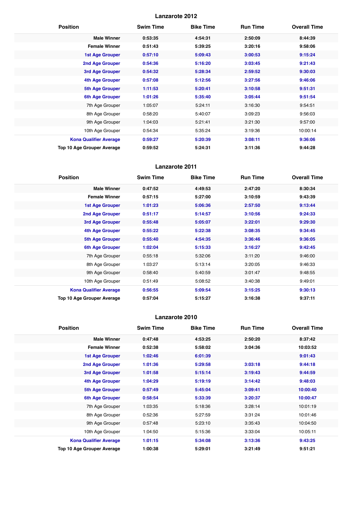| <b>Position</b>                   | <b>Swim Time</b> | <b>Bike Time</b> | <b>Run Time</b> | <b>Overall Time</b> |
|-----------------------------------|------------------|------------------|-----------------|---------------------|
| <b>Male Winner</b>                | 0:53:35          | 4:54:31          | 2:50:09         | 8:44:39             |
| <b>Female Winner</b>              | 0:51:43          | 5:39:25          | 3:20:16         | 9:58:06             |
| <b>1st Age Grouper</b>            | 0:57:10          | 5:09:43          | 3:00:53         | 9:15:24             |
| 2nd Age Grouper                   | 0:54:36          | 5:16:20          | 3:03:45         | 9:21:43             |
| 3rd Age Grouper                   | 0:54:32          | 5:28:34          | 2:59:52         | 9:30:03             |
| <b>4th Age Grouper</b>            | 0:57:08          | 5:12:56          | 3:27:56         | 9:46:06             |
| <b>5th Age Grouper</b>            | 1:11:53          | 5:20:41          | 3:10:58         | 9:51:31             |
| <b>6th Age Grouper</b>            | 1:01:26          | 5:35:40          | 3:05:44         | 9:51:54             |
| 7th Age Grouper                   | 1:05:07          | 5:24:11          | 3:16:30         | 9:54:51             |
| 8th Age Grouper                   | 0:58:20          | 5:40:07          | 3:09:23         | 9:56:03             |
| 9th Age Grouper                   | 1:04:03          | 5:21:41          | 3:21:30         | 9:57:00             |
| 10th Age Grouper                  | 0:54:34          | 5:35:24          | 3:19:36         | 10:00:14            |
| <b>Kona Qualifier Average</b>     | 0:59:27          | 5:20:39          | 3:08:11         | 9:36:06             |
| <b>Top 10 Age Grouper Average</b> | 0:59:52          | 5:24:31          | 3:11:36         | 9:44:28             |

# **Lanzarote 2011**

| <b>Position</b>               | <b>Swim Time</b> | <b>Bike Time</b> | <b>Run Time</b> | <b>Overall Time</b> |
|-------------------------------|------------------|------------------|-----------------|---------------------|
| <b>Male Winner</b>            | 0:47:52          | 4:49:53          | 2:47:20         | 8:30:34             |
| <b>Female Winner</b>          | 0:57:15          | 5:27:00          | 3:10:59         | 9:43:39             |
| <b>1st Age Grouper</b>        | 1:01:23          | 5:06:36          | 2:57:50         | 9:13:44             |
| 2nd Age Grouper               | 0:51:17          | 5:14:57          | 3:10:56         | 9:24:33             |
| 3rd Age Grouper               | 0:55:48          | 5:05:07          | 3:22:01         | 9:29:30             |
| <b>4th Age Grouper</b>        | 0:55:22          | 5:22:38          | 3:08:35         | 9:34:45             |
| 5th Age Grouper               | 0:55:40          | 4:54:35          | 3:36:46         | 9:36:05             |
| 6th Age Grouper               | 1:02:04          | 5:15:33          | 3:16:27         | 9:42:45             |
| 7th Age Grouper               | 0:55:18          | 5:32:06          | 3:11:20         | 9:46:00             |
| 8th Age Grouper               | 1:03:27          | 5:13:14          | 3:20:05         | 9:46:33             |
| 9th Age Grouper               | 0:58:40          | 5:40:59          | 3:01:47         | 9:48:55             |
| 10th Age Grouper              | 0:51:49          | 5:08:52          | 3:40:38         | 9:49:01             |
| <b>Kona Qualifier Average</b> | 0:56:55          | 5:09:54          | 3:15:25         | 9:30:13             |
| Top 10 Age Grouper Average    | 0:57:04          | 5:15:27          | 3:16:38         | 9:37:11             |

| <b>Position</b>               | <b>Swim Time</b> | <b>Bike Time</b> | <b>Run Time</b> | <b>Overall Time</b> |
|-------------------------------|------------------|------------------|-----------------|---------------------|
| <b>Male Winner</b>            | 0:47:48          | 4:53:25          | 2:50:20         | 8:37:42             |
| <b>Female Winner</b>          | 0:52:38          | 5:58:02          | 3:04:36         | 10:03:52            |
| 1st Age Grouper               | 1:02:46          | 6:01:39          |                 | 9:01:43             |
| 2nd Age Grouper               | 1:01:36          | 5:29:58          | 3:03:18         | 9:44:18             |
| 3rd Age Grouper               | 1:01:58          | 5:15:14          | 3:19:43         | 9:44:59             |
| 4th Age Grouper               | 1:04:29          | 5:19:19          | 3:14:42         | 9:48:03             |
| 5th Age Grouper               | 0:57:49          | 5:45:04          | 3:09:41         | 10:00:40            |
| <b>6th Age Grouper</b>        | 0:58:54          | 5:33:39          | 3:20:37         | 10:00:47            |
| 7th Age Grouper               | 1:03:35          | 5:18:36          | 3:28:14         | 10:01:19            |
| 8th Age Grouper               | 0:52:36          | 5:27:59          | 3:31:24         | 10:01:46            |
| 9th Age Grouper               | 0:57:48          | 5:23:10          | 3:35:43         | 10:04:50            |
| 10th Age Grouper              | 1:04:50          | 5:15:36          | 3:33:04         | 10:05:11            |
| <b>Kona Qualifier Average</b> | 1:01:15          | 5:34:08          | 3:13:36         | 9:43:25             |
| Top 10 Age Grouper Average    | 1:00:38          | 5:29:01          | 3:21:49         | 9:51:21             |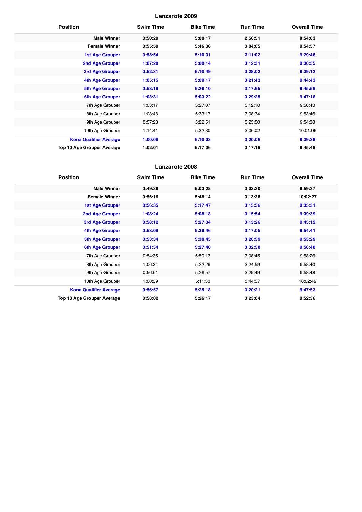| <b>Position</b>               | <b>Swim Time</b> | <b>Bike Time</b> | <b>Run Time</b> | <b>Overall Time</b> |
|-------------------------------|------------------|------------------|-----------------|---------------------|
| <b>Male Winner</b>            | 0:50:29          | 5:00:17          | 2:56:51         | 8:54:03             |
| <b>Female Winner</b>          | 0:55:59          | 5:46:36          | 3:04:05         | 9:54:57             |
| <b>1st Age Grouper</b>        | 0:58:54          | 5:10:31          | 3:11:02         | 9:29:46             |
| 2nd Age Grouper               | 1:07:28          | 5:00:14          | 3:12:31         | 9:30:55             |
| 3rd Age Grouper               | 0:52:31          | 5:10:49          | 3:28:02         | 9:39:12             |
| <b>4th Age Grouper</b>        | 1:05:15          | 5:09:17          | 3:21:43         | 9:44:43             |
| <b>5th Age Grouper</b>        | 0:53:19          | 5:26:10          | 3:17:55         | 9:45:59             |
| 6th Age Grouper               | 1:03:31          | 5:03:22          | 3:29:25         | 9:47:16             |
| 7th Age Grouper               | 1:03:17          | 5:27:07          | 3:12:10         | 9:50:43             |
| 8th Age Grouper               | 1:03:48          | 5:33:17          | 3:08:34         | 9:53:46             |
| 9th Age Grouper               | 0:57:28          | 5:22:51          | 3:25:50         | 9:54:38             |
| 10th Age Grouper              | 1:14:41          | 5:32:30          | 3:06:02         | 10:01:06            |
| <b>Kona Qualifier Average</b> | 1:00:09          | 5:10:03          | 3:20:06         | 9:39:38             |
| Top 10 Age Grouper Average    | 1:02:01          | 5:17:36          | 3:17:19         | 9:45:48             |

| <b>Position</b>                   | <b>Swim Time</b> | <b>Bike Time</b> | <b>Run Time</b> | <b>Overall Time</b> |
|-----------------------------------|------------------|------------------|-----------------|---------------------|
| <b>Male Winner</b>                | 0:49:38          | 5:03:28          | 3:03:20         | 8:59:37             |
| <b>Female Winner</b>              | 0:56:16          | 5:48:14          | 3:13:38         | 10:02:27            |
| <b>1st Age Grouper</b>            | 0:56:35          | 5:17:47          | 3:15:56         | 9:35:31             |
| <b>2nd Age Grouper</b>            | 1:08:24          | 5:08:18          | 3:15:54         | 9:39:39             |
| 3rd Age Grouper                   | 0:58:12          | 5:27:34          | 3:13:26         | 9:45:12             |
| <b>4th Age Grouper</b>            | 0:53:08          | 5:39:46          | 3:17:05         | 9:54:41             |
| <b>5th Age Grouper</b>            | 0:53:34          | 5:30:45          | 3:26:59         | 9:55:29             |
| <b>6th Age Grouper</b>            | 0:51:54          | 5:27:40          | 3:32:50         | 9:56:48             |
| 7th Age Grouper                   | 0:54:35          | 5:50:13          | 3:08:45         | 9:58:26             |
| 8th Age Grouper                   | 1:06:34          | 5:22:29          | 3:24:59         | 9:58:40             |
| 9th Age Grouper                   | 0:56:51          | 5:26:57          | 3:29:49         | 9:58:48             |
| 10th Age Grouper                  | 1:00:39          | 5:11:30          | 3:44:57         | 10:02:49            |
| <b>Kona Qualifier Average</b>     | 0:56:57          | 5:25:18          | 3:20:21         | 9:47:53             |
| <b>Top 10 Age Grouper Average</b> | 0:58:02          | 5:26:17          | 3:23:04         | 9:52:36             |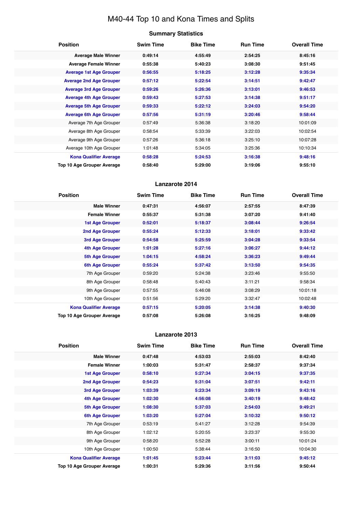# M40-44 Top 10 and Kona Times and Splits

| <b>Summary Statistics</b> |  |
|---------------------------|--|
|---------------------------|--|

| <b>Position</b>                   | <b>Swim Time</b> | <b>Bike Time</b> | <b>Run Time</b> | <b>Overall Time</b> |
|-----------------------------------|------------------|------------------|-----------------|---------------------|
| <b>Average Male Winner</b>        | 0:49:14          | 4:55:49          | 2:54:25         | 8:45:16             |
| <b>Average Female Winner</b>      | 0:55:38          | 5:40:23          | 3:08:30         | 9:51:45             |
| <b>Average 1st Age Grouper</b>    | 0:56:55          | 5:18:25          | 3:12:28         | 9:35:34             |
| <b>Average 2nd Age Grouper</b>    | 0:57:12          | 5:22:54          | 3:14:51         | 9:42:47             |
| <b>Average 3rd Age Grouper</b>    | 0:59:26          | 5:26:36          | 3:13:01         | 9:46:53             |
| <b>Average 4th Age Grouper</b>    | 0:59:43          | 5:27:53          | 3:14:38         | 9:51:17             |
| <b>Average 5th Age Grouper</b>    | 0:59:33          | 5:22:12          | 3:24:03         | 9:54:20             |
| <b>Average 6th Age Grouper</b>    | 0:57:56          | 5:31:19          | 3:20:46         | 9:58:44             |
| Average 7th Age Grouper           | 0:57:49          | 5:36:38          | 3:18:20         | 10:01:09            |
| Average 8th Age Grouper           | 0:58:54          | 5:33:39          | 3:22:03         | 10:02:54            |
| Average 9th Age Grouper           | 0:57:26          | 5:36:18          | 3:25:10         | 10:07:28            |
| Average 10th Age Grouper          | 1:01:48          | 5:34:05          | 3:25:36         | 10:10:34            |
| <b>Kona Qualifier Average</b>     | 0:58:28          | 5:24:53          | 3:16:38         | 9:48:16             |
| <b>Top 10 Age Grouper Average</b> | 0:58:40          | 5:29:00          | 3:19:06         | 9:55:10             |

# **Lanzarote 2014**

| <b>Position</b>               | <b>Swim Time</b> | <b>Bike Time</b> | <b>Run Time</b> | <b>Overall Time</b> |
|-------------------------------|------------------|------------------|-----------------|---------------------|
| <b>Male Winner</b>            | 0:47:31          | 4:56:07          | 2:57:55         | 8:47:39             |
| <b>Female Winner</b>          | 0:55:37          | 5:31:38          | 3:07:20         | 9:41:40             |
| <b>1st Age Grouper</b>        | 0:52:01          | 5:18:37          | 3:08:44         | 9:26:54             |
| <b>2nd Age Grouper</b>        | 0:55:24          | 5:12:33          | 3:18:01         | 9:33:42             |
| 3rd Age Grouper               | 0:54:58          | 5:25:59          | 3:04:28         | 9:33:54             |
| 4th Age Grouper               | 1:01:28          | 5:27:16          | 3:06:27         | 9:44:12             |
| <b>5th Age Grouper</b>        | 1:04:15          | 4:58:24          | 3:36:23         | 9:49:44             |
| <b>6th Age Grouper</b>        | 0:55:24          | 5:37:42          | 3:13:50         | 9:54:35             |
| 7th Age Grouper               | 0:59:20          | 5:24:38          | 3:23:46         | 9:55:50             |
| 8th Age Grouper               | 0:58:48          | 5:40:43          | 3:11:21         | 9:58:34             |
| 9th Age Grouper               | 0:57:55          | 5:46:08          | 3:08:29         | 10:01:18            |
| 10th Age Grouper              | 0:51:56          | 5:29:20          | 3:32:47         | 10:02:48            |
| <b>Kona Qualifier Average</b> | 0:57:15          | 5:20:05          | 3:14:38         | 9:40:30             |
| Top 10 Age Grouper Average    | 0:57:08          | 5:26:08          | 3:16:25         | 9:48:09             |

| <b>Position</b>                   | <b>Swim Time</b> | <b>Bike Time</b> | <b>Run Time</b> | <b>Overall Time</b> |
|-----------------------------------|------------------|------------------|-----------------|---------------------|
| <b>Male Winner</b>                | 0:47:48          | 4:53:03          | 2:55:03         | 8:42:40             |
| <b>Female Winner</b>              | 1:00:03          | 5:31:47          | 2:58:37         | 9:37:34             |
| <b>1st Age Grouper</b>            | 0:58:10          | 5:27:34          | 3:04:15         | 9:37:35             |
| 2nd Age Grouper                   | 0:54:23          | 5:31:04          | 3:07:51         | 9:42:11             |
| 3rd Age Grouper                   | 1:03:39          | 5:23:34          | 3:09:19         | 9:43:16             |
| <b>4th Age Grouper</b>            | 1:02:30          | 4:56:08          | 3:40:19         | 9:48:42             |
| <b>5th Age Grouper</b>            | 1:08:30          | 5:37:03          | 2:54:03         | 9:49:21             |
| 6th Age Grouper                   | 1:03:20          | 5:27:04          | 3:10:32         | 9:50:12             |
| 7th Age Grouper                   | 0:53:19          | 5:41:27          | 3:12:28         | 9:54:39             |
| 8th Age Grouper                   | 1:02:12          | 5:20:55          | 3:23:37         | 9:55:30             |
| 9th Age Grouper                   | 0:58:20          | 5:52:28          | 3:00:11         | 10:01:24            |
| 10th Age Grouper                  | 1:00:50          | 5:38:44          | 3:16:50         | 10:04:30            |
| <b>Kona Qualifier Average</b>     | 1:01:45          | 5:23:44          | 3:11:03         | 9:45:12             |
| <b>Top 10 Age Grouper Average</b> | 1:00:31          | 5:29:36          | 3:11:56         | 9:50:44             |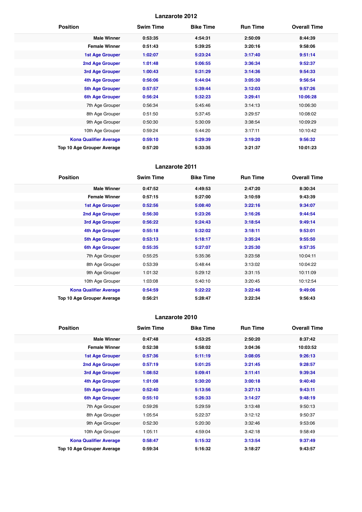| <b>Position</b>               | <b>Swim Time</b> | <b>Bike Time</b> | <b>Run Time</b> | <b>Overall Time</b> |
|-------------------------------|------------------|------------------|-----------------|---------------------|
| <b>Male Winner</b>            | 0:53:35          | 4:54:31          | 2:50:09         | 8:44:39             |
| <b>Female Winner</b>          | 0:51:43          | 5:39:25          | 3:20:16         | 9:58:06             |
| <b>1st Age Grouper</b>        | 1:02:07          | 5:23:24          | 3:17:40         | 9:51:14             |
| 2nd Age Grouper               | 1:01:48          | 5:06:55          | 3:36:34         | 9:52:37             |
| 3rd Age Grouper               | 1:00:43          | 5:31:29          | 3:14:36         | 9:54:33             |
| <b>4th Age Grouper</b>        | 0:56:06          | 5:44:04          | 3:05:30         | 9:56:54             |
| <b>5th Age Grouper</b>        | 0:57:57          | 5:39:44          | 3:12:03         | 9:57:26             |
| <b>6th Age Grouper</b>        | 0:56:24          | 5:32:23          | 3:29:41         | 10:06:28            |
| 7th Age Grouper               | 0:56:34          | 5:45:46          | 3:14:13         | 10:06:30            |
| 8th Age Grouper               | 0:51:50          | 5:37:45          | 3:29:57         | 10:08:02            |
| 9th Age Grouper               | 0:50:30          | 5:30:09          | 3:38:54         | 10:09:29            |
| 10th Age Grouper              | 0:59:24          | 5:44:20          | 3:17:11         | 10:10:42            |
| <b>Kona Qualifier Average</b> | 0:59:10          | 5:29:39          | 3:19:20         | 9:56:32             |
| Top 10 Age Grouper Average    | 0:57:20          | 5:33:35          | 3:21:37         | 10:01:23            |

# **Lanzarote 2011**

| <b>Position</b>                   | <b>Swim Time</b> | <b>Bike Time</b> | <b>Run Time</b> | <b>Overall Time</b> |
|-----------------------------------|------------------|------------------|-----------------|---------------------|
| <b>Male Winner</b>                | 0:47:52          | 4:49:53          | 2:47:20         | 8:30:34             |
| <b>Female Winner</b>              | 0:57:15          | 5:27:00          | 3:10:59         | 9:43:39             |
| <b>1st Age Grouper</b>            | 0:52:56          | 5:08:40          | 3:22:16         | 9:34:07             |
| <b>2nd Age Grouper</b>            | 0:56:30          | 5:23:26          | 3:16:26         | 9:44:54             |
| 3rd Age Grouper                   | 0:56:22          | 5:24:43          | 3:18:54         | 9:49:14             |
| <b>4th Age Grouper</b>            | 0:55:18          | 5:32:02          | 3:18:11         | 9:53:01             |
| <b>5th Age Grouper</b>            | 0:53:13          | 5:18:17          | 3:35:24         | 9:55:50             |
| <b>6th Age Grouper</b>            | 0:55:35          | 5:27:07          | 3:25:30         | 9:57:35             |
| 7th Age Grouper                   | 0:55:25          | 5:35:36          | 3:23:58         | 10:04:11            |
| 8th Age Grouper                   | 0:53:39          | 5:48:44          | 3:13:02         | 10:04:22            |
| 9th Age Grouper                   | 1:01:32          | 5:29:12          | 3:31:15         | 10:11:09            |
| 10th Age Grouper                  | 1:03:08          | 5:40:10          | 3:20:45         | 10:12:54            |
| <b>Kona Qualifier Average</b>     | 0:54:59          | 5:22:22          | 3:22:46         | 9:49:06             |
| <b>Top 10 Age Grouper Average</b> | 0:56:21          | 5:28:47          | 3:22:34         | 9:56:43             |

| <b>Position</b>               | <b>Swim Time</b> | <b>Bike Time</b> | <b>Run Time</b> | <b>Overall Time</b> |
|-------------------------------|------------------|------------------|-----------------|---------------------|
| <b>Male Winner</b>            | 0:47:48          | 4:53:25          | 2:50:20         | 8:37:42             |
| <b>Female Winner</b>          | 0:52:38          | 5:58:02          | 3:04:36         | 10:03:52            |
| 1st Age Grouper               | 0:57:36          | 5:11:19          | 3:08:05         | 9:26:13             |
| 2nd Age Grouper               | 0:57:19          | 5:01:25          | 3:21:45         | 9:28:57             |
| 3rd Age Grouper               | 1:08:52          | 5:09:41          | 3:11:41         | 9:39:34             |
| 4th Age Grouper               | 1:01:08          | 5:30:20          | 3:00:18         | 9:40:40             |
| 5th Age Grouper               | 0:52:40          | 5:13:56          | 3:27:13         | 9:43:11             |
| <b>6th Age Grouper</b>        | 0:55:10          | 5:26:33          | 3:14:27         | 9:48:19             |
| 7th Age Grouper               | 0:59:26          | 5:29:59          | 3:13:48         | 9:50:13             |
| 8th Age Grouper               | 1:05:54          | 5:22:37          | 3:12:12         | 9:50:37             |
| 9th Age Grouper               | 0:52:30          | 5:20:30          | 3:32:46         | 9:53:06             |
| 10th Age Grouper              | 1:05:11          | 4:59:04          | 3:42:18         | 9:58:49             |
| <b>Kona Qualifier Average</b> | 0:58:47          | 5:15:32          | 3:13:54         | 9:37:49             |
| Top 10 Age Grouper Average    | 0:59:34          | 5:16:32          | 3:18:27         | 9:43:57             |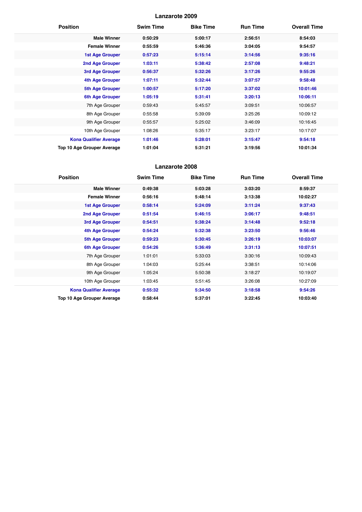| <b>Position</b>               | <b>Swim Time</b> | <b>Bike Time</b> | <b>Run Time</b> | <b>Overall Time</b> |
|-------------------------------|------------------|------------------|-----------------|---------------------|
| <b>Male Winner</b>            | 0:50:29          | 5:00:17          | 2:56:51         | 8:54:03             |
| <b>Female Winner</b>          | 0:55:59          | 5:46:36          | 3:04:05         | 9:54:57             |
| <b>1st Age Grouper</b>        | 0:57:23          | 5:15:14          | 3:14:56         | 9:35:16             |
| 2nd Age Grouper               | 1:03:11          | 5:38:42          | 2:57:08         | 9:48:21             |
| 3rd Age Grouper               | 0:56:37          | 5:32:26          | 3:17:26         | 9:55:26             |
| <b>4th Age Grouper</b>        | 1:07:11          | 5:32:44          | 3:07:57         | 9:58:48             |
| <b>5th Age Grouper</b>        | 1:00:57          | 5:17:20          | 3:37:02         | 10:01:46            |
| <b>6th Age Grouper</b>        | 1:05:19          | 5:31:41          | 3:20:13         | 10:06:11            |
| 7th Age Grouper               | 0:59:43          | 5:45:57          | 3:09:51         | 10:06:57            |
| 8th Age Grouper               | 0:55:58          | 5:39:09          | 3:25:26         | 10:09:12            |
| 9th Age Grouper               | 0:55:57          | 5:25:02          | 3:46:09         | 10:16:45            |
| 10th Age Grouper              | 1:08:26          | 5:35:17          | 3:23:17         | 10:17:07            |
| <b>Kona Qualifier Average</b> | 1:01:46          | 5:28:01          | 3:15:47         | 9:54:18             |
| Top 10 Age Grouper Average    | 1:01:04          | 5:31:21          | 3:19:56         | 10:01:34            |

| <b>Position</b>               | <b>Swim Time</b> | <b>Bike Time</b> | <b>Run Time</b> | <b>Overall Time</b> |
|-------------------------------|------------------|------------------|-----------------|---------------------|
| <b>Male Winner</b>            | 0:49:38          | 5:03:28          | 3:03:20         | 8:59:37             |
| <b>Female Winner</b>          | 0:56:16          | 5:48:14          | 3:13:38         | 10:02:27            |
| <b>1st Age Grouper</b>        | 0:58:14          | 5:24:09          | 3:11:24         | 9:37:43             |
| 2nd Age Grouper               | 0:51:54          | 5:46:15          | 3:06:17         | 9:48:51             |
| 3rd Age Grouper               | 0:54:51          | 5:38:24          | 3:14:48         | 9:52:18             |
| <b>4th Age Grouper</b>        | 0:54:24          | 5:32:38          | 3:23:50         | 9:56:46             |
| <b>5th Age Grouper</b>        | 0:59:23          | 5:30:45          | 3:26:19         | 10:03:07            |
| 6th Age Grouper               | 0:54:26          | 5:36:49          | 3:31:13         | 10:07:51            |
| 7th Age Grouper               | 1:01:01          | 5:33:03          | 3:30:16         | 10:09:43            |
| 8th Age Grouper               | 1:04:03          | 5:25:44          | 3:38:51         | 10:14:06            |
| 9th Age Grouper               | 1:05:24          | 5:50:38          | 3:18:27         | 10:19:07            |
| 10th Age Grouper              | 1:03:45          | 5:51:45          | 3:26:08         | 10:27:09            |
| <b>Kona Qualifier Average</b> | 0:55:32          | 5:34:50          | 3:18:58         | 9:54:26             |
| Top 10 Age Grouper Average    | 0:58:44          | 5:37:01          | 3:22:45         | 10:03:40            |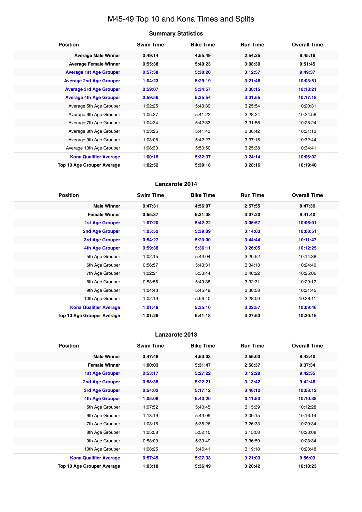# M45-49 Top 10 and Kona Times and Splits

# **Summary Statistics**

| <b>Position</b>                   | <b>Swim Time</b> | <b>Bike Time</b> | <b>Run Time</b> | <b>Overall Time</b> |
|-----------------------------------|------------------|------------------|-----------------|---------------------|
| <b>Average Male Winner</b>        | 0:49:14          | 4:55:49          | 2:54:25         | 8:45:16             |
| <b>Average Female Winner</b>      | 0:55:38          | 5:40:23          | 3:08:30         | 9:51:45             |
| <b>Average 1st Age Grouper</b>    | 0:57:38          | 5:30:20          | 3:12:57         | 9:49:37             |
| <b>Average 2nd Age Grouper</b>    | 1:04:23          | 5:29:19          | 3:21:48         | 10:03:51            |
| <b>Average 3rd Age Grouper</b>    | 0:59:07          | 5:34:57          | 3:30:15         | 10:13:21            |
| <b>Average 4th Age Grouper</b>    | 0:59:56          | 5:35:54          | 3:31:55         | 10:17:18            |
| Average 5th Age Grouper           | 1:02:25          | 5:43:39          | 3:25:54         | 10:20:31            |
| Average 6th Age Grouper           | 1:05:37          | 5:41:22          | 3:28:24         | 10:24:58            |
| Average 7th Age Grouper           | 1:04:34          | 5:42:33          | 3:31:56         | 10:28:24            |
| Average 8th Age Grouper           | 1:03:25          | 5:41:43          | 3:36:42         | 10:31:13            |
| Average 9th Age Grouper           | 1:03:08          | 5:42:27          | 3:37:15         | 10:32:44            |
| Average 10th Age Grouper          | 1:08:30          | 5:50:50          | 3:25:38         | 10:34:41            |
| <b>Kona Qualifier Average</b>     | 1:00:16          | 5:32:37          | 3:24:14         | 10:06:02            |
| <b>Top 10 Age Grouper Average</b> | 1:02:52          | 5:39:18          | 3:28:16         | 10:19:40            |

# **Lanzarote 2014**

| <b>Position</b>               | <b>Swim Time</b> | <b>Bike Time</b> | <b>Run Time</b> | <b>Overall Time</b> |
|-------------------------------|------------------|------------------|-----------------|---------------------|
| <b>Male Winner</b>            | 0:47:31          | 4:56:07          | 2:57:55         | 8:47:39             |
| <b>Female Winner</b>          | 0:55:37          | 5:31:38          | 3:07:20         | 9:41:40             |
| 1st Age Grouper               | 1:07:20          | 5:42:22          | 3:06:57         | 10:06:01            |
| <b>2nd Age Grouper</b>        | 1:05:52          | 5:39:09          | 3:14:03         | 10:08:51            |
| 3rd Age Grouper               | 0:54:27          | 5:23:00          | 3:44:44         | 10:11:47            |
| 4th Age Grouper               | 0:59:38          | 5:36:11          | 3:26:05         | 10:12:25            |
| 5th Age Grouper               | 1:02:15          | 5:43:04          | 3:20:52         | 10:14:38            |
| 6th Age Grouper               | 0:56:57          | 5:43:31          | 3:34:13         | 10:24:40            |
| 7th Age Grouper               | 1:02:21          | 5:33:44          | 3:40:22         | 10:25:06            |
| 8th Age Grouper               | 0:58:55          | 5:49:38          | 3:32:31         | 10:29:17            |
| 9th Age Grouper               | 1:04:43          | 5:45:49          | 3:30:58         | 10:31:45            |
| 10th Age Grouper              | 1:02:19          | 5:56:40          | 3:28:09         | 10:38:11            |
| <b>Kona Qualifier Average</b> | 1:01:49          | 5:35:10          | 3:22:57         | 10:09:46            |
| Top 10 Age Grouper Average    | 1:01:28          | 5:41:18          | 3:27:53         | 10:20:16            |

| <b>Position</b>                   | <b>Swim Time</b> | <b>Bike Time</b> | <b>Run Time</b> | <b>Overall Time</b> |
|-----------------------------------|------------------|------------------|-----------------|---------------------|
| <b>Male Winner</b>                | 0:47:48          | 4:53:03          | 2:55:03         | 8:42:40             |
| <b>Female Winner</b>              | 1:00:03          | 5:31:47          | 2:58:37         | 9:37:34             |
| <b>1st Age Grouper</b>            | 0:53:17          | 5:27:22          | 3:12:28         | 9:42:35             |
| <b>2nd Age Grouper</b>            | 0:58:36          | 5:22:21          | 3:13:42         | 9:42:48             |
| 3rd Age Grouper                   | 0:54:02          | 5:17:12          | 3:46:12         | 10:08:12            |
| <b>4th Age Grouper</b>            | 1:05:08          | 5:43:20          | 3:11:50         | 10:10:38            |
| 5th Age Grouper                   | 1:07:52          | 5:40:45          | 3:15:39         | 10:12:28            |
| 6th Age Grouper                   | 1:13:19          | 5:43:09          | 3:09:15         | 10:16:14            |
| 7th Age Grouper                   | 1:08:16          | 5:35:26          | 3:26:33         | 10:20:34            |
| 8th Age Grouper                   | 1:05:58          | 5:52:10          | 3:15:08         | 10:23:08            |
| 9th Age Grouper                   | 0:58:09          | 5:39:49          | 3:36:59         | 10:23:34            |
| 10th Age Grouper                  | 1:08:25          | 5:46:41          | 3:19:18         | 10:23:48            |
| <b>Kona Qualifier Average</b>     | 0:57:45          | 5:27:33          | 3:21:03         | 9:56:03             |
| <b>Top 10 Age Grouper Average</b> | 1:03:18          | 5:36:49          | 3:20:42         | 10:10:23            |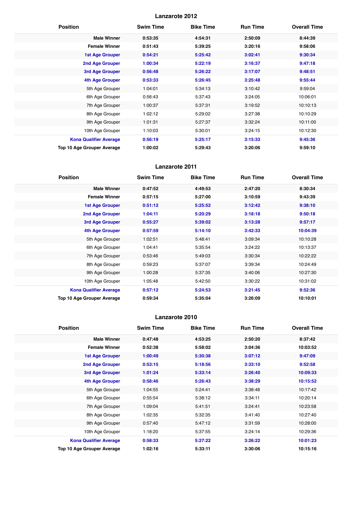| <b>Position</b>               | <b>Swim Time</b> | <b>Bike Time</b> | <b>Run Time</b> | <b>Overall Time</b> |
|-------------------------------|------------------|------------------|-----------------|---------------------|
| <b>Male Winner</b>            | 0:53:35          | 4:54:31          | 2:50:09         | 8:44:39             |
| <b>Female Winner</b>          | 0:51:43          | 5:39:25          | 3:20:16         | 9:58:06             |
| <b>1st Age Grouper</b>        | 0:54:21          | 5:25:42          | 3:02:41         | 9:30:34             |
| 2nd Age Grouper               | 1:00:34          | 5:22:19          | 3:16:37         | 9:47:18             |
| 3rd Age Grouper               | 0:56:48          | 5:26:22          | 3:17:07         | 9:48:51             |
| <b>4th Age Grouper</b>        | 0:53:33          | 5:26:45          | 3:25:48         | 9:55:44             |
| 5th Age Grouper               | 1:04:01          | 5:34:13          | 3:10:42         | 9:59:04             |
| 6th Age Grouper               | 0:56:43          | 5:37:43          | 3:24:05         | 10:06:01            |
| 7th Age Grouper               | 1:00:37          | 5:37:31          | 3:19:52         | 10:10:13            |
| 8th Age Grouper               | 1:02:12          | 5:29:02          | 3:27:38         | 10:10:29            |
| 9th Age Grouper               | 1:01:31          | 5:27:37          | 3:32:24         | 10:11:00            |
| 10th Age Grouper              | 1:10:03          | 5:30:01          | 3:24:15         | 10:12:30            |
| <b>Kona Qualifier Average</b> | 0:56:19          | 5:25:17          | 3:15:33         | 9:45:36             |
| Top 10 Age Grouper Average    | 1:00:02          | 5:29:43          | 3:20:06         | 9:59:10             |

# **Lanzarote 2011**

| <b>Position</b>                   | <b>Swim Time</b> | <b>Bike Time</b> | <b>Run Time</b> | <b>Overall Time</b> |
|-----------------------------------|------------------|------------------|-----------------|---------------------|
| <b>Male Winner</b>                | 0:47:52          | 4:49:53          | 2:47:20         | 8:30:34             |
| <b>Female Winner</b>              | 0:57:15          | 5:27:00          | 3:10:59         | 9:43:39             |
| <b>1st Age Grouper</b>            | 0:51:12          | 5:25:52          | 3:12:42         | 9:38:10             |
| 2nd Age Grouper                   | 1:04:11          | 5:20:29          | 3:18:18         | 9:50:18             |
| 3rd Age Grouper                   | 0:55:27          | 5:39:02          | 3:13:28         | 9:57:17             |
| <b>4th Age Grouper</b>            | 0:57:59          | 5:14:10          | 3:42:33         | 10:04:39            |
| 5th Age Grouper                   | 1:02:51          | 5:48:41          | 3:09:34         | 10:10:28            |
| 6th Age Grouper                   | 1:04:41          | 5:35:54          | 3:24:22         | 10:13:37            |
| 7th Age Grouper                   | 0:53:46          | 5:49:03          | 3:30:34         | 10:22:22            |
| 8th Age Grouper                   | 0:59:23          | 5:37:07          | 3:39:34         | 10:24:49            |
| 9th Age Grouper                   | 1:00:28          | 5:37:35          | 3:40:06         | 10:27:30            |
| 10th Age Grouper                  | 1:05:48          | 5:42:50          | 3:30:22         | 10:31:02            |
| <b>Kona Qualifier Average</b>     | 0:57:12          | 5:24:53          | 3:21:45         | 9:52:36             |
| <b>Top 10 Age Grouper Average</b> | 0:59:34          | 5:35:04          | 3:26:09         | 10:10:01            |

| <b>Position</b>               | <b>Swim Time</b> | <b>Bike Time</b> | <b>Run Time</b> | <b>Overall Time</b> |
|-------------------------------|------------------|------------------|-----------------|---------------------|
| <b>Male Winner</b>            | 0:47:48          | 4:53:25          | 2:50:20         | 8:37:42             |
| <b>Female Winner</b>          | 0:52:38          | 5:58:02          | 3:04:36         | 10:03:52            |
| <b>1st Age Grouper</b>        | 1:00:49          | 5:30:38          | 3:07:12         | 9:47:09             |
| 2nd Age Grouper               | 0:53:15          | 5:18:56          | 3:33:10         | 9:52:58             |
| 3rd Age Grouper               | 1:01:24          | 5:33:14          | 3:26:40         | 10:09:33            |
| 4th Age Grouper               | 0:58:46          | 5:26:43          | 3:38:29         | 10:15:52            |
| 5th Age Grouper               | 1:04:55          | 5:24:41          | 3:38:48         | 10:17:42            |
| 6th Age Grouper               | 0:55:54          | 5:38:12          | 3:34:11         | 10:20:14            |
| 7th Age Grouper               | 1:09:04          | 5:41:51          | 3:24:41         | 10:23:58            |
| 8th Age Grouper               | 1:02:35          | 5:32:35          | 3:41:40         | 10:27:40            |
| 9th Age Grouper               | 0:57:40          | 5:47:12          | 3:31:59         | 10:28:00            |
| 10th Age Grouper              | 1:18:20          | 5:37:55          | 3:24:14         | 10:29:36            |
| <b>Kona Qualifier Average</b> | 0:58:33          | 5:27:22          | 3:26:22         | 10:01:23            |
| Top 10 Age Grouper Average    | 1:02:16          | 5:33:11          | 3:30:06         | 10:15:16            |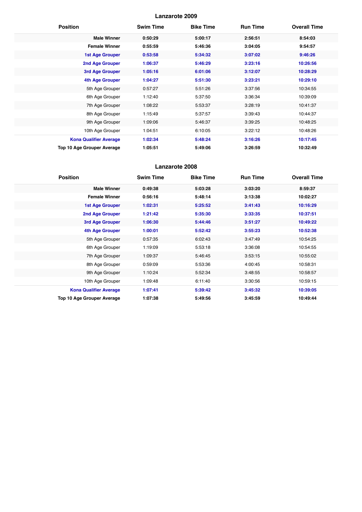| <b>Position</b>                   | <b>Swim Time</b> | <b>Bike Time</b> | <b>Run Time</b> | <b>Overall Time</b> |
|-----------------------------------|------------------|------------------|-----------------|---------------------|
| <b>Male Winner</b>                | 0:50:29          | 5:00:17          | 2:56:51         | 8:54:03             |
| <b>Female Winner</b>              | 0:55:59          | 5:46:36          | 3:04:05         | 9:54:57             |
| <b>1st Age Grouper</b>            | 0:53:58          | 5:34:32          | 3:07:02         | 9:46:26             |
| 2nd Age Grouper                   | 1:06:37          | 5:46:29          | 3:23:16         | 10:26:56            |
| 3rd Age Grouper                   | 1:05:16          | 6:01:06          | 3:12:07         | 10:28:29            |
| <b>4th Age Grouper</b>            | 1:04:27          | 5:51:30          | 3:23:21         | 10:29:10            |
| 5th Age Grouper                   | 0:57:27          | 5:51:26          | 3:37:56         | 10:34:55            |
| 6th Age Grouper                   | 1:12:40          | 5:37:50          | 3:36:34         | 10:39:09            |
| 7th Age Grouper                   | 1:08:22          | 5:53:37          | 3:28:19         | 10:41:37            |
| 8th Age Grouper                   | 1:15:49          | 5:37:57          | 3:39:43         | 10:44:37            |
| 9th Age Grouper                   | 1:09:06          | 5:46:37          | 3:39:25         | 10:48:25            |
| 10th Age Grouper                  | 1:04:51          | 6:10:05          | 3:22:12         | 10:48:26            |
| <b>Kona Qualifier Average</b>     | 1:02:34          | 5:48:24          | 3:16:26         | 10:17:45            |
| <b>Top 10 Age Grouper Average</b> | 1:05:51          | 5:49:06          | 3:26:59         | 10:32:49            |

| <b>Position</b>               | <b>Swim Time</b> | <b>Bike Time</b> | <b>Run Time</b> | <b>Overall Time</b> |
|-------------------------------|------------------|------------------|-----------------|---------------------|
| <b>Male Winner</b>            | 0:49:38          | 5:03:28          | 3:03:20         | 8:59:37             |
| <b>Female Winner</b>          | 0:56:16          | 5:48:14          | 3:13:38         | 10:02:27            |
| <b>1st Age Grouper</b>        | 1:02:31          | 5:25:52          | 3:41:43         | 10:16:29            |
| 2nd Age Grouper               | 1:21:42          | 5:35:30          | 3:33:35         | 10:37:51            |
| 3rd Age Grouper               | 1:06:30          | 5:44:46          | 3:51:27         | 10:49:22            |
| <b>4th Age Grouper</b>        | 1:00:01          | 5:52:42          | 3:55:23         | 10:52:38            |
| 5th Age Grouper               | 0:57:35          | 6:02:43          | 3:47:49         | 10:54:25            |
| 6th Age Grouper               | 1:19:09          | 5:53:18          | 3:36:08         | 10:54:55            |
| 7th Age Grouper               | 1:09:37          | 5:46:45          | 3:53:15         | 10:55:02            |
| 8th Age Grouper               | 0:59:09          | 5:53:36          | 4:00:45         | 10:58:31            |
| 9th Age Grouper               | 1:10:24          | 5:52:34          | 3:48:55         | 10:58:57            |
| 10th Age Grouper              | 1:09:48          | 6:11:40          | 3:30:56         | 10:59:15            |
| <b>Kona Qualifier Average</b> | 1:07:41          | 5:39:42          | 3:45:32         | 10:39:05            |
| Top 10 Age Grouper Average    | 1:07:38          | 5:49:56          | 3:45:59         | 10:49:44            |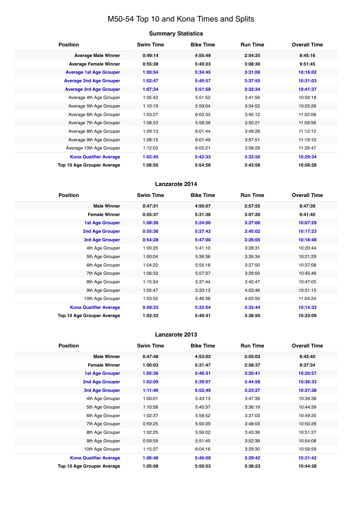# M50-54 Top 10 and Kona Times and Splits

# **Summary Statistics**

| <b>Position</b>                   | <b>Swim Time</b> | <b>Bike Time</b> | <b>Run Time</b> | <b>Overall Time</b> |
|-----------------------------------|------------------|------------------|-----------------|---------------------|
| <b>Average Male Winner</b>        | 0:49:14          | 4:55:49          | 2:54:25         | 8:45:16             |
| <b>Average Female Winner</b>      | 0:55:38          | 5:40:23          | 3:08:30         | 9:51:45             |
| <b>Average 1st Age Grouper</b>    | 1:00:54          | 5:34:45          | 3:31:00         | 10:16:02            |
| <b>Average 2nd Age Grouper</b>    | 1:02:47          | 5:40:57          | 3:37:55         | 10:31:03            |
| <b>Average 3rd Age Grouper</b>    | 1:07:34          | 5:51:58          | 3:32:34         | 10:41:37            |
| Average 4th Age Grouper           | 1:05:42          | 5:51:52          | 3:41:56         | 10:50:18            |
| Average 5th Age Grouper           | 1:10:19          | 5:59:04          | 3:34:52         | 10:55:26            |
| Average 6th Age Grouper           | 1:03:27          | 6:03:33          | 3:45:12         | 11:02:08            |
| Average 7th Age Grouper           | 1:08:53          | 5:58:39          | 3:50:21         | 11:09:56            |
| Average 8th Age Grouper           | 1:09:13          | 6:01:44          | 3:49:28         | 11:12:12            |
| Average 9th Age Grouper           | 1:08:15          | 6:01:49          | 3:57:51         | 11:19:10            |
| Average 10th Age Grouper          | 1:12:03          | 6:05:21          | 3:58:29         | 11:26:47            |
| <b>Kona Qualifier Average</b>     | 1:03:45          | 5:42:33          | 3:33:50         | 10:29:34            |
| <b>Top 10 Age Grouper Average</b> | 1:06:55          | 5:54:58          | 3:43:58         | 10:56:28            |

# **Lanzarote 2014**

| <b>Position</b>               | <b>Swim Time</b> | <b>Bike Time</b> | <b>Run Time</b> | <b>Overall Time</b> |
|-------------------------------|------------------|------------------|-----------------|---------------------|
| <b>Male Winner</b>            | 0:47:31          | 4:56:07          | 2:57:55         | 8:47:39             |
| <b>Female Winner</b>          | 0:55:37          | 5:31:38          | 3:07:20         | 9:41:40             |
| <b>1st Age Grouper</b>        | 1:08:36          | 5:24:00          | 3:27:06         | 10:07:29            |
| 2nd Age Grouper               | 0:55:36          | 5:27:42          | 3:45:02         | 10:17:23            |
| 3rd Age Grouper               | 0:54:28          | 5:47:00          | 3:26:05         | 10:18:48            |
| 4th Age Grouper               | 1:00:25          | 5:41:10          | 3:28:31         | 10:20:44            |
| 5th Age Grouper               | 1:00:04          | 5:36:36          | 3:35:34         | 10:21:29            |
| 6th Age Grouper               | 1:04:22          | 5:55:18          | 3:27:50         | 10:37:08            |
| 7th Age Grouper               | 1:06:33          | 5:57:37          | 3:29:50         | 10:45:46            |
| 8th Age Grouper               | 1:15:34          | 5:37:44          | 3:40:47         | 10:47:05            |
| 9th Age Grouper               | 1:05:47          | 5:33:13          | 4:03:46         | 10:51:15            |
| 10th Age Grouper              | 1:03:55          | 5:46:38          | 4:03:50         | 11:04:24            |
| <b>Kona Qualifier Average</b> | 0:59:33          | 5:32:54          | 3:32:44         | 10:14:33            |
| Top 10 Age Grouper Average    | 1:03:32          | 5:40:41          | 3:38:50         | 10:33:09            |

| <b>Position</b>                   | <b>Swim Time</b> | <b>Bike Time</b> | <b>Run Time</b> | <b>Overall Time</b> |
|-----------------------------------|------------------|------------------|-----------------|---------------------|
| <b>Male Winner</b>                | 0:47:48          | 4:53:03          | 2:55:03         | 8:42:40             |
| <b>Female Winner</b>              | 1:00:03          | 5:31:47          | 2:58:37         | 9:37:34             |
| <b>1st Age Grouper</b>            | 1:05:36          | 5:46:31          | 3:20:41         | 10:20:57            |
| <b>2nd Age Grouper</b>            | 1:03:09          | 5:39:07          | 3:44:58         | 10:36:33            |
| 3rd Age Grouper                   | 1:11:40          | 5:52:49          | 3:23:27         | 10:37:38            |
| 4th Age Grouper                   | 1:00:01          | 5:43:13          | 3:47:39         | 10:39:38            |
| 5th Age Grouper                   | 1:10:58          | 5:45:37          | 3:36:19         | 10:44:39            |
| 6th Age Grouper                   | 1:02:37          | 5:58:52          | 3:37:03         | 10:49:20            |
| 7th Age Grouper                   | 0:59:25          | 5:50:39          | 3:48:03         | 10:50:28            |
| 8th Age Grouper                   | 1:02:25          | 5:56:02          | 3:43:36         | 10:51:27            |
| 9th Age Grouper                   | 0:59:59          | 5:51:45          | 3:52:39         | 10:54:08            |
| 10th Age Grouper                  | 1:15:37          | 6:04:16          | 3:29:30         | 10:59:59            |
| <b>Kona Qualifier Average</b>     | 1:06:48          | 5:46:09          | 3:29:42         | 10:31:42            |
| <b>Top 10 Age Grouper Average</b> | 1:05:08          | 5:50:53          | 3:38:23         | 10:44:28            |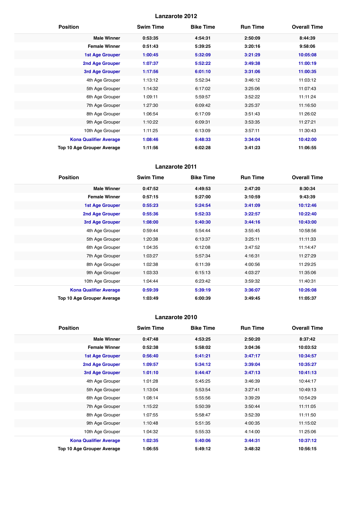| <b>Position</b>               | <b>Swim Time</b> | <b>Bike Time</b> | <b>Run Time</b> | <b>Overall Time</b> |
|-------------------------------|------------------|------------------|-----------------|---------------------|
| <b>Male Winner</b>            | 0:53:35          | 4:54:31          | 2:50:09         | 8:44:39             |
| <b>Female Winner</b>          | 0:51:43          | 5:39:25          | 3:20:16         | 9:58:06             |
| <b>1st Age Grouper</b>        | 1:00:45          | 5:32:09          | 3:21:29         | 10:05:08            |
| 2nd Age Grouper               | 1:07:37          | 5:52:22          | 3:49:38         | 11:00:19            |
| 3rd Age Grouper               | 1:17:56          | 6:01:10          | 3:31:06         | 11:00:35            |
| 4th Age Grouper               | 1:13:12          | 5:52:34          | 3:46:12         | 11:03:12            |
| 5th Age Grouper               | 1:14:32          | 6:17:02          | 3:25:06         | 11:07:43            |
| 6th Age Grouper               | 1:09:11          | 5:59:57          | 3:52:22         | 11:11:24            |
| 7th Age Grouper               | 1:27:30          | 6:09:42          | 3:25:37         | 11:16:50            |
| 8th Age Grouper               | 1:06:54          | 6:17:09          | 3:51:43         | 11:26:02            |
| 9th Age Grouper               | 1:10:22          | 6:09:31          | 3:53:35         | 11:27:21            |
| 10th Age Grouper              | 1:11:25          | 6:13:09          | 3:57:11         | 11:30:43            |
| <b>Kona Qualifier Average</b> | 1:08:46          | 5:48:33          | 3:34:04         | 10:42:00            |
| Top 10 Age Grouper Average    | 1:11:56          | 6:02:28          | 3:41:23         | 11:06:55            |

# **Lanzarote 2011**

| <b>Position</b>               | <b>Swim Time</b> | <b>Bike Time</b> | <b>Run Time</b> | <b>Overall Time</b> |
|-------------------------------|------------------|------------------|-----------------|---------------------|
| <b>Male Winner</b>            | 0:47:52          | 4:49:53          | 2:47:20         | 8:30:34             |
| <b>Female Winner</b>          | 0:57:15          | 5:27:00          | 3:10:59         | 9:43:39             |
| 1st Age Grouper               | 0:55:23          | 5:24:54          | 3:41:09         | 10:12:46            |
| <b>2nd Age Grouper</b>        | 0:55:36          | 5:52:33          | 3:22:57         | 10:22:40            |
| 3rd Age Grouper               | 1:08:00          | 5:40:30          | 3:44:16         | 10:43:00            |
| 4th Age Grouper               | 0:59:44          | 5:54:44          | 3:55:45         | 10:58:56            |
| 5th Age Grouper               | 1:20:38          | 6:13:37          | 3:25:11         | 11:11:33            |
| 6th Age Grouper               | 1:04:35          | 6:12:08          | 3:47:52         | 11:14:47            |
| 7th Age Grouper               | 1:03:27          | 5:57:34          | 4:16:31         | 11:27:29            |
| 8th Age Grouper               | 1:02:38          | 6:11:39          | 4:00:56         | 11:29:25            |
| 9th Age Grouper               | 1:03:33          | 6:15:13          | 4:03:27         | 11:35:06            |
| 10th Age Grouper              | 1:04:44          | 6:23:42          | 3:59:32         | 11:40:31            |
| <b>Kona Qualifier Average</b> | 0:59:39          | 5:39:19          | 3:36:07         | 10:26:08            |
| Top 10 Age Grouper Average    | 1:03:49          | 6:00:39          | 3:49:45         | 11:05:37            |

| <b>Position</b>               | <b>Swim Time</b> | <b>Bike Time</b> | <b>Run Time</b> | <b>Overall Time</b> |
|-------------------------------|------------------|------------------|-----------------|---------------------|
| <b>Male Winner</b>            | 0:47:48          | 4:53:25          | 2:50:20         | 8:37:42             |
| <b>Female Winner</b>          | 0:52:38          | 5:58:02          | 3:04:36         | 10:03:52            |
| <b>1st Age Grouper</b>        | 0:56:40          | 5:41:21          | 3:47:17         | 10:34:57            |
| 2nd Age Grouper               | 1:09:57          | 5:34:12          | 3:39:04         | 10:35:27            |
| <b>3rd Age Grouper</b>        | 1:01:10          | 5:44:47          | 3:47:13         | 10:41:13            |
| 4th Age Grouper               | 1:01:28          | 5:45:25          | 3:46:39         | 10:44:17            |
| 5th Age Grouper               | 1:13:04          | 5:53:54          | 3:27:41         | 10:49:13            |
| 6th Age Grouper               | 1:08:14          | 5:55:56          | 3:39:29         | 10:54:29            |
| 7th Age Grouper               | 1:15:22          | 5:50:39          | 3:50:44         | 11:11:05            |
| 8th Age Grouper               | 1:07:55          | 5:58:47          | 3:52:39         | 11:11:50            |
| 9th Age Grouper               | 1:10:48          | 5:51:35          | 4:00:35         | 11:15:02            |
| 10th Age Grouper              | 1:04:32          | 5:55:33          | 4:14:00         | 11:25:06            |
| <b>Kona Qualifier Average</b> | 1:02:35          | 5:40:06          | 3:44:31         | 10:37:12            |
| Top 10 Age Grouper Average    | 1:06:55          | 5:49:12          | 3:48:32         | 10:56:15            |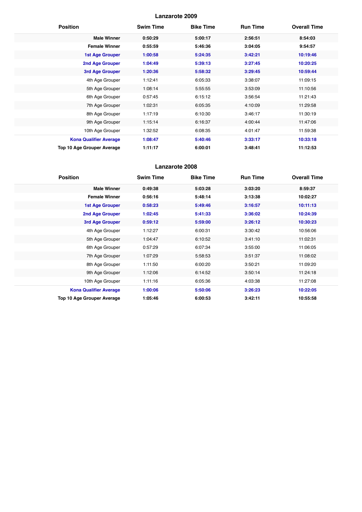| <b>Position</b>                   | <b>Swim Time</b> | <b>Bike Time</b> | <b>Run Time</b> | <b>Overall Time</b> |
|-----------------------------------|------------------|------------------|-----------------|---------------------|
| <b>Male Winner</b>                | 0:50:29          | 5:00:17          | 2:56:51         | 8:54:03             |
| <b>Female Winner</b>              | 0:55:59          | 5:46:36          | 3:04:05         | 9:54:57             |
| <b>1st Age Grouper</b>            | 1:00:58          | 5:24:35          | 3:42:21         | 10:19:46            |
| <b>2nd Age Grouper</b>            | 1:04:49          | 5:39:13          | 3:27:45         | 10:20:25            |
| 3rd Age Grouper                   | 1:20:36          | 5:58:32          | 3:29:45         | 10:59:44            |
| 4th Age Grouper                   | 1:12:41          | 6:05:33          | 3:38:07         | 11:09:15            |
| 5th Age Grouper                   | 1:08:14          | 5:55:55          | 3:53:09         | 11:10:56            |
| 6th Age Grouper                   | 0:57:45          | 6:15:12          | 3:56:54         | 11:21:43            |
| 7th Age Grouper                   | 1:02:31          | 6:05:35          | 4:10:09         | 11:29:58            |
| 8th Age Grouper                   | 1:17:19          | 6:10:30          | 3:46:17         | 11:30:19            |
| 9th Age Grouper                   | 1:15:14          | 6:16:37          | 4:00:44         | 11:47:06            |
| 10th Age Grouper                  | 1:32:52          | 6:08:35          | 4:01:47         | 11:59:38            |
| <b>Kona Qualifier Average</b>     | 1:08:47          | 5:40:46          | 3:33:17         | 10:33:18            |
| <b>Top 10 Age Grouper Average</b> | 1:11:17          | 6:00:01          | 3:48:41         | 11:12:53            |

| <b>Position</b>                   | <b>Swim Time</b> | <b>Bike Time</b> | <b>Run Time</b> | <b>Overall Time</b> |
|-----------------------------------|------------------|------------------|-----------------|---------------------|
| <b>Male Winner</b>                | 0:49:38          | 5:03:28          | 3:03:20         | 8:59:37             |
| <b>Female Winner</b>              | 0:56:16          | 5:48:14          | 3:13:38         | 10:02:27            |
| <b>1st Age Grouper</b>            | 0:58:23          | 5:49:46          | 3:16:57         | 10:11:13            |
| 2nd Age Grouper                   | 1:02:45          | 5:41:33          | 3:36:02         | 10:24:39            |
| 3rd Age Grouper                   | 0:59:12          | 5:59:00          | 3:26:12         | 10:30:23            |
| 4th Age Grouper                   | 1:12:27          | 6:00:31          | 3:30:42         | 10:56:06            |
| 5th Age Grouper                   | 1:04:47          | 6:10:52          | 3:41:10         | 11:02:31            |
| 6th Age Grouper                   | 0:57:29          | 6:07:34          | 3:55:00         | 11:06:05            |
| 7th Age Grouper                   | 1:07:29          | 5:58:53          | 3:51:37         | 11:08:02            |
| 8th Age Grouper                   | 1:11:50          | 6:00:20          | 3:50:21         | 11:09:20            |
| 9th Age Grouper                   | 1:12:06          | 6:14:52          | 3:50:14         | 11:24:18            |
| 10th Age Grouper                  | 1:11:16          | 6:05:36          | 4:03:38         | 11:27:08            |
| <b>Kona Qualifier Average</b>     | 1:00:06          | 5:50:06          | 3:26:23         | 10:22:05            |
| <b>Top 10 Age Grouper Average</b> | 1:05:46          | 6:00:53          | 3:42:11         | 10:55:58            |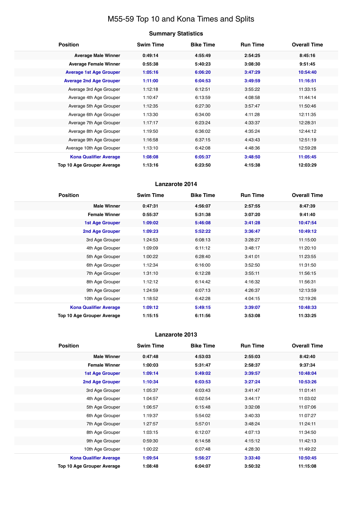# M55-59 Top 10 and Kona Times and Splits

# **Summary Statistics**

| <b>Position</b>                   | <b>Swim Time</b> | <b>Bike Time</b> | <b>Run Time</b> | <b>Overall Time</b> |
|-----------------------------------|------------------|------------------|-----------------|---------------------|
| <b>Average Male Winner</b>        | 0:49:14          | 4:55:49          | 2:54:25         | 8:45:16             |
| <b>Average Female Winner</b>      | 0:55:38          | 5:40:23          | 3:08:30         | 9:51:45             |
| <b>Average 1st Age Grouper</b>    | 1:05:16          | 6:06:20          | 3:47:29         | 10:54:40            |
| <b>Average 2nd Age Grouper</b>    | 1:11:00          | 6:04:53          | 3:49:59         | 11:16:51            |
| Average 3rd Age Grouper           | 1:12:18          | 6:12:51          | 3:55:22         | 11:33:15            |
| Average 4th Age Grouper           | 1:10:47          | 6:13:59          | 4:08:58         | 11:44:14            |
| Average 5th Age Grouper           | 1:12:35          | 6:27:30          | 3:57:47         | 11:50:46            |
| Average 6th Age Grouper           | 1:13:30          | 6:34:00          | 4:11:28         | 12:11:35            |
| Average 7th Age Grouper           | 1:17:17          | 6:23:24          | 4:33:37         | 12:28:31            |
| Average 8th Age Grouper           | 1:19:50          | 6:36:02          | 4:35:24         | 12:44:12            |
| Average 9th Age Grouper           | 1:16:58          | 6:37:15          | 4:43:43         | 12:51:19            |
| Average 10th Age Grouper          | 1:13:10          | 6:42:08          | 4:48:36         | 12:59:28            |
| <b>Kona Qualifier Average</b>     | 1:08:08          | 6:05:37          | 3:48:50         | 11:05:45            |
| <b>Top 10 Age Grouper Average</b> | 1:13:16          | 6:23:50          | 4:15:38         | 12:03:29            |

# **Lanzarote 2014**

| <b>Position</b>               | <b>Swim Time</b> | <b>Bike Time</b> | <b>Run Time</b> | <b>Overall Time</b> |
|-------------------------------|------------------|------------------|-----------------|---------------------|
| <b>Male Winner</b>            | 0:47:31          | 4:56:07          | 2:57:55         | 8:47:39             |
| <b>Female Winner</b>          | 0:55:37          | 5:31:38          | 3:07:20         | 9:41:40             |
| <b>1st Age Grouper</b>        | 1:09:02          | 5:46:08          | 3:41:28         | 10:47:54            |
| 2nd Age Grouper               | 1:09:23          | 5:52:22          | 3:36:47         | 10:49:12            |
| 3rd Age Grouper               | 1:24:53          | 6:08:13          | 3:28:27         | 11:15:00            |
| 4th Age Grouper               | 1:09:09          | 6:11:12          | 3:48:17         | 11:20:10            |
| 5th Age Grouper               | 1:00:22          | 6:28:40          | 3:41:01         | 11:23:55            |
| 6th Age Grouper               | 1:12:34          | 6:16:00          | 3:52:50         | 11:31:50            |
| 7th Age Grouper               | 1:31:10          | 6:12:28          | 3:55:11         | 11:56:15            |
| 8th Age Grouper               | 1:12:12          | 6:14:42          | 4:16:32         | 11:56:31            |
| 9th Age Grouper               | 1:24:59          | 6:07:13          | 4:26:37         | 12:13:59            |
| 10th Age Grouper              | 1:18:52          | 6:42:28          | 4:04:15         | 12:19:26            |
| <b>Kona Qualifier Average</b> | 1:09:12          | 5:49:15          | 3:39:07         | 10:48:33            |
| Top 10 Age Grouper Average    | 1:15:15          | 6:11:56          | 3:53:08         | 11:33:25            |

| <b>Position</b>               | <b>Swim Time</b> | <b>Bike Time</b> | <b>Run Time</b> | <b>Overall Time</b> |
|-------------------------------|------------------|------------------|-----------------|---------------------|
| <b>Male Winner</b>            | 0:47:48          | 4:53:03          | 2:55:03         | 8:42:40             |
| <b>Female Winner</b>          | 1:00:03          | 5:31:47          | 2:58:37         | 9:37:34             |
| <b>1st Age Grouper</b>        | 1:09:14          | 5:49:02          | 3:39:57         | 10:48:04            |
| <b>2nd Age Grouper</b>        | 1:10:34          | 6:03:53          | 3:27:24         | 10:53:26            |
| 3rd Age Grouper               | 1:05:37          | 6:03:43          | 3:41:47         | 11:01:41            |
| 4th Age Grouper               | 1:04:57          | 6:02:54          | 3:44:17         | 11:03:02            |
| 5th Age Grouper               | 1:06:57          | 6:15:48          | 3:32:08         | 11:07:06            |
| 6th Age Grouper               | 1:19:37          | 5:54:02          | 3:40:33         | 11:07:27            |
| 7th Age Grouper               | 1:27:57          | 5:57:01          | 3:48:24         | 11:24:11            |
| 8th Age Grouper               | 1:03:15          | 6:12:07          | 4:07:13         | 11:34:50            |
| 9th Age Grouper               | 0:59:30          | 6:14:58          | 4:15:12         | 11:42:13            |
| 10th Age Grouper              | 1:00:22          | 6:07:48          | 4:28:30         | 11:49:22            |
| <b>Kona Qualifier Average</b> | 1:09:54          | 5:56:27          | 3:33:40         | 10:50:45            |
| Top 10 Age Grouper Average    | 1:08:48          | 6:04:07          | 3:50:32         | 11:15:08            |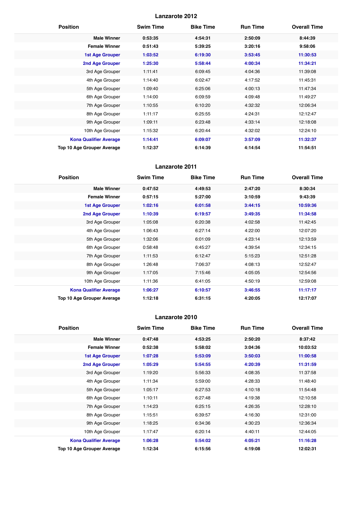| <b>Position</b>                   | <b>Swim Time</b> | <b>Bike Time</b> | <b>Run Time</b> | <b>Overall Time</b> |
|-----------------------------------|------------------|------------------|-----------------|---------------------|
| <b>Male Winner</b>                | 0:53:35          | 4:54:31          | 2:50:09         | 8:44:39             |
| <b>Female Winner</b>              | 0:51:43          | 5:39:25          | 3:20:16         | 9:58:06             |
| <b>1st Age Grouper</b>            | 1:03:52          | 6:19:30          | 3:53:45         | 11:30:53            |
| 2nd Age Grouper                   | 1:25:30          | 5:58:44          | 4:00:34         | 11:34:21            |
| 3rd Age Grouper                   | 1:11:41          | 6:09:45          | 4:04:36         | 11:39:08            |
| 4th Age Grouper                   | 1:14:40          | 6:02:47          | 4:17:52         | 11:45:31            |
| 5th Age Grouper                   | 1:09:40          | 6:25:06          | 4:00:13         | 11:47:34            |
| 6th Age Grouper                   | 1:14:00          | 6:09:59          | 4:09:48         | 11:49:27            |
| 7th Age Grouper                   | 1:10:55          | 6:10:20          | 4:32:32         | 12:06:34            |
| 8th Age Grouper                   | 1:11:17          | 6:25:55          | 4:24:31         | 12:12:47            |
| 9th Age Grouper                   | 1:09:11          | 6:23:48          | 4:33:14         | 12:18:08            |
| 10th Age Grouper                  | 1:15:32          | 6:20:44          | 4:32:02         | 12:24:10            |
| <b>Kona Qualifier Average</b>     | 1:14:41          | 6:09:07          | 3:57:09         | 11:32:37            |
| <b>Top 10 Age Grouper Average</b> | 1:12:37          | 6:14:39          | 4:14:54         | 11:54:51            |

# **Lanzarote 2011**

| <b>Position</b>                   | <b>Swim Time</b> | <b>Bike Time</b> | <b>Run Time</b> | <b>Overall Time</b> |
|-----------------------------------|------------------|------------------|-----------------|---------------------|
| <b>Male Winner</b>                | 0:47:52          | 4:49:53          | 2:47:20         | 8:30:34             |
| <b>Female Winner</b>              | 0:57:15          | 5:27:00          | 3:10:59         | 9:43:39             |
| <b>1st Age Grouper</b>            | 1:02:16          | 6:01:58          | 3:44:15         | 10:59:36            |
| <b>2nd Age Grouper</b>            | 1:10:39          | 6:19:57          | 3:49:35         | 11:34:58            |
| 3rd Age Grouper                   | 1:05:08          | 6:20:38          | 4:02:58         | 11:42:45            |
| 4th Age Grouper                   | 1:06:43          | 6:27:14          | 4:22:00         | 12:07:20            |
| 5th Age Grouper                   | 1:32:06          | 6:01:09          | 4:23:14         | 12:13:59            |
| 6th Age Grouper                   | 0:58:48          | 6:45:27          | 4:39:54         | 12:34:15            |
| 7th Age Grouper                   | 1:11:53          | 6:12:47          | 5:15:23         | 12:51:28            |
| 8th Age Grouper                   | 1:26:48          | 7:06:37          | 4:08:13         | 12:52:47            |
| 9th Age Grouper                   | 1:17:05          | 7:15:46          | 4:05:05         | 12:54:56            |
| 10th Age Grouper                  | 1:11:36          | 6:41:05          | 4:50:19         | 12:59:08            |
| <b>Kona Qualifier Average</b>     | 1:06:27          | 6:10:57          | 3:46:55         | 11:17:17            |
| <b>Top 10 Age Grouper Average</b> | 1:12:18          | 6:31:15          | 4:20:05         | 12:17:07            |

| <b>Position</b>                   | <b>Swim Time</b> | <b>Bike Time</b> | <b>Run Time</b> | <b>Overall Time</b> |
|-----------------------------------|------------------|------------------|-----------------|---------------------|
| <b>Male Winner</b>                | 0:47:48          | 4:53:25          | 2:50:20         | 8:37:42             |
| <b>Female Winner</b>              | 0:52:38          | 5:58:02          | 3:04:36         | 10:03:52            |
| 1st Age Grouper                   | 1:07:28          | 5:53:09          | 3:50:03         | 11:00:58            |
| 2nd Age Grouper                   | 1:05:29          | 5:54:55          | 4:20:39         | 11:31:59            |
| 3rd Age Grouper                   | 1:19:20          | 5:56:33          | 4:08:35         | 11:37:58            |
| 4th Age Grouper                   | 1:11:34          | 5:59:00          | 4:28:33         | 11:48:40            |
| 5th Age Grouper                   | 1:05:17          | 6:27:53          | 4:10:18         | 11:54:48            |
| 6th Age Grouper                   | 1:10:11          | 6:27:48          | 4:19:38         | 12:10:58            |
| 7th Age Grouper                   | 1:14:23          | 6:25:15          | 4:26:35         | 12:28:10            |
| 8th Age Grouper                   | 1:15:51          | 6:39:57          | 4:16:30         | 12:31:00            |
| 9th Age Grouper                   | 1:18:25          | 6:34:36          | 4:30:23         | 12:36:34            |
| 10th Age Grouper                  | 1:17:47          | 6:20:14          | 4:40:11         | 12:44:05            |
| <b>Kona Qualifier Average</b>     | 1:06:28          | 5:54:02          | 4:05:21         | 11:16:28            |
| <b>Top 10 Age Grouper Average</b> | 1:12:34          | 6:15:56          | 4:19:08         | 12:02:31            |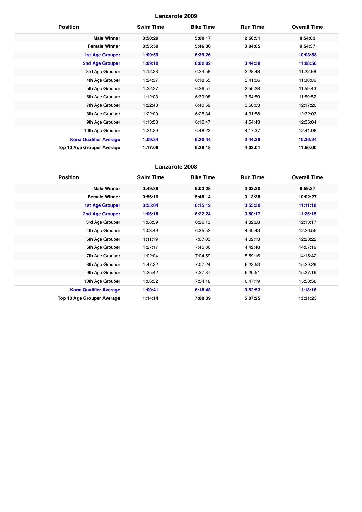| <b>Position</b>                   | <b>Swim Time</b> | <b>Bike Time</b> | <b>Run Time</b> | <b>Overall Time</b> |
|-----------------------------------|------------------|------------------|-----------------|---------------------|
| <b>Male Winner</b>                | 0:50:29          | 5:00:17          | 2:56:51         | 8:54:03             |
| <b>Female Winner</b>              | 0:55:59          | 5:46:36          | 3:04:05         | 9:54:57             |
| <b>1st Age Grouper</b>            | 1:09:59          | 6:39:26          |                 | 10:03:58            |
| 2nd Age Grouper                   | 1:09:10          | 6:02:02          | 3:44:38         | 11:08:50            |
| 3rd Age Grouper                   | 1:12:28          | 6:24:58          | 3:28:48         | 11:22:58            |
| 4th Age Grouper                   | 1:24:37          | 6:18:55          | 3:41:06         | 11:38:06            |
| 5th Age Grouper                   | 1:22:27          | 6:26:57          | 3:55:28         | 11:59:43            |
| 6th Age Grouper                   | 1:12:03          | 6:39:08          | 3:54:50         | 11:59:52            |
| 7th Age Grouper                   | 1:22:43          | 6:40:59          | 3:58:03         | 12:17:20            |
| 8th Age Grouper                   | 1:22:09          | 6:25:34          | 4:31:58         | 12:32:03            |
| 9th Age Grouper                   | 1:13:58          | 6:16:47          | 4:54:43         | 12:36:04            |
| 10th Age Grouper                  | 1:21:29          | 6:48:23          | 4:17:37         | 12:41:08            |
| <b>Kona Qualifier Average</b>     | 1:09:34          | 6:20:44          | 3:44:38         | 10:36:24            |
| <b>Top 10 Age Grouper Average</b> | 1:17:06          | 6:28:18          | 4:03:01         | 11:50:00            |

| <b>Position</b>               | <b>Swim Time</b> | <b>Bike Time</b> | <b>Run Time</b> | <b>Overall Time</b> |
|-------------------------------|------------------|------------------|-----------------|---------------------|
| <b>Male Winner</b>            | 0:49:38          | 5:03:28          | 3:03:20         | 8:59:37             |
| <b>Female Winner</b>          | 0:56:16          | 5:48:14          | 3:13:38         | 10:02:27            |
| <b>1st Age Grouper</b>        | 0:55:04          | 6:15:12          | 3:55:30         | 11:11:18            |
| <b>2nd Age Grouper</b>        | 1:06:18          | 6:22:24          | 3:50:17         | 11:25:15            |
| 3rd Age Grouper               | 1:06:59          | 6:26:13          | 4:32:28         | 12:13:17            |
| 4th Age Grouper               | 1:03:49          | 6:35:52          | 4:40:43         | 12:26:55            |
| 5th Age Grouper               | 1:11:19          | 7:07:03          | 4:02:13         | 12:28:22            |
| 6th Age Grouper               | 1:27:17          | 7:45:36          | 4:42:48         | 14:07:19            |
| 7th Age Grouper               | 1:02:04          | 7:04:59          | 5:59:16         | 14:15:42            |
| 8th Age Grouper               | 1:47:22          | 7:07:24          | 6:22:53         | 15:29:29            |
| 9th Age Grouper               | 1:35:42          | 7:27:37          | 6:20:51         | 15:37:19            |
| 10th Age Grouper              | 1:06:32          | 7:54:18          | 6:47:19         | 15:58:58            |
| <b>Kona Qualifier Average</b> | 1:00:41          | 6:18:48          | 3:52:53         | 11:18:16            |
| Top 10 Age Grouper Average    | 1:14:14          | 7:00:39          | 5:07:25         | 13:31:23            |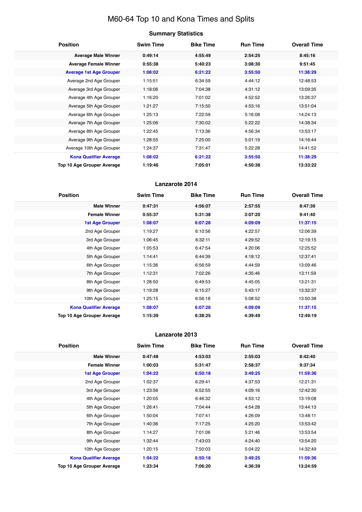# M60-64 Top 10 and Kona Times and Splits

# **Summary Statistics**

| <b>Position</b>                   | <b>Swim Time</b> | <b>Bike Time</b> | <b>Run Time</b> | <b>Overall Time</b> |
|-----------------------------------|------------------|------------------|-----------------|---------------------|
| <b>Average Male Winner</b>        | 0:49:14          | 4:55:49          | 2:54:25         | 8:45:16             |
| <b>Average Female Winner</b>      | 0:55:38          | 5:40:23          | 3:08:30         | 9:51:45             |
| <b>Average 1st Age Grouper</b>    | 1:08:02          | 6:21:22          | 3:55:50         | 11:38:29            |
| Average 2nd Age Grouper           | 1:15:51          | 6:34:59          | 4:44:12         | 12:48:53            |
| Average 3rd Age Grouper           | 1:18:06          | 7:04:38          | 4:31:12         | 13:09:35            |
| Average 4th Age Grouper           | 1:16:20          | 7:01:02          | 4:52:52         | 13:26:37            |
| Average 5th Age Grouper           | 1:21:27          | 7:15:50          | 4:53:16         | 13:51:04            |
| Average 6th Age Grouper           | 1:25:13          | 7:22:59          | 5:16:08         | 14:24:13            |
| Average 7th Age Grouper           | 1:25:06          | 7:30:02          | 5:22:22         | 14:38:34            |
| Average 8th Age Grouper           | 1:22:45          | 7:13:36          | 4:56:34         | 13:53:17            |
| Average 9th Age Grouper           | 1:28:55          | 7:25:00          | 5:01:19         | 14:16:44            |
| Average 10th Age Grouper          | 1:24:37          | 7:31:47          | 5:22:28         | 14:41:52            |
| <b>Kona Qualifier Average</b>     | 1:08:02          | 6:21:22          | 3:55:50         | 11:38:29            |
| <b>Top 10 Age Grouper Average</b> | 1:19:46          | 7:05:01          | 4:50:38         | 13:33:22            |

# **Lanzarote 2014**

| <b>Position</b>               | <b>Swim Time</b> | <b>Bike Time</b> | <b>Run Time</b> | <b>Overall Time</b> |
|-------------------------------|------------------|------------------|-----------------|---------------------|
| <b>Male Winner</b>            | 0:47:31          | 4:56:07          | 2:57:55         | 8:47:39             |
| <b>Female Winner</b>          | 0:55:37          | 5:31:38          | 3:07:20         | 9:41:40             |
| 1st Age Grouper               | 1:08:07          | 6:07:28          | 4:09:09         | 11:37:15            |
| 2nd Age Grouper               | 1:19:27          | 6:10:56          | 4:22:57         | 12:06:39            |
| 3rd Age Grouper               | 1:06:45          | 6:32:11          | 4:29:52         | 12:19:15            |
| 4th Age Grouper               | 1:05:53          | 6:47:54          | 4:20:06         | 12:25:52            |
| 5th Age Grouper               | 1:14:41          | 6:44:39          | 4:18:12         | 12:37:41            |
| 6th Age Grouper               | 1:15:36          | 6:56:59          | 4:44:59         | 13:09:46            |
| 7th Age Grouper               | 1:12:31          | 7:02:26          | 4:35:46         | 13:11:59            |
| 8th Age Grouper               | 1:28:50          | 6:49:53          | 4:45:05         | 13:21:31            |
| 9th Age Grouper               | 1:19:28          | 6:15:27          | 5:43:17         | 13:32:37            |
| 10th Age Grouper              | 1:25:15          | 6:56:18          | 5:08:52         | 13:50:38            |
| <b>Kona Qualifier Average</b> | 1:08:07          | 6:07:28          | 4:09:09         | 11:37:15            |
| Top 10 Age Grouper Average    | 1:15:39          | 6:38:25          | 4:39:49         | 12:49:19            |

| <b>Position</b>                   | <b>Swim Time</b> | <b>Bike Time</b> | <b>Run Time</b> | <b>Overall Time</b> |
|-----------------------------------|------------------|------------------|-----------------|---------------------|
| <b>Male Winner</b>                | 0:47:48          | 4:53:03          | 2:55:03         | 8:42:40             |
| <b>Female Winner</b>              | 1:00:03          | 5:31:47          | 2:58:37         | 9:37:34             |
| <b>1st Age Grouper</b>            | 1:04:22          | 6:50:18          | 3:49:25         | 11:59:36            |
| 2nd Age Grouper                   | 1:02:37          | 6:29:41          | 4:37:53         | 12:21:31            |
| 3rd Age Grouper                   | 1:23:56          | 6:52:55          | 4:09:16         | 12:42:30            |
| 4th Age Grouper                   | 1:20:05          | 6:46:32          | 4:53:12         | 13:19:08            |
| 5th Age Grouper                   | 1:26:41          | 7:04:44          | 4:54:28         | 13:44:13            |
| 6th Age Grouper                   | 1:50:04          | 7:07:41          | 4:26:09         | 13:48:11            |
| 7th Age Grouper                   | 1:40:36          | 7:17:25          | 4:25:20         | 13:53:42            |
| 8th Age Grouper                   | 1:14:27          | 7:01:06          | 5:21:46         | 13:53:54            |
| 9th Age Grouper                   | 1:32:44          | 7:43:03          | 4:24:40         | 13:54:20            |
| 10th Age Grouper                  | 1:20:15          | 7:50:03          | 5:04:22         | 14:32:49            |
| <b>Kona Qualifier Average</b>     | 1:04:22          | 6:50:18          | 3:49:25         | 11:59:36            |
| <b>Top 10 Age Grouper Average</b> | 1:23:34          | 7:06:20          | 4:36:39         | 13:24:59            |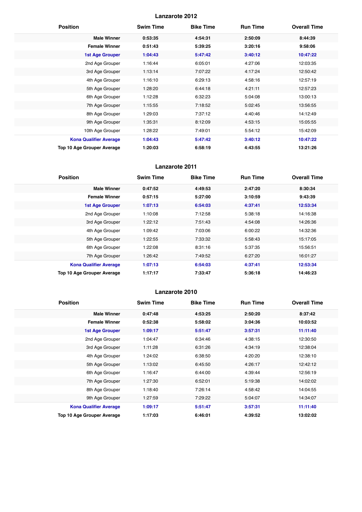| <b>Position</b>                   | <b>Swim Time</b> | <b>Bike Time</b> | <b>Run Time</b> | <b>Overall Time</b> |
|-----------------------------------|------------------|------------------|-----------------|---------------------|
| <b>Male Winner</b>                | 0:53:35          | 4:54:31          | 2:50:09         | 8:44:39             |
| <b>Female Winner</b>              | 0:51:43          | 5:39:25          | 3:20:16         | 9:58:06             |
| <b>1st Age Grouper</b>            | 1:04:43          | 5:47:42          | 3:40:12         | 10:47:22            |
| 2nd Age Grouper                   | 1:16:44          | 6:05:01          | 4:27:06         | 12:03:35            |
| 3rd Age Grouper                   | 1:13:14          | 7:07:22          | 4:17:24         | 12:50:42            |
| 4th Age Grouper                   | 1:16:10          | 6:29:13          | 4:58:16         | 12:57:19            |
| 5th Age Grouper                   | 1:28:20          | 6:44:18          | 4:21:11         | 12:57:23            |
| 6th Age Grouper                   | 1:12:28          | 6:32:23          | 5:04:08         | 13:00:13            |
| 7th Age Grouper                   | 1:15:55          | 7:18:52          | 5:02:45         | 13:56:55            |
| 8th Age Grouper                   | 1:29:03          | 7:37:12          | 4:40:46         | 14:12:49            |
| 9th Age Grouper                   | 1:35:31          | 8:12:09          | 4:53:15         | 15:05:55            |
| 10th Age Grouper                  | 1:28:22          | 7:49:01          | 5:54:12         | 15:42:09            |
| <b>Kona Qualifier Average</b>     | 1:04:43          | 5:47:42          | 3:40:12         | 10:47:22            |
| <b>Top 10 Age Grouper Average</b> | 1:20:03          | 6:58:19          | 4:43:55         | 13:21:26            |

# **Lanzarote 2011**

| <b>Position</b>               | <b>Swim Time</b> | <b>Bike Time</b> | <b>Run Time</b> | <b>Overall Time</b> |
|-------------------------------|------------------|------------------|-----------------|---------------------|
| <b>Male Winner</b>            | 0:47:52          | 4:49:53          | 2:47:20         | 8:30:34             |
| <b>Female Winner</b>          | 0:57:15          | 5:27:00          | 3:10:59         | 9:43:39             |
| <b>1st Age Grouper</b>        | 1:07:13          | 6:54:03          | 4:37:41         | 12:53:34            |
| 2nd Age Grouper               | 1:10:08          | 7:12:58          | 5:38:18         | 14:16:38            |
| 3rd Age Grouper               | 1:22:12          | 7:51:43          | 4:54:08         | 14:26:36            |
| 4th Age Grouper               | 1:09:42          | 7:03:06          | 6:00:22         | 14:32:36            |
| 5th Age Grouper               | 1:22:55          | 7:33:32          | 5:58:43         | 15:17:05            |
| 6th Age Grouper               | 1:22:08          | 8:31:16          | 5:37:35         | 15:56:51            |
| 7th Age Grouper               | 1:26:42          | 7:49:52          | 6:27:20         | 16:01:27            |
| <b>Kona Qualifier Average</b> | 1:07:13          | 6:54:03          | 4:37:41         | 12:53:34            |
| Top 10 Age Grouper Average    | 1:17:17          | 7:33:47          | 5:36:18         | 14:46:23            |

| <b>Position</b>                   | <b>Swim Time</b> | <b>Bike Time</b> | <b>Run Time</b> | <b>Overall Time</b> |
|-----------------------------------|------------------|------------------|-----------------|---------------------|
| <b>Male Winner</b>                | 0:47:48          | 4:53:25          | 2:50:20         | 8:37:42             |
| <b>Female Winner</b>              | 0:52:38          | 5:58:02          | 3:04:36         | 10:03:52            |
| <b>1st Age Grouper</b>            | 1:09:17          | 5:51:47          | 3:57:31         | 11:11:40            |
| 2nd Age Grouper                   | 1:04:47          | 6:34:46          | 4:38:15         | 12:30:50            |
| 3rd Age Grouper                   | 1:11:28          | 6:31:26          | 4:34:19         | 12:38:04            |
| 4th Age Grouper                   | 1:24:02          | 6:38:50          | 4:20:20         | 12:38:10            |
| 5th Age Grouper                   | 1:13:02          | 6:45:50          | 4:26:17         | 12:42:12            |
| 6th Age Grouper                   | 1:16:47          | 6:44:00          | 4:39:44         | 12:56:19            |
| 7th Age Grouper                   | 1:27:30          | 6:52:01          | 5:19:38         | 14:02:02            |
| 8th Age Grouper                   | 1:18:40          | 7:26:14          | 4:58:42         | 14:04:55            |
| 9th Age Grouper                   | 1:27:59          | 7:29:22          | 5:04:07         | 14:34:07            |
| <b>Kona Qualifier Average</b>     | 1:09:17          | 5:51:47          | 3:57:31         | 11:11:40            |
| <b>Top 10 Age Grouper Average</b> | 1:17:03          | 6:46:01          | 4:39:52         | 13:02:02            |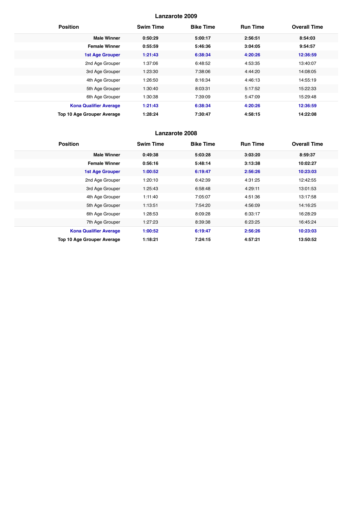| <b>Position</b>                   | <b>Swim Time</b> | <b>Bike Time</b> | <b>Run Time</b> | <b>Overall Time</b> |
|-----------------------------------|------------------|------------------|-----------------|---------------------|
| <b>Male Winner</b>                | 0:50:29          | 5:00:17          | 2:56:51         | 8:54:03             |
| <b>Female Winner</b>              | 0:55:59          | 5:46:36          | 3:04:05         | 9:54:57             |
| <b>1st Age Grouper</b>            | 1:21:43          | 6:38:34          | 4:20:26         | 12:36:59            |
| 2nd Age Grouper                   | 1:37:06          | 6:48:52          | 4:53:35         | 13:40:07            |
| 3rd Age Grouper                   | 1:23:30          | 7:38:06          | 4:44:20         | 14:08:05            |
| 4th Age Grouper                   | 1:26:50          | 8:16:34          | 4:46:13         | 14:55:19            |
| 5th Age Grouper                   | 1:30:40          | 8:03:31          | 5:17:52         | 15:22:33            |
| 6th Age Grouper                   | 1:30:38          | 7:39:09          | 5:47:09         | 15:29:48            |
| <b>Kona Qualifier Average</b>     | 1:21:43          | 6:38:34          | 4:20:26         | 12:36:59            |
| <b>Top 10 Age Grouper Average</b> | 1:28:24          | 7:30:47          | 4:58:15         | 14:22:08            |

| <b>Position</b>               | <b>Swim Time</b> | <b>Bike Time</b> | <b>Run Time</b> | <b>Overall Time</b> |
|-------------------------------|------------------|------------------|-----------------|---------------------|
| <b>Male Winner</b>            | 0:49:38          | 5:03:28          | 3:03:20         | 8:59:37             |
| <b>Female Winner</b>          | 0:56:16          | 5:48:14          | 3:13:38         | 10:02:27            |
| <b>1st Age Grouper</b>        | 1:00:52          | 6:19:47          | 2:56:26         | 10:23:03            |
| 2nd Age Grouper               | 1:20:10          | 6:42:39          | 4:31:25         | 12:42:55            |
| 3rd Age Grouper               | 1:25:43          | 6:58:48          | 4:29:11         | 13:01:53            |
| 4th Age Grouper               | 1:11:40          | 7:05:07          | 4:51:36         | 13:17:58            |
| 5th Age Grouper               | 1:13:51          | 7:54:20          | 4:56:09         | 14:16:25            |
| 6th Age Grouper               | 1:28:53          | 8:09:28          | 6:33:17         | 16:28:29            |
| 7th Age Grouper               | 1:27:23          | 8:39:38          | 6:23:25         | 16:45:24            |
| <b>Kona Qualifier Average</b> | 1:00:52          | 6:19:47          | 2:56:26         | 10:23:03            |
| Top 10 Age Grouper Average    | 1:18:21          | 7:24:15          | 4:57:21         | 13:50:52            |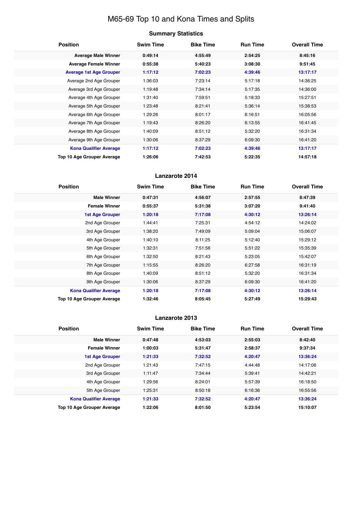# M65-69 Top 10 and Kona Times and Splits

# **Summary Statistics**

| <b>Position</b>                   | <b>Swim Time</b> | <b>Bike Time</b> | <b>Run Time</b> | <b>Overall Time</b> |
|-----------------------------------|------------------|------------------|-----------------|---------------------|
| <b>Average Male Winner</b>        | 0:49:14          | 4:55:49          | 2:54:25         | 8:45:16             |
| <b>Average Female Winner</b>      | 0:55:38          | 5:40:23          | 3:08:30         | 9:51:45             |
| <b>Average 1st Age Grouper</b>    | 1:17:12          | 7:02:23          | 4:39:46         | 13:17:17            |
| Average 2nd Age Grouper           | 1:36:03          | 7:23:14          | 5:17:18         | 14:36:25            |
| Average 3rd Age Grouper           | 1:19:48          | 7:34:14          | 5:17:35         | 14:36:00            |
| Average 4th Age Grouper           | 1:31:40          | 7:59:51          | 5:18:33         | 15:27:51            |
| Average 5th Age Grouper           | 1:23:48          | 8:21:41          | 5:36:14         | 15:38:53            |
| Average 6th Age Grouper           | 1:29:26          | 8:01:17          | 6:16:51         | 16:05:56            |
| Average 7th Age Grouper           | 1:19:43          | 8:26:20          | 6:13:55         | 16:41:45            |
| Average 8th Age Grouper           | 1:40:09          | 8:51:12          | 5:32:20         | 16:31:34            |
| Average 9th Age Grouper           | 1:30:06          | 8:37:29          | 6:09:30         | 16:41:20            |
| <b>Kona Qualifier Average</b>     | 1:17:12          | 7:02:23          | 4:39:46         | 13:17:17            |
| <b>Top 10 Age Grouper Average</b> | 1:26:06          | 7:42:53          | 5:22:35         | 14:57:18            |

# **Lanzarote 2014**

| <b>Position</b>               | <b>Swim Time</b> | <b>Bike Time</b> | <b>Run Time</b> | <b>Overall Time</b> |
|-------------------------------|------------------|------------------|-----------------|---------------------|
| <b>Male Winner</b>            | 0:47:31          | 4:56:07          | 2:57:55         | 8:47:39             |
| <b>Female Winner</b>          | 0:55:37          | 5:31:38          | 3:07:20         | 9:41:40             |
| <b>1st Age Grouper</b>        | 1:20:18          | 7:17:08          | 4:30:12         | 13:26:14            |
| 2nd Age Grouper               | 1:44:41          | 7:25:31          | 4:54:12         | 14:24:02            |
| 3rd Age Grouper               | 1:38:20          | 7:49:09          | 5:09:04         | 15:06:07            |
| 4th Age Grouper               | 1:40:10          | 8:11:25          | 5:12:40         | 15:29:12            |
| 5th Age Grouper               | 1:32:31          | 7:51:56          | 5:51:22         | 15:35:39            |
| 6th Age Grouper               | 1:32:50          | 8:21:43          | 5:23:05         | 15:42:07            |
| 7th Age Grouper               | 1:15:55          | 8:26:20          | 6:27:58         | 16:31:19            |
| 8th Age Grouper               | 1:40:09          | 8:51:12          | 5:32:20         | 16:31:34            |
| 9th Age Grouper               | 1:30:06          | 8:37:29          | 6:09:30         | 16:41:20            |
| <b>Kona Qualifier Average</b> | 1:20:18          | 7:17:08          | 4:30:12         | 13:26:14            |
| Top 10 Age Grouper Average    | 1:32:46          | 8:05:45          | 5:27:49         | 15:29:43            |

| <b>Position</b>                   | <b>Swim Time</b> | <b>Bike Time</b> | <b>Run Time</b> | <b>Overall Time</b> |
|-----------------------------------|------------------|------------------|-----------------|---------------------|
| <b>Male Winner</b>                | 0:47:48          | 4:53:03          | 2:55:03         | 8:42:40             |
| <b>Female Winner</b>              | 1:00:03          | 5:31:47          | 2:58:37         | 9:37:34             |
| <b>1st Age Grouper</b>            | 1:21:33          | 7:32:52          | 4:20:47         | 13:36:24            |
| 2nd Age Grouper                   | 1:21:43          | 7:47:15          | 4:44:48         | 14:17:06            |
| 3rd Age Grouper                   | 1:11:47          | 7:34:44          | 5:39:41         | 14:42:21            |
| 4th Age Grouper                   | 1:29:56          | 8:24:01          | 5:57:39         | 16:18:50            |
| 5th Age Grouper                   | 1:25:31          | 8:50:18          | 6:16:36         | 16:55:56            |
| <b>Kona Qualifier Average</b>     | 1:21:33          | 7:32:52          | 4:20:47         | 13:36:24            |
| <b>Top 10 Age Grouper Average</b> | 1:22:06          | 8:01:50          | 5:23:54         | 15:10:07            |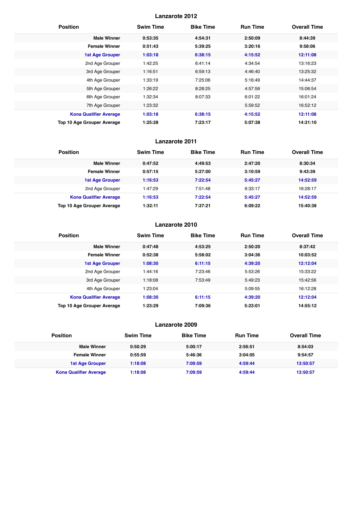| <b>Position</b>               | <b>Swim Time</b> | <b>Bike Time</b> | <b>Run Time</b> | <b>Overall Time</b> |
|-------------------------------|------------------|------------------|-----------------|---------------------|
| <b>Male Winner</b>            | 0:53:35          | 4:54:31          | 2:50:09         | 8:44:39             |
| <b>Female Winner</b>          | 0:51:43          | 5:39:25          | 3:20:16         | 9:58:06             |
| <b>1st Age Grouper</b>        | 1:03:18          | 6:38:15          | 4:15:52         | 12:11:08            |
| 2nd Age Grouper               | 1:42:25          | 6:41:14          | 4:34:54         | 13:16:23            |
| 3rd Age Grouper               | 1:16:51          | 6:59:13          | 4:46:40         | 13:25:32            |
| 4th Age Grouper               | 1:33:19          | 7:25:06          | 5:16:49         | 14:44:37            |
| 5th Age Grouper               | 1:26:22          | 8:28:25          | 4:57:59         | 15:06:54            |
| 6th Age Grouper               | 1:32:34          | 8:07:33          | 6:01:22         | 16:01:24            |
| 7th Age Grouper               | 1:23:32          |                  | 5:59:52         | 16:52:12            |
| <b>Kona Qualifier Average</b> | 1:03:18          | 6:38:15          | 4:15:52         | 12:11:08            |
| Top 10 Age Grouper Average    | 1:25:28          | 7:23:17          | 5:07:38         | 14:31:10            |

#### **Lanzarote 2011**

| <b>Position</b>               | <b>Swim Time</b> | <b>Bike Time</b> | <b>Run Time</b> | <b>Overall Time</b> |
|-------------------------------|------------------|------------------|-----------------|---------------------|
| <b>Male Winner</b>            | 0:47:52          | 4:49:53          | 2:47:20         | 8:30:34             |
| <b>Female Winner</b>          | 0:57:15          | 5:27:00          | 3:10:59         | 9:43:39             |
| <b>1st Age Grouper</b>        | 1:16:53          | 7:22:54          | 5:45:27         | 14:52:59            |
| 2nd Age Grouper               | 1:47:29          | 7:51:48          | 6:33:17         | 16:28:17            |
| <b>Kona Qualifier Average</b> | 1:16:53          | 7:22:54          | 5:45:27         | 14:52:59            |
| Top 10 Age Grouper Average    | 1:32:11          | 7:37:21          | 6:09:22         | 15:40:38            |

# **Lanzarote 2010**

| <b>Position</b>               | <b>Swim Time</b> | <b>Bike Time</b> | <b>Run Time</b> | <b>Overall Time</b> |
|-------------------------------|------------------|------------------|-----------------|---------------------|
| <b>Male Winner</b>            | 0:47:48          | 4:53:25          | 2:50:20         | 8:37:42             |
| <b>Female Winner</b>          | 0:52:38          | 5:58:02          | 3:04:36         | 10:03:52            |
| <b>1st Age Grouper</b>        | 1:08:30          | 6:11:15          | 4:39:20         | 12:12:04            |
| 2nd Age Grouper               | 1:44:16          | 7:23:46          | 5:53:26         | 15:33:22            |
| 3rd Age Grouper               | 1:18:08          | 7:53:49          | 5:49:23         | 15:42:56            |
| 4th Age Grouper               | 1:23:04          |                  | 5:09:55         | 16:12:28            |
| <b>Kona Qualifier Average</b> | 1:08:30          | 6:11:15          | 4:39:20         | 12:12:04            |
| Top 10 Age Grouper Average    | 1:23:29          | 7:09:36          | 5:23:01         | 14:55:12            |

| <b>Position</b>               | <b>Swim Time</b> | <b>Bike Time</b> | <b>Run Time</b> | <b>Overall Time</b> |
|-------------------------------|------------------|------------------|-----------------|---------------------|
| <b>Male Winner</b>            | 0:50:29          | 5:00:17          | 2:56:51         | 8:54:03             |
| <b>Female Winner</b>          | 0:55:59          | 5:46:36          | 3:04:05         | 9:54:57             |
| 1st Age Grouper               | 1:18:08          | 7:09:59          | 4:59:44         | 13:50:57            |
| <b>Kona Qualifier Average</b> | 1:18:08          | 7:09:59          | 4:59:44         | 13:50:57            |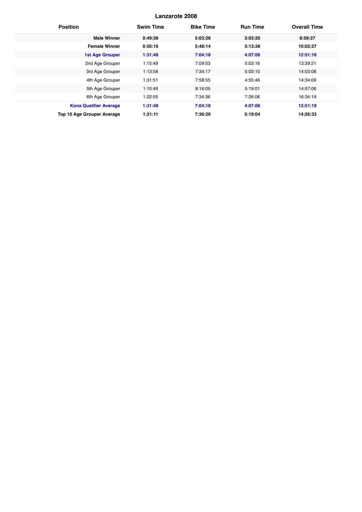| <b>Position</b>                   | <b>Swim Time</b> | <b>Bike Time</b> | <b>Run Time</b> | <b>Overall Time</b> |
|-----------------------------------|------------------|------------------|-----------------|---------------------|
| <b>Male Winner</b>                | 0:49:38          | 5:03:28          | 3:03:20         | 8:59:37             |
| <b>Female Winner</b>              | 0:56:16          | 5:48:14          | 3:13:38         | 10:02:27            |
| <b>1st Age Grouper</b>            | 1:31:48          | 7:04:18          | 4:07:06         | 12:51:18            |
| 2nd Age Grouper                   | 1:15:49          | 7:09:53          | 5:03:16         | 13:39:21            |
| 3rd Age Grouper                   | 1:13:58          | 7:34:17          | 5:03:10         | 14:03:08            |
| 4th Age Grouper                   | 1:31:51          | 7:58:55          | 4:55:46         | 14:34:09            |
| 5th Age Grouper                   | 1:10:49          | 8:16:05          | 5:19:01         | 14:57:06            |
| 6th Age Grouper                   | 1:22:55          | 7:34:36          | 7:26:06         | 16:34:19            |
| <b>Kona Qualifier Average</b>     | 1:31:48          | 7:04:18          | 4:07:06         | 12:51:18            |
| <b>Top 10 Age Grouper Average</b> | 1:21:11          | 7:36:20          | 5:19:04         | 14:26:33            |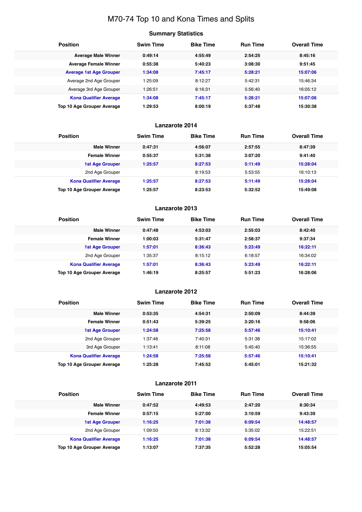# M70-74 Top 10 and Kona Times and Splits

# **Summary Statistics**

| <b>Position</b>                   | <b>Swim Time</b> | <b>Bike Time</b> | <b>Run Time</b> | <b>Overall Time</b> |
|-----------------------------------|------------------|------------------|-----------------|---------------------|
| <b>Average Male Winner</b>        | 0:49:14          | 4:55:49          | 2:54:25         | 8:45:16             |
| <b>Average Female Winner</b>      | 0:55:38          | 5:40:23          | 3:08:30         | 9:51:45             |
| <b>Average 1st Age Grouper</b>    | 1:34:08          | 7:45:17          | 5:28:21         | 15:07:06            |
| Average 2nd Age Grouper           | 1:25:09          | 8:12:27          | 5:42:31         | 15:46:34            |
| Average 3rd Age Grouper           | 1:26:51          | 8:16:31          | 5:56:40         | 16:05:12            |
| <b>Kona Qualifier Average</b>     | 1:34:08          | 7:45:17          | 5:28:21         | 15:07:06            |
| <b>Top 10 Age Grouper Average</b> | 1:29:53          | 8:00:19          | 5:37:48         | 15:30:38            |

# **Lanzarote 2014**

| <b>Position</b>                   | <b>Swim Time</b> | <b>Bike Time</b> | <b>Run Time</b> | <b>Overall Time</b> |
|-----------------------------------|------------------|------------------|-----------------|---------------------|
| <b>Male Winner</b>                | 0:47:31          | 4:56:07          | 2:57:55         | 8:47:39             |
| <b>Female Winner</b>              | 0:55:37          | 5:31:38          | 3:07:20         | 9:41:40             |
| <b>1st Age Grouper</b>            | 1:25:57          | 8:27:53          | 5:11:49         | 15:28:04            |
| 2nd Age Grouper                   |                  | 8:19:53          | 5:53:55         | 16:10:13            |
| <b>Kona Qualifier Average</b>     | 1:25:57          | 8:27:53          | 5:11:49         | 15:28:04            |
| <b>Top 10 Age Grouper Average</b> | 1:25:57          | 8:23:53          | 5:32:52         | 15:49:08            |

#### **Lanzarote 2013**

| <b>Position</b>                   | <b>Swim Time</b> | <b>Bike Time</b> | <b>Run Time</b> | <b>Overall Time</b> |
|-----------------------------------|------------------|------------------|-----------------|---------------------|
| <b>Male Winner</b>                | 0:47:48          | 4:53:03          | 2:55:03         | 8:42:40             |
| <b>Female Winner</b>              | 1:00:03          | 5:31:47          | 2:58:37         | 9:37:34             |
| 1st Age Grouper                   | 1:57:01          | 8:36:43          | 5:23:49         | 16:22:11            |
| 2nd Age Grouper                   | 1:35:37          | 8:15:12          | 6:18:57         | 16:34:02            |
| <b>Kona Qualifier Average</b>     | 1:57:01          | 8:36:43          | 5:23:49         | 16:22:11            |
| <b>Top 10 Age Grouper Average</b> | 1:46:19          | 8:25:57          | 5:51:23         | 16:28:06            |

# **Lanzarote 2012**

| <b>Position</b>               | <b>Swim Time</b> | <b>Bike Time</b> | <b>Run Time</b> | <b>Overall Time</b> |
|-------------------------------|------------------|------------------|-----------------|---------------------|
| <b>Male Winner</b>            | 0:53:35          | 4:54:31          | 2:50:09         | 8:44:39             |
| <b>Female Winner</b>          | 0:51:43          | 5:39:25          | 3:20:16         | 9:58:06             |
| <b>1st Age Grouper</b>        | 1:24:58          | 7:25:58          | 5:57:46         | 15:10:41            |
| 2nd Age Grouper               | 1:37:46          | 7:40:31          | 5:31:38         | 15:17:02            |
| 3rd Age Grouper               | 1:13:41          | 8:11:08          | 5:45:40         | 15:36:55            |
| <b>Kona Qualifier Average</b> | 1:24:58          | 7:25:58          | 5:57:46         | 15:10:41            |
| Top 10 Age Grouper Average    | 1:25:28          | 7:45:52          | 5:45:01         | 15:21:32            |

| <b>Position</b>               | <b>Swim Time</b> | <b>Bike Time</b> | <b>Run Time</b> | <b>Overall Time</b> |
|-------------------------------|------------------|------------------|-----------------|---------------------|
| <b>Male Winner</b>            | 0:47:52          | 4:49:53          | 2:47:20         | 8:30:34             |
| <b>Female Winner</b>          | 0:57:15          | 5:27:00          | 3:10:59         | 9:43:39             |
| 1st Age Grouper               | 1:16:25          | 7:01:38          | 6:09:54         | 14:48:57            |
| 2nd Age Grouper               | 1:09:50          | 8:13:32          | 5:35:02         | 15:22:51            |
| <b>Kona Qualifier Average</b> | 1:16:25          | 7:01:38          | 6:09:54         | 14:48:57            |
| Top 10 Age Grouper Average    | 1:13:07          | 7:37:35          | 5:52:28         | 15:05:54            |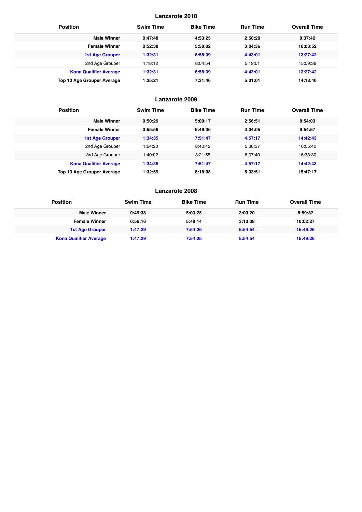| <b>Position</b>                   | <b>Swim Time</b> | <b>Bike Time</b> | <b>Run Time</b> | <b>Overall Time</b> |
|-----------------------------------|------------------|------------------|-----------------|---------------------|
| <b>Male Winner</b>                | 0:47:48          | 4:53:25          | 2:50:20         | 8:37:42             |
| <b>Female Winner</b>              | 0:52:38          | 5:58:02          | 3:04:36         | 10:03:52            |
| 1st Age Grouper                   | 1:32:31          | 6:58:39          | 4:43:01         | 13:27:42            |
| 2nd Age Grouper                   | 1:18:12          | 8:04:54          | 5:19:01         | 15:09:38            |
| <b>Kona Qualifier Average</b>     | 1:32:31          | 6:58:39          | 4:43:01         | 13:27:42            |
| <b>Top 10 Age Grouper Average</b> | 1:25:21          | 7:31:46          | 5:01:01         | 14:18:40            |

# **Lanzarote 2009**

| <b>Position</b>               | <b>Swim Time</b> | <b>Bike Time</b> | <b>Run Time</b> | <b>Overall Time</b> |
|-------------------------------|------------------|------------------|-----------------|---------------------|
| <b>Male Winner</b>            | 0:50:29          | 5:00:17          | 2:56:51         | 8:54:03             |
| <b>Female Winner</b>          | 0:55:59          | 5:46:36          | 3:04:05         | 9:54:57             |
| <b>1st Age Grouper</b>        | 1:34:35          | 7:51:47          | 4:57:17         | 14:42:43            |
| 2nd Age Grouper               | 1:24:20          | 8:40:42          | 5:36:37         | 16:05:40            |
| 3rd Age Grouper               | 1:40:02          | 8:21:55          | 6:07:40         | 16:33:30            |
| <b>Kona Qualifier Average</b> | 1:34:35          | 7:51:47          | 4:57:17         | 14:42:43            |
| Top 10 Age Grouper Average    | 1:32:59          | 8:18:08          | 5:33:51         | 15:47:17            |

| <b>Position</b>               | <b>Swim Time</b> | <b>Bike Time</b> | <b>Run Time</b> | <b>Overall Time</b> |
|-------------------------------|------------------|------------------|-----------------|---------------------|
| <b>Male Winner</b>            | 0:49:38          | 5:03:28          | 3:03:20         | 8:59:37             |
| <b>Female Winner</b>          | 0:56:16          | 5:48:14          | 3:13:38         | 10:02:27            |
| 1st Age Grouper               | 1:47:29          | 7:54:25          | 5:54:54         | 15:49:26            |
| <b>Kona Qualifier Average</b> | 1:47:29          | 7:54:25          | 5:54:54         | 15:49:26            |